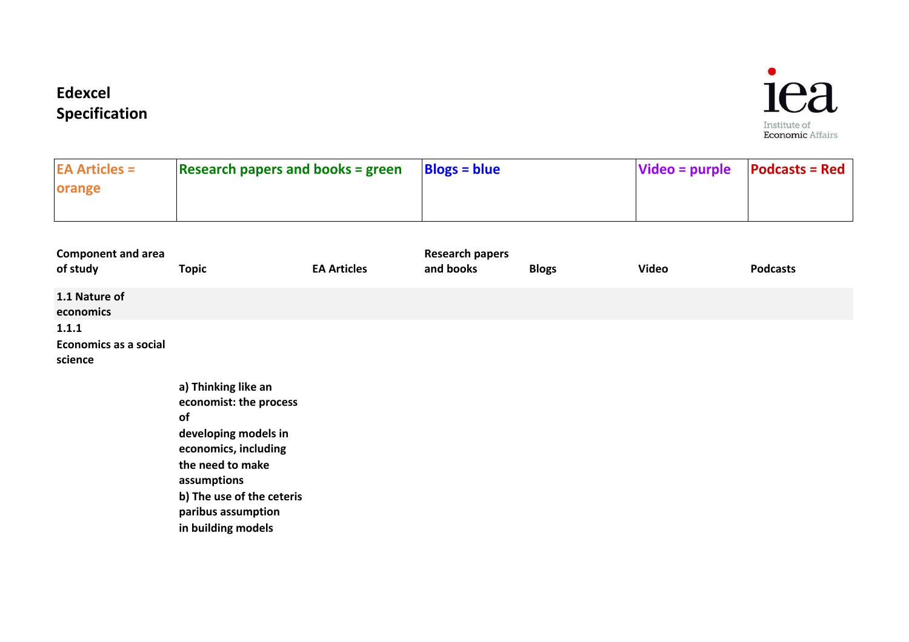## **Edexcel Specification**



| $EA$ Articles = | Research papers and books $=$ green | $\vert$ Blogs = blue | $Video = purple$ | $\vert$ Podcasts = Red $\vert$ |
|-----------------|-------------------------------------|----------------------|------------------|--------------------------------|
| <b>orange</b>   |                                     |                      |                  |                                |
|                 |                                     |                      |                  |                                |

| <b>Component and area</b><br>of study | <b>Topic</b> | <b>EA Articles</b> | <b>Research papers</b><br>and books | <b>Blogs</b> | <b>Video</b> | <b>Podcasts</b> |
|---------------------------------------|--------------|--------------------|-------------------------------------|--------------|--------------|-----------------|
| 1.1 Nature of<br>economics            |              |                    |                                     |              |              |                 |
| 1.1.1                                 |              |                    |                                     |              |              |                 |
| Economics as a social<br>science      |              |                    |                                     |              |              |                 |

**a) Thinking like an economist: the process of developing models in economics, including the need to make assumptions b) The use of the ceteris paribus assumption in building models**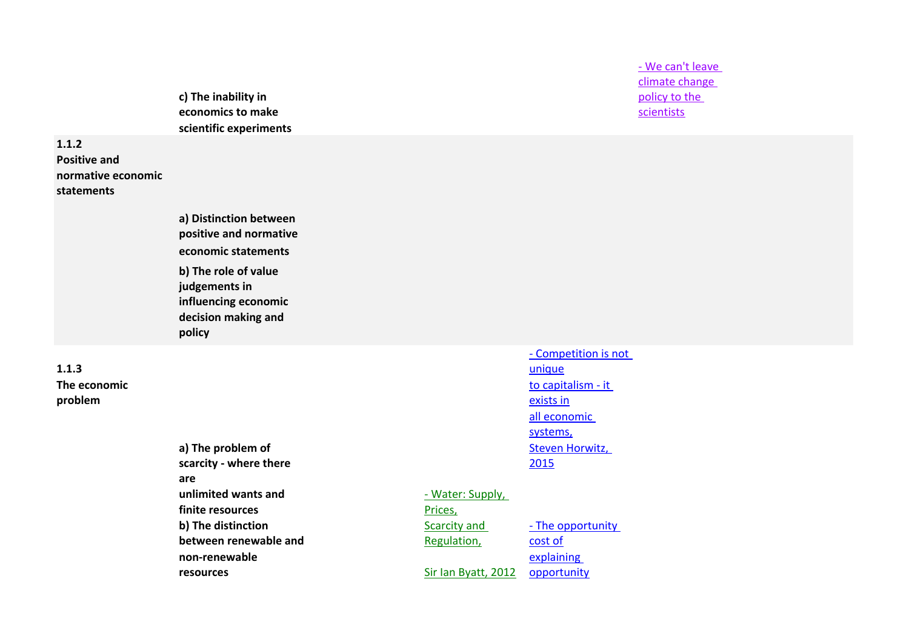**c) The inability in economics to make scientific experiments**

**Positive and normative economic statements**

**1.1.2**

**a) Distinction between positive and normative economic statements b) The role of value judgements in influencing economic decision making and policy**

**1.1.3 The economic problem**

> **a) The problem of scarcity - where there are unlimited wants and finite resources b) The distinction between renewable and non-renewable resources** [Sir Ian Byatt, 2012](http://www.iea.org.uk/publications/research/water-supply-prices-scarcity-and-regulation)

[- Competition is not](https://iea.org.uk/blog/competition-is-not-unique-to-capitalism-it-exists-in-all-economic-systems)  [unique](https://iea.org.uk/blog/competition-is-not-unique-to-capitalism-it-exists-in-all-economic-systems) [to capitalism - it](https://iea.org.uk/blog/competition-is-not-unique-to-capitalism-it-exists-in-all-economic-systems)  [exists in](https://iea.org.uk/blog/competition-is-not-unique-to-capitalism-it-exists-in-all-economic-systems) [all economic](https://iea.org.uk/blog/competition-is-not-unique-to-capitalism-it-exists-in-all-economic-systems)  [systems,](https://iea.org.uk/blog/competition-is-not-unique-to-capitalism-it-exists-in-all-economic-systems) **Steven Horwitz**, [2015](https://iea.org.uk/blog/competition-is-not-unique-to-capitalism-it-exists-in-all-economic-systems)

[- Water: Supply,](http://www.iea.org.uk/publications/research/water-supply-prices-scarcity-and-regulation)  [Prices,](http://www.iea.org.uk/publications/research/water-supply-prices-scarcity-and-regulation) Scarcity and [Regulation,](http://www.iea.org.uk/publications/research/water-supply-prices-scarcity-and-regulation) [- The opportunity](http://www.iea.org.uk/blog/the-opportunity-cost-of-explaining-opportunity-costs)  [cost of](http://www.iea.org.uk/blog/the-opportunity-cost-of-explaining-opportunity-costs) **explaining [opportunity](http://www.iea.org.uk/blog/the-opportunity-cost-of-explaining-opportunity-costs)** 

[- We can't leave](https://iea.org.uk/blog/don%E2%80%99t-silence-lord-lawson-we-can%E2%80%99t-leave-climate-change-policy-to-the-scientists)  [climate change](https://iea.org.uk/blog/don%E2%80%99t-silence-lord-lawson-we-can%E2%80%99t-leave-climate-change-policy-to-the-scientists)  [policy to the](https://iea.org.uk/blog/don%E2%80%99t-silence-lord-lawson-we-can%E2%80%99t-leave-climate-change-policy-to-the-scientists)  [scientists](https://iea.org.uk/blog/don%E2%80%99t-silence-lord-lawson-we-can%E2%80%99t-leave-climate-change-policy-to-the-scientists)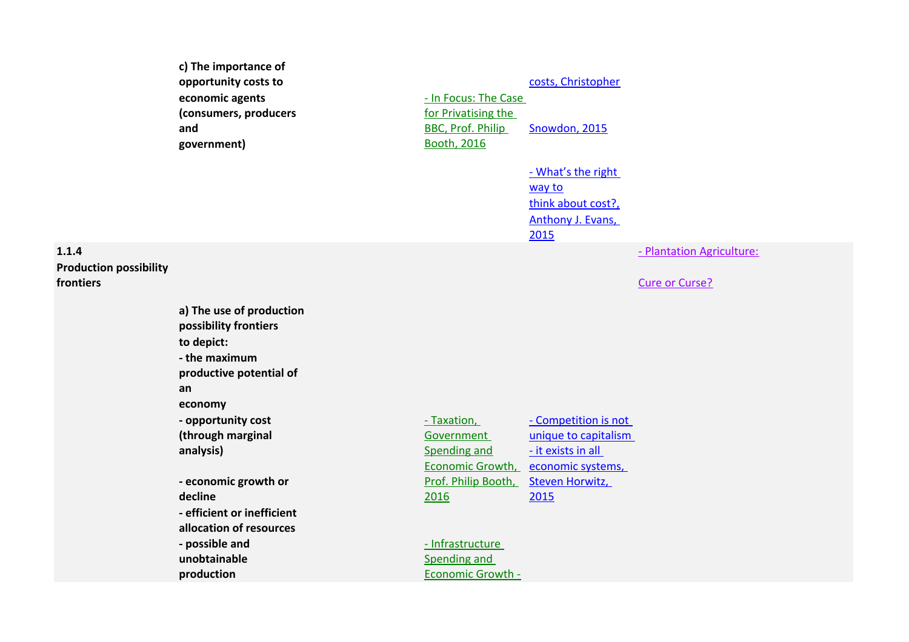|                                                     | c) The importance of<br>opportunity costs to<br>economic agents<br>(consumers, producers<br>and<br>government)               | - In Focus: The Case<br>for Privatising the<br><b>BBC, Prof. Philip</b><br><b>Booth, 2016</b> | costs, Christopher<br>Snowdon, 2015                                                                        |                                                    |
|-----------------------------------------------------|------------------------------------------------------------------------------------------------------------------------------|-----------------------------------------------------------------------------------------------|------------------------------------------------------------------------------------------------------------|----------------------------------------------------|
|                                                     |                                                                                                                              |                                                                                               | - What's the right<br>way to<br>think about cost?,<br><b>Anthony J. Evans,</b><br>2015                     |                                                    |
| 1.1.4<br><b>Production possibility</b><br>frontiers |                                                                                                                              |                                                                                               |                                                                                                            | - Plantation Agriculture:<br><b>Cure or Curse?</b> |
|                                                     | a) The use of production<br>possibility frontiers<br>to depict:<br>- the maximum<br>productive potential of<br>an<br>economy |                                                                                               |                                                                                                            |                                                    |
|                                                     | - opportunity cost<br>(through marginal<br>analysis)<br>- economic growth or                                                 | - Taxation,<br><b>Government</b><br>Spending and<br>Economic Growth,<br>Prof. Philip Booth,   | - Competition is not<br>unique to capitalism<br>- it exists in all<br>economic systems,<br>Steven Horwitz, |                                                    |
|                                                     | decline<br>- efficient or inefficient<br>allocation of resources<br>- possible and<br>unobtainable<br>production             | 2016<br>- Infrastructure<br>Spending and<br>Economic Growth -                                 | 2015                                                                                                       |                                                    |
|                                                     |                                                                                                                              |                                                                                               |                                                                                                            |                                                    |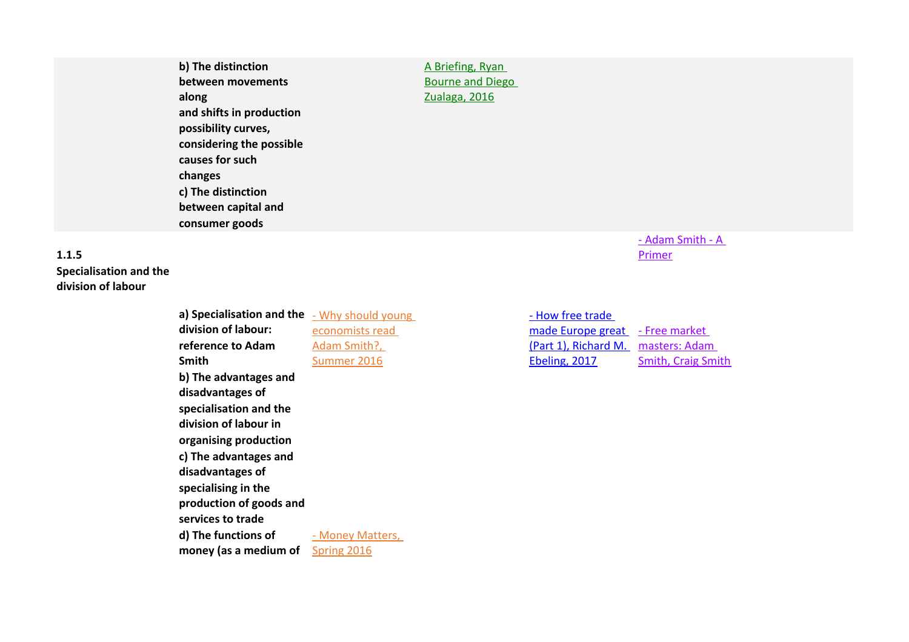**b) The distinction between movements along and shifts in production possibility curves, considering the possible causes for such changes c) The distinction between capital and consumer goods**

**1.1.5 Specialisation and the division of labour**

> **a) Specialisation and the**  [- Why should young](https://iea.org.uk/why-should-young-economists-read-adam-smith-interview-with-prof-vernon-l-smith/)  **division of labour:** [economists read](https://iea.org.uk/why-should-young-economists-read-adam-smith-interview-with-prof-vernon-l-smith/)  [Adam Smith?,](https://iea.org.uk/why-should-young-economists-read-adam-smith-interview-with-prof-vernon-l-smith/)  [Summer 2016](https://iea.org.uk/why-should-young-economists-read-adam-smith-interview-with-prof-vernon-l-smith/) **reference to Adam Smith b) The advantages and disadvantages of specialisation and the division of labour in organising production c) The advantages and disadvantages of specialising in the production of goods and services to trade d) The functions of money (as a medium of** [- Money Matters,](https://iealondon.wpengine.com/wp-content/uploads/2016/08/EA-SPRING-2016_City-View_REVISED.pdf)  [Spring 2016](https://iealondon.wpengine.com/wp-content/uploads/2016/08/EA-SPRING-2016_City-View_REVISED.pdf)

[A Briefing, Ryan](https://iea.org.uk/wp-content/uploads/2016/11/IEA-Infrastructure-spending-briefing.pdf)  [Bourne and Diego](https://iea.org.uk/wp-content/uploads/2016/11/IEA-Infrastructure-spending-briefing.pdf)  [Zualaga, 2016](https://iea.org.uk/wp-content/uploads/2016/11/IEA-Infrastructure-spending-briefing.pdf)

> [- Adam Smith - A](http://www.iea.org.uk/multimedia/video/eamonn-butler-adam-smith-a-primer)  [Primer](http://www.iea.org.uk/multimedia/video/eamonn-butler-adam-smith-a-primer)

[- How free trade](https://iea.org.uk/how-free-trade-made-europe-great-part-1/)  [made Europe great](https://iea.org.uk/how-free-trade-made-europe-great-part-1/) - Free market [\(Part 1\), Richard M.](https://iea.org.uk/how-free-trade-made-europe-great-part-1/)  [Ebeling, 2017](https://iea.org.uk/how-free-trade-made-europe-great-part-1/) [masters: Adam](https://www.youtube.com/watch?v=6FEN2sgz0Lg)  [Smith, Craig Smith](https://www.youtube.com/watch?v=6FEN2sgz0Lg)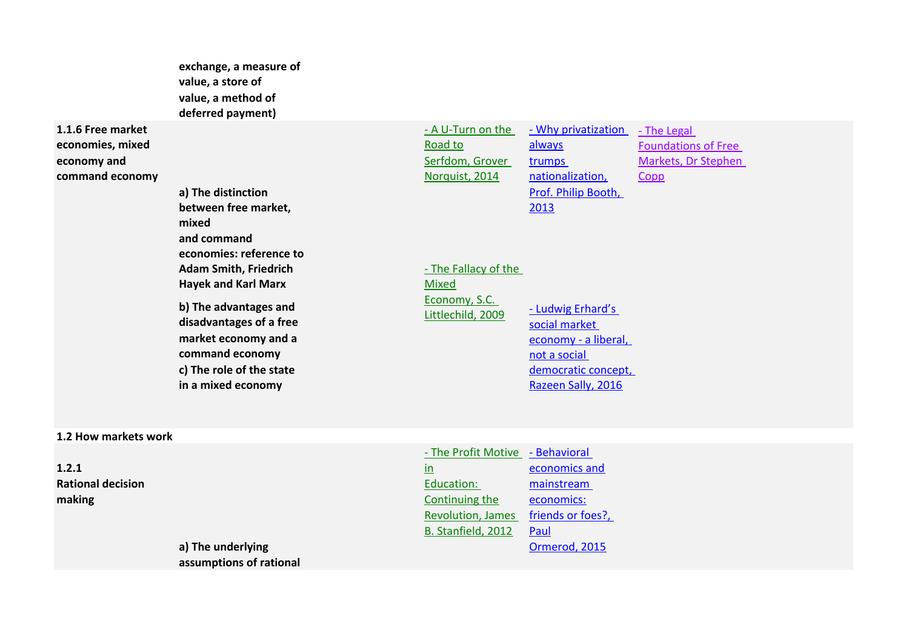|                                                                         | exchange, a measure of<br>value, a store of<br>value, a method of<br>deferred payment)                                                                      |
|-------------------------------------------------------------------------|-------------------------------------------------------------------------------------------------------------------------------------------------------------|
| 1.1.6 Free market<br>economies, mixed<br>economy and<br>command economy |                                                                                                                                                             |
|                                                                         | a) The distinction<br>between free market,<br>mixed<br>and command<br>economies: reference to<br><b>Adam Smith, Friedrich</b><br><b>Hayek and Karl Marx</b> |
|                                                                         | b) The advantages and<br>disadvantages of a free<br>market economy and a<br>command economy<br>c) The role of the state                                     |

#### [- A U-Turn on the](http://www.iea.org.uk/publications/research/a-u-turn-on-the-road-to-serfdom)  [Road to](http://www.iea.org.uk/publications/research/a-u-turn-on-the-road-to-serfdom) [- Why privatization](https://iea.org.uk/blog/why-privatisation-always-trumps-nationalisation)  [always](https://iea.org.uk/blog/why-privatisation-always-trumps-nationalisation) [- The Legal](http://www.iea.org.uk/multimedia/video/stephen-copp-the-legal-foundations-of-free-markets)  [Serfdom, Grover](http://www.iea.org.uk/publications/research/a-u-turn-on-the-road-to-serfdom)  [Norquist, 2014](http://www.iea.org.uk/publications/research/a-u-turn-on-the-road-to-serfdom) [trumps](https://iea.org.uk/blog/why-privatisation-always-trumps-nationalisation)  [nationalization,](https://iea.org.uk/blog/why-privatisation-always-trumps-nationalisation) [Prof. Philip Booth,](https://iea.org.uk/blog/why-privatisation-always-trumps-nationalisation)  [2013](https://iea.org.uk/blog/why-privatisation-always-trumps-nationalisation)

[Foundations of Free](http://www.iea.org.uk/multimedia/video/stephen-copp-the-legal-foundations-of-free-markets)  [Markets, Dr Stephen](http://www.iea.org.uk/multimedia/video/stephen-copp-the-legal-foundations-of-free-markets)  [Copp](http://www.iea.org.uk/multimedia/video/stephen-copp-the-legal-foundations-of-free-markets)

[- The Fallacy of the](https://iea.org.uk/publications/research/the-fallacy-of-the-mixed-economy)  [Mixed](https://iea.org.uk/publications/research/the-fallacy-of-the-mixed-economy) [Economy, S.C.](https://iea.org.uk/publications/research/the-fallacy-of-the-mixed-economy)  [Littlechild, 2009](https://iea.org.uk/publications/research/the-fallacy-of-the-mixed-economy) - Ludwig Erhard's

[social market](https://iea.org.uk/blog/ludwig-erhards-social-market-economy-a-liberal-not-a-social-democratic-concept)  [economy - a liberal,](https://iea.org.uk/blog/ludwig-erhards-social-market-economy-a-liberal-not-a-social-democratic-concept)  [not a social](https://iea.org.uk/blog/ludwig-erhards-social-market-economy-a-liberal-not-a-social-democratic-concept)  [democratic concept,](https://iea.org.uk/blog/ludwig-erhards-social-market-economy-a-liberal-not-a-social-democratic-concept)  [Razeen Sally, 2016](https://iea.org.uk/blog/ludwig-erhards-social-market-economy-a-liberal-not-a-social-democratic-concept)

#### **1.2 How markets work**

**1.2.1 Rational decision making**

**a) The underlying assumptions of rational**

**in a mixed economy**

[- The Profit Motive](http://www.iea.org.uk/publications/research/the-profit-motive-in-education-continuing-the-revolution) - Behavioral [in](http://www.iea.org.uk/publications/research/the-profit-motive-in-education-continuing-the-revolution) [economics and](http://www.iea.org.uk/blog/behavioural-economics-and-mainstream-economics-friends-or-foes) [Education:](http://www.iea.org.uk/publications/research/the-profit-motive-in-education-continuing-the-revolution)  [Continuing the](http://www.iea.org.uk/publications/research/the-profit-motive-in-education-continuing-the-revolution) [mainstream](http://www.iea.org.uk/blog/behavioural-economics-and-mainstream-economics-friends-or-foes)  [economics:](http://www.iea.org.uk/blog/behavioural-economics-and-mainstream-economics-friends-or-foes) [Revolution, James](http://www.iea.org.uk/publications/research/the-profit-motive-in-education-continuing-the-revolution)  [B. Stanfield, 2012](http://www.iea.org.uk/publications/research/the-profit-motive-in-education-continuing-the-revolution) friends or foes?, [Paul](http://www.iea.org.uk/blog/behavioural-economics-and-mainstream-economics-friends-or-foes) [Ormerod, 2015](http://www.iea.org.uk/blog/behavioural-economics-and-mainstream-economics-friends-or-foes)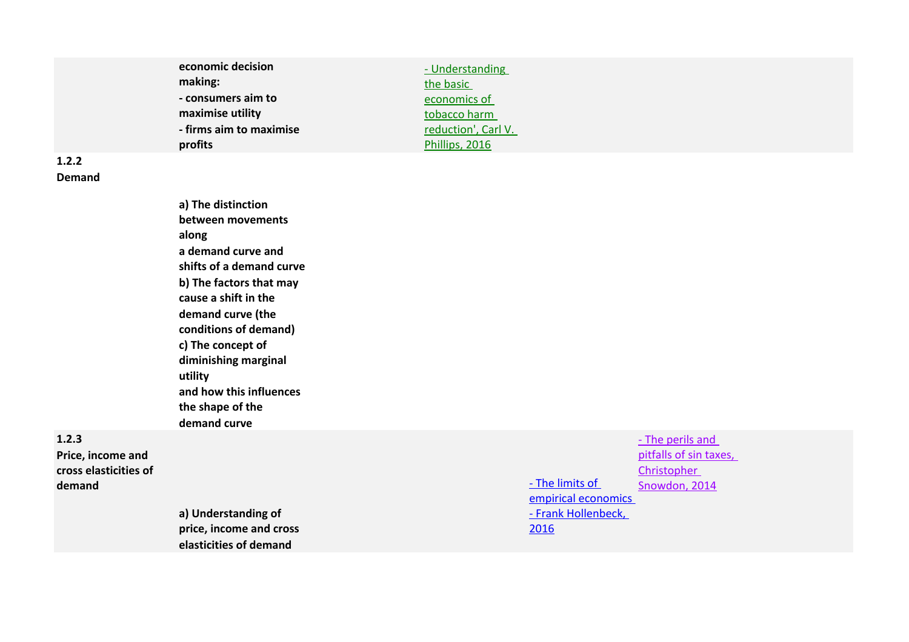|               | economic decision       | - Understanding     |  |
|---------------|-------------------------|---------------------|--|
|               | making:                 | the basic           |  |
|               | - consumers aim to      | economics of        |  |
|               | maximise utility        | tobacco harm        |  |
|               | - firms aim to maximise | reduction', Carl V. |  |
|               | profits                 | Phillips, 2016      |  |
| 1.2.2         |                         |                     |  |
| <b>Demand</b> |                         |                     |  |

**a) The distinction between movements along a demand curve and shifts of a demand curve b) The factors that may cause a shift in the demand curve (the conditions of demand) c) The concept of diminishing marginal utility and how this influences the shape of the demand curve**

> **a) Understanding of price, income and cross elasticities of demand**

| 1.2.3                 |                         |                     | - The perils and       |
|-----------------------|-------------------------|---------------------|------------------------|
| Price, income and     |                         |                     | pitfalls of sin taxes, |
| cross elasticities of |                         |                     | Christopher            |
| demand                |                         | - The limits of     | Snowdon, 2014          |
|                       |                         | empirical economics |                        |
|                       | a) Understanding of     | - Frank Hollenbeck, |                        |
|                       | price, income and cross | 2016                |                        |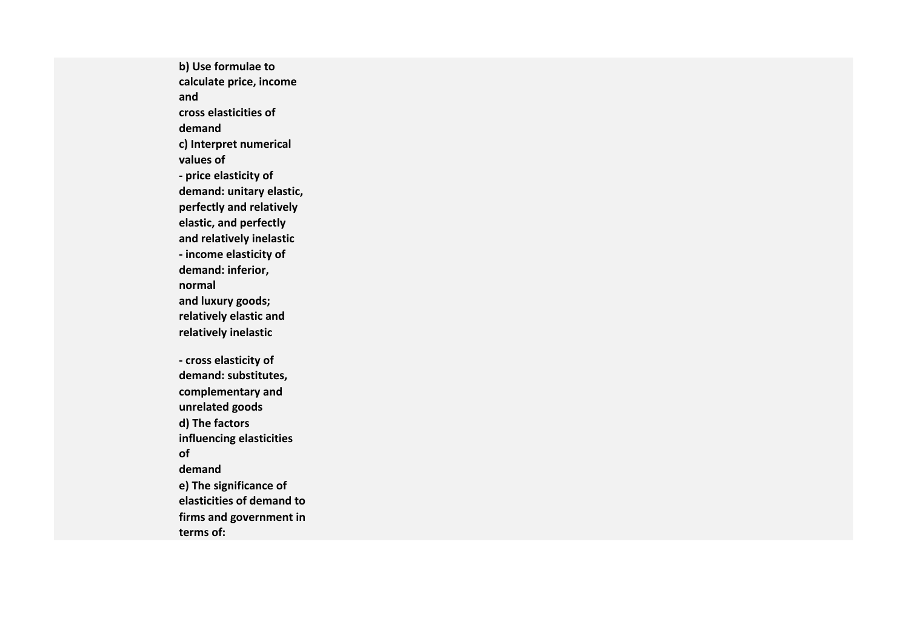**b) Use formulae to calculate price, income and cross elasticities of demand c) Interpret numerical values of - price elasticity of demand: unitary elastic, perfectly and relatively elastic, and perfectly and relatively inelastic - income elasticity of demand: inferior, normal and luxury goods; relatively elastic and relatively inelastic - cross elasticity of demand: substitutes, complementary and unrelated goods d) The factors influencing elasticities of demand e) The significance of elasticities of demand to firms and government in terms of:**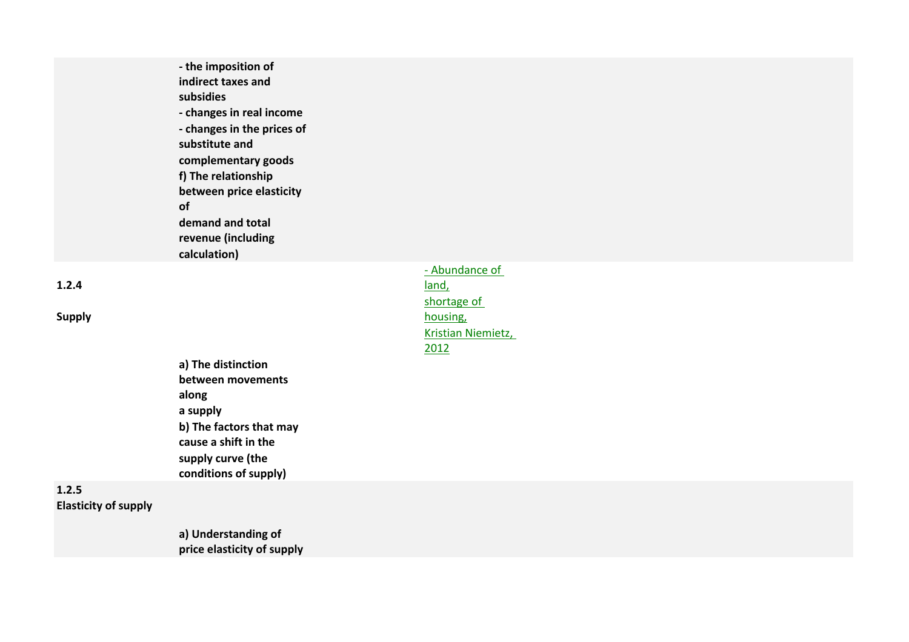|                             | - the imposition of<br>indirect taxes and<br>subsidies<br>- changes in real income<br>- changes in the prices of<br>substitute and<br>complementary goods<br>f) The relationship<br>between price elasticity<br>of<br>demand and total<br>revenue (including<br>calculation) |                                        |
|-----------------------------|------------------------------------------------------------------------------------------------------------------------------------------------------------------------------------------------------------------------------------------------------------------------------|----------------------------------------|
| 1.2.4                       |                                                                                                                                                                                                                                                                              | - Abundance of<br>land,<br>shortage of |
| <b>Supply</b>               |                                                                                                                                                                                                                                                                              | housing,<br>Kristian Niemietz,<br>2012 |
|                             | a) The distinction                                                                                                                                                                                                                                                           |                                        |
|                             | between movements                                                                                                                                                                                                                                                            |                                        |
|                             | along                                                                                                                                                                                                                                                                        |                                        |
|                             | a supply                                                                                                                                                                                                                                                                     |                                        |
|                             | b) The factors that may<br>cause a shift in the                                                                                                                                                                                                                              |                                        |
|                             | supply curve (the                                                                                                                                                                                                                                                            |                                        |
|                             | conditions of supply)                                                                                                                                                                                                                                                        |                                        |
| 1.2.5                       |                                                                                                                                                                                                                                                                              |                                        |
| <b>Elasticity of supply</b> |                                                                                                                                                                                                                                                                              |                                        |
|                             | a) Understanding of                                                                                                                                                                                                                                                          |                                        |
|                             | price elasticity of supply                                                                                                                                                                                                                                                   |                                        |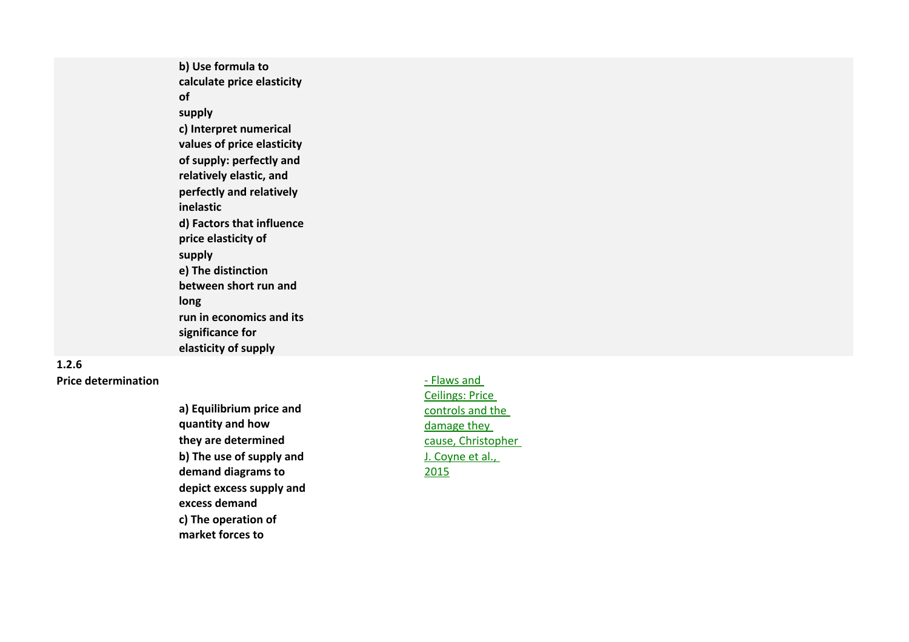**b) Use formula to calculate price elasticity of supply c) Interpret numerical values of price elasticity of supply: perfectly and relatively elastic, and perfectly and relatively inelastic d) Factors that influence price elasticity of supply e) The distinction between short run and long run in economics and its significance for elasticity of supply**

#### **1.2.6**

**Price determination**

**a) Equilibrium price and quantity and how they are determined b) The use of supply and demand diagrams to depict excess supply and excess demand c) The operation of market forces to**

[- Flaws and](http://www.iea.org.uk/publications/research/flaws-and-ceilings-price-controls-and-the-damage-they-cause)  [Ceilings: Price](http://www.iea.org.uk/publications/research/flaws-and-ceilings-price-controls-and-the-damage-they-cause)  [controls and the](http://www.iea.org.uk/publications/research/flaws-and-ceilings-price-controls-and-the-damage-they-cause)  damage they [cause, Christopher](http://www.iea.org.uk/publications/research/flaws-and-ceilings-price-controls-and-the-damage-they-cause)  [J. Coyne et al.,](http://www.iea.org.uk/publications/research/flaws-and-ceilings-price-controls-and-the-damage-they-cause)  [2015](http://www.iea.org.uk/publications/research/flaws-and-ceilings-price-controls-and-the-damage-they-cause)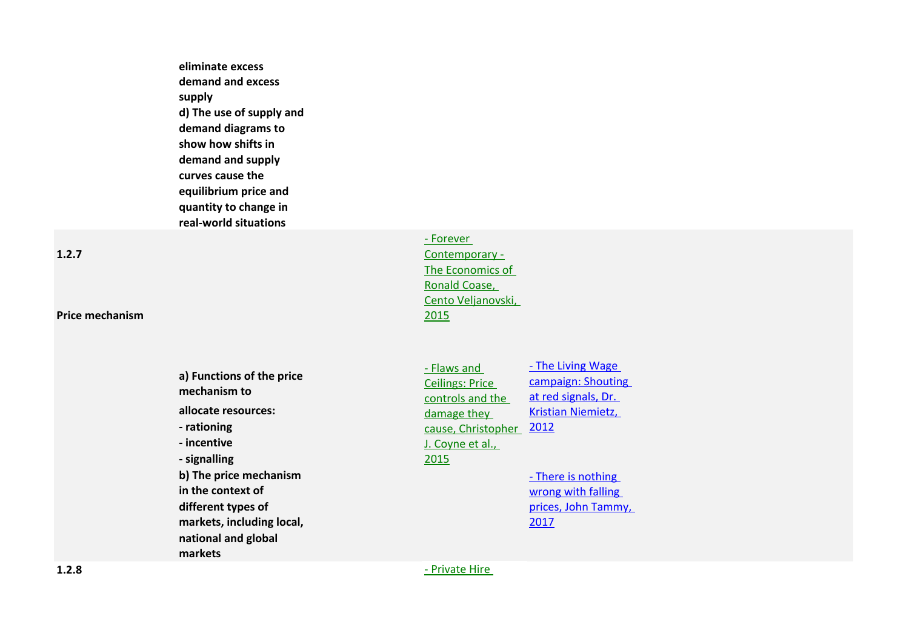**eliminate excess demand and excess supply d) The use of supply and demand diagrams to show how shifts in demand and supply curves cause the equilibrium price and quantity to change in real-world situations**

**1.2.7**

**Price mechanism**

**a) Functions of the price mechanism to allocate resources: - rationing - incentive - signalling b) The price mechanism in the context of different types of markets, including local, national and global markets**

[- Forever](http://www.iea.org.uk/publications/research/forever-contemporary-the-economics-of-ronald-coase)  [Contemporary -](http://www.iea.org.uk/publications/research/forever-contemporary-the-economics-of-ronald-coase) [The Economics of](http://www.iea.org.uk/publications/research/forever-contemporary-the-economics-of-ronald-coase)  [Ronald Coase,](http://www.iea.org.uk/publications/research/forever-contemporary-the-economics-of-ronald-coase)  [Cento Veljanovski,](http://www.iea.org.uk/publications/research/forever-contemporary-the-economics-of-ronald-coase)  [2015](http://www.iea.org.uk/publications/research/forever-contemporary-the-economics-of-ronald-coase)

[- Flaws and](http://www.iea.org.uk/publications/research/flaws-and-ceilings-price-controls-and-the-damage-they-cause)  [Ceilings: Price](http://www.iea.org.uk/publications/research/flaws-and-ceilings-price-controls-and-the-damage-they-cause)  [controls and the](http://www.iea.org.uk/publications/research/flaws-and-ceilings-price-controls-and-the-damage-they-cause)  [damage they](http://www.iea.org.uk/publications/research/flaws-and-ceilings-price-controls-and-the-damage-they-cause)  [cause, Christopher](http://www.iea.org.uk/publications/research/flaws-and-ceilings-price-controls-and-the-damage-they-cause)  [J. Coyne et al.,](http://www.iea.org.uk/publications/research/flaws-and-ceilings-price-controls-and-the-damage-they-cause)  [2015](http://www.iea.org.uk/publications/research/flaws-and-ceilings-price-controls-and-the-damage-they-cause) [- The Living Wage](https://iea.org.uk/blog/the-living-wage-campaign-shouting-at-red-signals)  [campaign: Shouting](https://iea.org.uk/blog/the-living-wage-campaign-shouting-at-red-signals)  [at red signals, Dr.](https://iea.org.uk/blog/the-living-wage-campaign-shouting-at-red-signals)  [Kristian Niemietz,](https://iea.org.uk/blog/the-living-wage-campaign-shouting-at-red-signals)  [2012](https://iea.org.uk/blog/the-living-wage-campaign-shouting-at-red-signals) - There is nothing

[wrong with falling](https://iea.org.uk/there-is-nothing-wrong-with-falling-prices/)  [prices, John Tammy,](https://iea.org.uk/there-is-nothing-wrong-with-falling-prices/)  [2017](https://iea.org.uk/there-is-nothing-wrong-with-falling-prices/)

**1.2.8** - Private Hire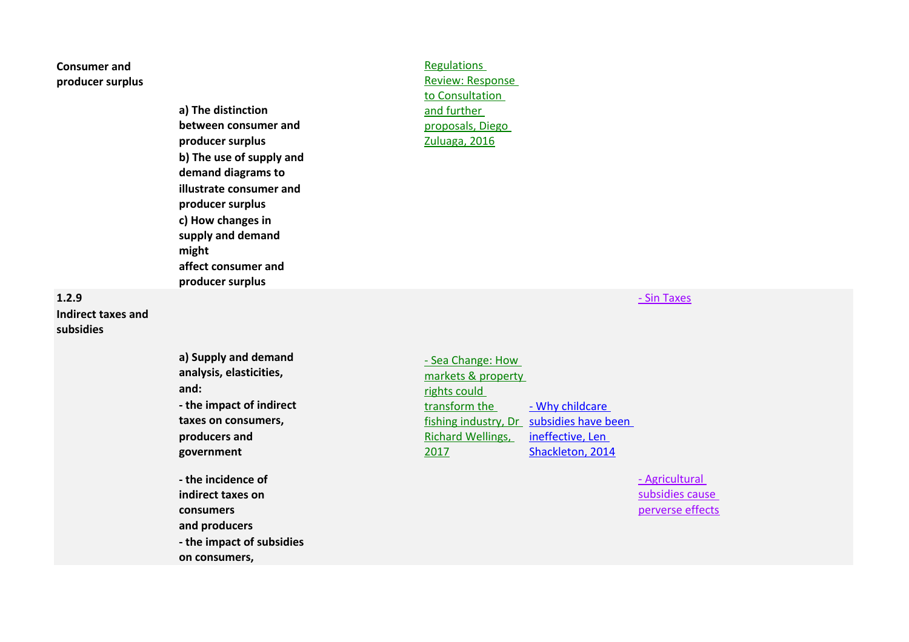**Consumer and producer surplus**

> **a) The distinction between consumer and producer surplus b) The use of supply and demand diagrams to illustrate consumer and producer surplus c) How changes in supply and demand might affect consumer and producer surplus**

[Regulations](https://iea.org.uk/publications/research/private-hire-regulations-review-response-to-consultation-and-further-proposals)  [Review: Response](https://iea.org.uk/publications/research/private-hire-regulations-review-response-to-consultation-and-further-proposals)  [to Consultation](https://iea.org.uk/publications/research/private-hire-regulations-review-response-to-consultation-and-further-proposals)  [and further](https://iea.org.uk/publications/research/private-hire-regulations-review-response-to-consultation-and-further-proposals)  [proposals, Diego](https://iea.org.uk/publications/research/private-hire-regulations-review-response-to-consultation-and-further-proposals)  [Zuluaga, 2016](https://iea.org.uk/publications/research/private-hire-regulations-review-response-to-consultation-and-further-proposals)

#### **1.2.9** [- Sin Taxes](http://www.iea.org.uk/video/2020vision/sin-taxes) **Indirect taxes and subsidies**

**a) Supply and demand analysis, elasticities, and: - the impact of indirect taxes on consumers, producers and government**

**- the incidence of indirect taxes on consumers and producers - the impact of subsidies on consumers,**

[- Sea Change: How](https://iea.org.uk/publications/sea-change-how-markets-property-rights-could-transform-the-fishing-industry/)  [markets & property](https://iea.org.uk/publications/sea-change-how-markets-property-rights-could-transform-the-fishing-industry/)  [rights could](https://iea.org.uk/publications/sea-change-how-markets-property-rights-could-transform-the-fishing-industry/)  [transform the](https://iea.org.uk/publications/sea-change-how-markets-property-rights-could-transform-the-fishing-industry/)  [fishing industry, Dr](https://iea.org.uk/publications/sea-change-how-markets-property-rights-could-transform-the-fishing-industry/) subsidies have been [Richard Wellings,](https://iea.org.uk/publications/sea-change-how-markets-property-rights-could-transform-the-fishing-industry/)  [2017](https://iea.org.uk/publications/sea-change-how-markets-property-rights-could-transform-the-fishing-industry/) [- Why childcare](https://iea.org.uk/blog/why-childcare-subsidies-have-been-ineffective)  [ineffective, Len](https://iea.org.uk/blog/why-childcare-subsidies-have-been-ineffective)  [Shackleton, 2014](https://iea.org.uk/blog/why-childcare-subsidies-have-been-ineffective)

> [- Agricultural](http://www.bbc.co.uk/programmes/b08xy0q6)  [subsidies cause](http://www.bbc.co.uk/programmes/b08xy0q6)  [perverse effects](http://www.bbc.co.uk/programmes/b08xy0q6)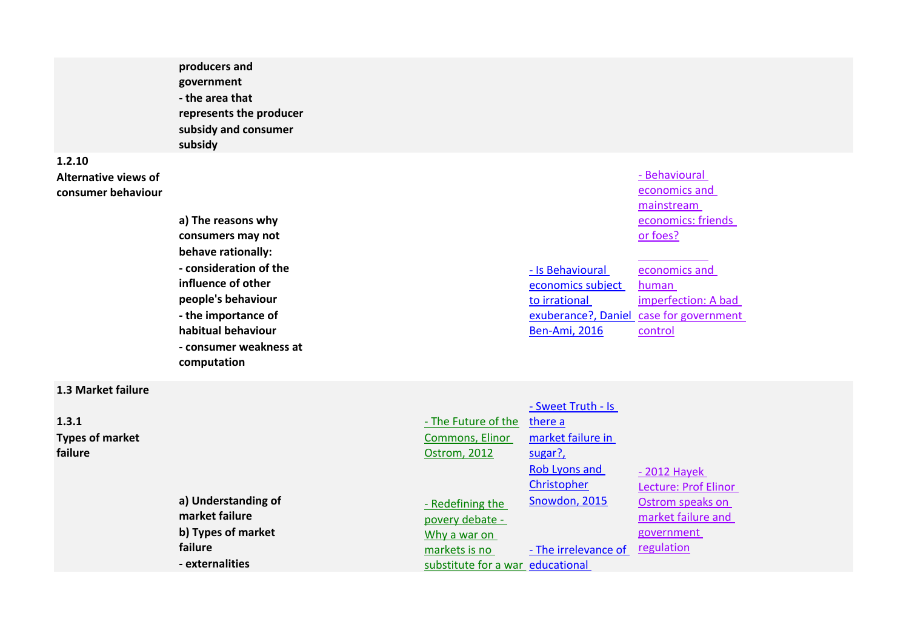**producers and government - the area that represents the producer subsidy and consumer subsidy**

## **1.2.10 Alternative views of consumer behaviour**

**a) The reasons why consumers may not behave rationally: - consideration of the influence of other people's behaviour - the importance of habitual behaviour - consumer weakness at computation**

#### **1.3 Market failure**

[- Behavioural](http://www.iea.org.uk/blog/behavioural-economics-and-mainstream-economics-friends-or-foes)  [economics and](http://www.iea.org.uk/blog/behavioural-economics-and-mainstream-economics-friends-or-foes)  [mainstream](http://www.iea.org.uk/blog/behavioural-economics-and-mainstream-economics-friends-or-foes)  [economics: friends](http://www.iea.org.uk/blog/behavioural-economics-and-mainstream-economics-friends-or-foes)  [or foes?](http://www.iea.org.uk/blog/behavioural-economics-and-mainstream-economics-friends-or-foes)

[- Behavioural](http://www.iea.org.uk/blog/behavioural-economics-and-mainstream-economics-friends-or-foes) Behavioural B

[- Is Behavioural](https://iea.org.uk/blog/is-behavioural-economics-subject-to-irrational-exuberance)  [economics subject](https://iea.org.uk/blog/is-behavioural-economics-subject-to-irrational-exuberance)  [to irrational](https://iea.org.uk/blog/is-behavioural-economics-subject-to-irrational-exuberance)  [exuberance?, Daniel](https://iea.org.uk/blog/is-behavioural-economics-subject-to-irrational-exuberance) case for government [Ben-Ami, 2016](https://iea.org.uk/blog/is-behavioural-economics-subject-to-irrational-exuberance) [economics and](http://www.iea.org.uk/blog/behavioural-economics-and-mainstream-economics-friends-or-foes)  [human](http://www.iea.org.uk/blog/behavioural-economics-and-mainstream-economics-friends-or-foes)  [imperfection: A bad](http://www.iea.org.uk/blog/behavioural-economics-and-mainstream-economics-friends-or-foes)  [control](http://www.iea.org.uk/blog/behavioural-economics-and-mainstream-economics-friends-or-foes)

|                        | - Sweet Truth - Is                                    |
|------------------------|-------------------------------------------------------|
| 1.3.1                  | - The Future of the<br>there a                        |
| <b>Types of market</b> | market failure in<br>Commons, Elinor                  |
| failure                | <b>Ostrom, 2012</b><br>sugar?,                        |
|                        | <b>Rob Lyons and</b><br>$-2012$ Hayek                 |
|                        | Christopher<br>Lecture: Prof Elinor                   |
| a) Understanding of    | Snowdon, 2015<br>Ostrom speaks on<br>- Redefining the |
| market failure         | market failure and<br>povery debate -                 |
| b) Types of market     | government<br>Why a war on                            |
| failure                | regulation<br>- The irrelevance of<br>markets is no   |
| - externalities        | substitute for a war educational                      |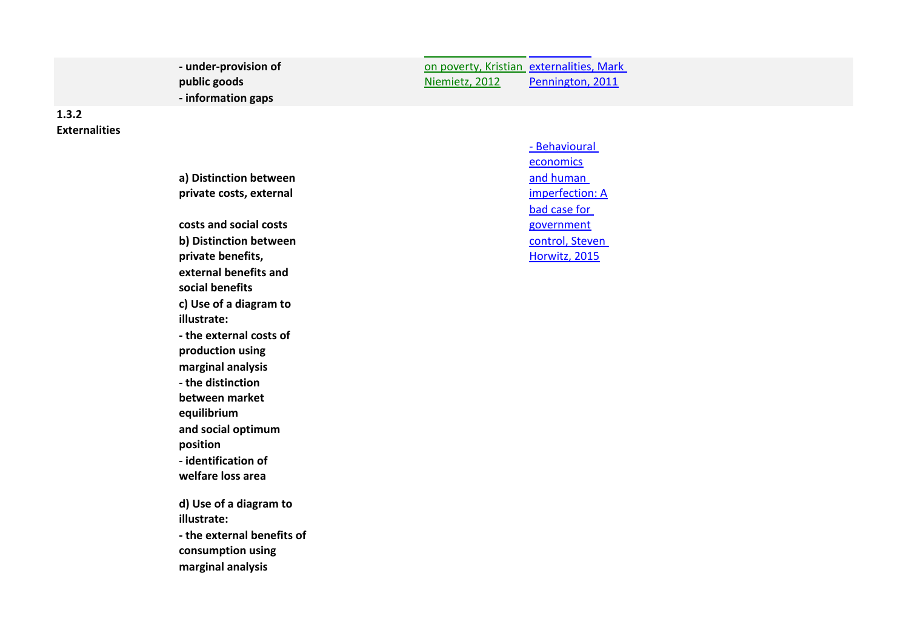**- under-provision of public goods - information gaps**

[on poverty, Kristian](https://iea.org.uk/publications/research/redefining-the-poverty-debate-why-a-war-on-markets-is-no-substitute-for-a-war-) externalities, Mark [Niemietz, 2012](https://iea.org.uk/publications/research/redefining-the-poverty-debate-why-a-war-on-markets-is-no-substitute-for-a-war-) [Pennington, 2011](https://iea.org.uk/blog/the-irrelevance-of-educational-externalities)

education in the control of the control of the control of the control of the control of the control of the control of the control of the control of the control of the control of the control of the control of the control of

substitute for a warranty for a warranty

**1.3.2 Externalities**

> **a) Distinction between private costs, external**

**costs and social costs b) Distinction between private benefits, external benefits and social benefits c) Use of a diagram to illustrate: - the external costs of production using marginal analysis - the distinction between market equilibrium and social optimum position - identification of welfare loss area d) Use of a diagram to illustrate:**

**- the external benefits of consumption using marginal analysis**

[- Behavioural](http://www.iea.org.uk/blog/behavioural-economics-and-human-imperfection-a-bad-case-for-government-control)  **[economics](http://www.iea.org.uk/blog/behavioural-economics-and-human-imperfection-a-bad-case-for-government-control)** [and human](http://www.iea.org.uk/blog/behavioural-economics-and-human-imperfection-a-bad-case-for-government-control)  [imperfection: A](http://www.iea.org.uk/blog/behavioural-economics-and-human-imperfection-a-bad-case-for-government-control) [bad case for](http://www.iea.org.uk/blog/behavioural-economics-and-human-imperfection-a-bad-case-for-government-control)  [government](http://www.iea.org.uk/blog/behavioural-economics-and-human-imperfection-a-bad-case-for-government-control) [control, Steven](http://www.iea.org.uk/blog/behavioural-economics-and-human-imperfection-a-bad-case-for-government-control)  [Horwitz, 2015](http://www.iea.org.uk/blog/behavioural-economics-and-human-imperfection-a-bad-case-for-government-control)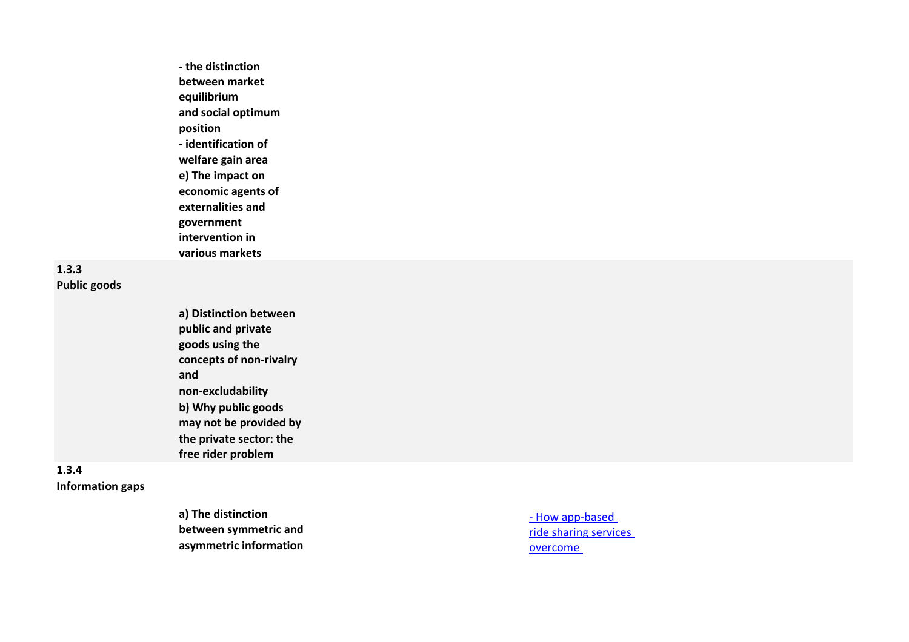**- the distinction between market equilibrium and social optimum position - identification of welfare gain area e) The impact on economic agents of externalities and government intervention in various markets**

**1.3.3 Public goods**

> **a) Distinction between public and private goods using the concepts of non-rivalry and non-excludability b) Why public goods may not be provided by the private sector: the free rider problem**

**1.3.4**

**Information gaps**

**a) The distinction between symmetric and asymmetric information**

[- How app-based](https://iea.org.uk/how-app-based-ride-sharing-services-overcome-information-asymmetries/)  [ride sharing services](https://iea.org.uk/how-app-based-ride-sharing-services-overcome-information-asymmetries/)  [overcome](https://iea.org.uk/how-app-based-ride-sharing-services-overcome-information-asymmetries/)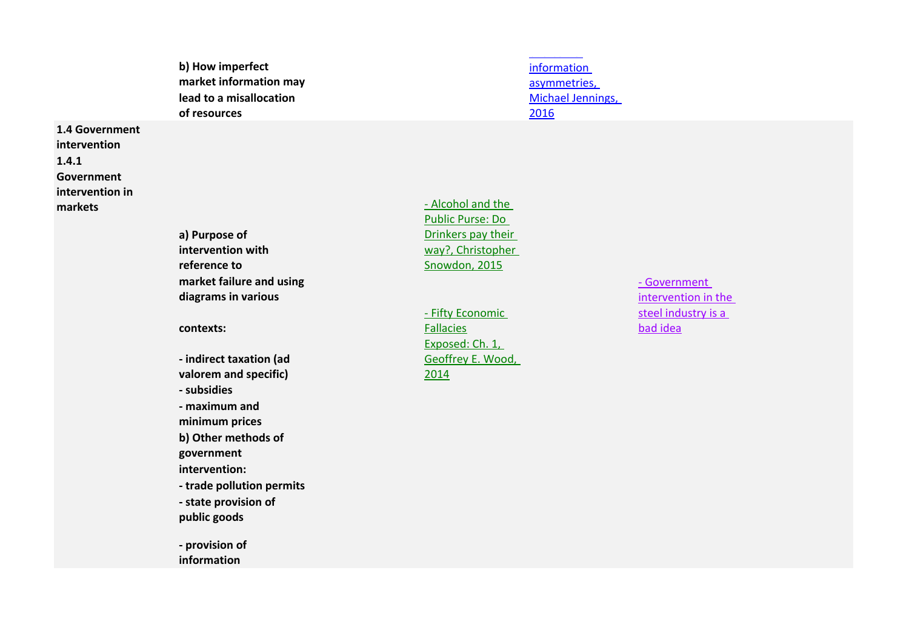**b) How imperfect market information may lead to a misallocation of resources**

**1.4 Government intervention 1.4.1 Government intervention in markets**

> **a) Purpose of intervention with reference to market failure and using diagrams in various**

**contexts:**

**- indirect taxation (ad valorem and specific)**

**- subsidies**

**- maximum and minimum prices**

**b) Other methods of** 

**government**

**intervention:**

**- trade pollution permits**

**- state provision of public goods**

**- provision of information**

[information](https://iea.org.uk/how-app-based-ride-sharing-services-overcome-information-asymmetries/)  [asymmetries,](https://iea.org.uk/how-app-based-ride-sharing-services-overcome-information-asymmetries/)  [Michael Jennings,](https://iea.org.uk/how-app-based-ride-sharing-services-overcome-information-asymmetries/)  [2016](https://iea.org.uk/how-app-based-ride-sharing-services-overcome-information-asymmetries/)

<u>overcome</u>

[- Alcohol and the](http://www.iea.org.uk/publications/research/alcohol-and-the-public-purse-do-drinkers-pay-their-way)  [Public Purse: Do](http://www.iea.org.uk/publications/research/alcohol-and-the-public-purse-do-drinkers-pay-their-way)  [Drinkers pay their](http://www.iea.org.uk/publications/research/alcohol-and-the-public-purse-do-drinkers-pay-their-way)  [way?, Christopher](http://www.iea.org.uk/publications/research/alcohol-and-the-public-purse-do-drinkers-pay-their-way)  [Snowdon, 2015](http://www.iea.org.uk/publications/research/alcohol-and-the-public-purse-do-drinkers-pay-their-way)

[- Fifty Economic](http://www.iea.org.uk/publications/research/fifty-economic-fallacies-exposed-second-edition)  [Fallacies](http://www.iea.org.uk/publications/research/fifty-economic-fallacies-exposed-second-edition) [Exposed: Ch. 1,](http://www.iea.org.uk/publications/research/fifty-economic-fallacies-exposed-second-edition)  [Geoffrey E. Wood,](http://www.iea.org.uk/publications/research/fifty-economic-fallacies-exposed-second-edition)  [2014](http://www.iea.org.uk/publications/research/fifty-economic-fallacies-exposed-second-edition)

[- Government](http://www.bbc.co.uk/programmes/p03py51l)  [intervention in the](http://www.bbc.co.uk/programmes/p03py51l)  steel industry is a [bad idea](http://www.bbc.co.uk/programmes/p03py51l)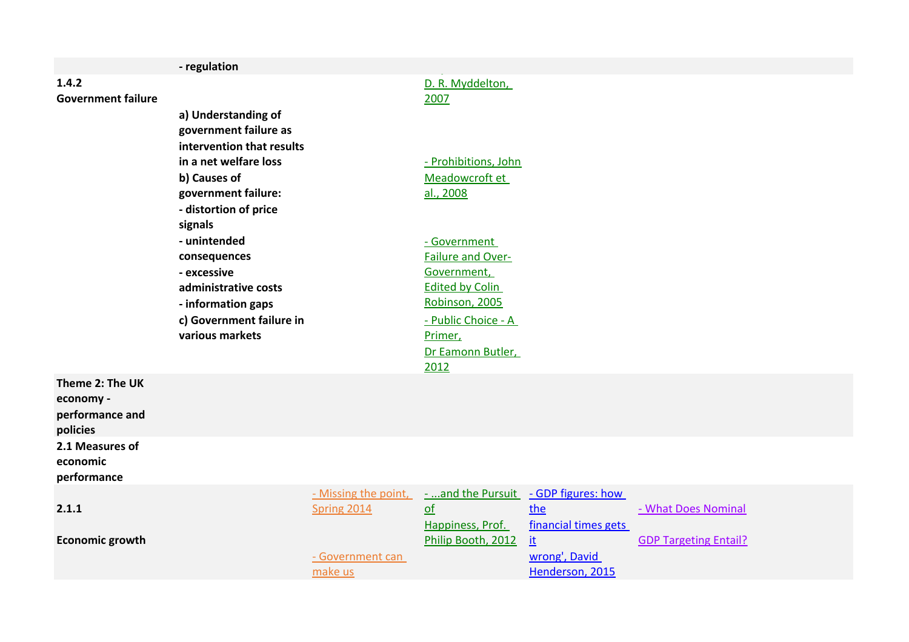|                                                 | - regulation              |                      |                                      |                      |                              |  |
|-------------------------------------------------|---------------------------|----------------------|--------------------------------------|----------------------|------------------------------|--|
| 1.4.2<br><b>Government failure</b>              |                           |                      | D. R. Myddelton,<br>2007             |                      |                              |  |
|                                                 | a) Understanding of       |                      |                                      |                      |                              |  |
|                                                 | government failure as     |                      |                                      |                      |                              |  |
|                                                 | intervention that results |                      |                                      |                      |                              |  |
|                                                 | in a net welfare loss     |                      | - Prohibitions, John                 |                      |                              |  |
|                                                 | b) Causes of              |                      | Meadowcroft et                       |                      |                              |  |
|                                                 | government failure:       |                      | al., 2008                            |                      |                              |  |
|                                                 | - distortion of price     |                      |                                      |                      |                              |  |
|                                                 | signals                   |                      |                                      |                      |                              |  |
|                                                 | - unintended              |                      | - Government                         |                      |                              |  |
|                                                 | consequences              |                      | <b>Failure and Over-</b>             |                      |                              |  |
|                                                 | - excessive               |                      | Government,                          |                      |                              |  |
|                                                 | administrative costs      |                      | <b>Edited by Colin</b>               |                      |                              |  |
|                                                 | - information gaps        |                      | Robinson, 2005                       |                      |                              |  |
|                                                 | c) Government failure in  |                      | - Public Choice - A                  |                      |                              |  |
|                                                 | various markets           |                      | Primer,                              |                      |                              |  |
|                                                 |                           |                      | Dr Eamonn Butler,                    |                      |                              |  |
|                                                 |                           |                      | 2012                                 |                      |                              |  |
| Theme 2: The UK<br>economy -<br>performance and |                           |                      |                                      |                      |                              |  |
| policies                                        |                           |                      |                                      |                      |                              |  |
| 2.1 Measures of<br>economic<br>performance      |                           |                      |                                      |                      |                              |  |
|                                                 |                           | - Missing the point, | - and the Pursuit - GDP figures: how |                      |                              |  |
| 2.1.1                                           |                           | Spring 2014          | of                                   | the                  | - What Does Nominal          |  |
|                                                 |                           |                      | Happiness, Prof.                     | financial times gets |                              |  |
| <b>Economic growth</b>                          |                           |                      | Philip Booth, 2012                   | it                   | <b>GDP Targeting Entail?</b> |  |
|                                                 |                           | - Government can     |                                      | wrong', David        |                              |  |
|                                                 |                           | make us              |                                      | Henderson, 2015      |                              |  |
|                                                 |                           |                      |                                      |                      |                              |  |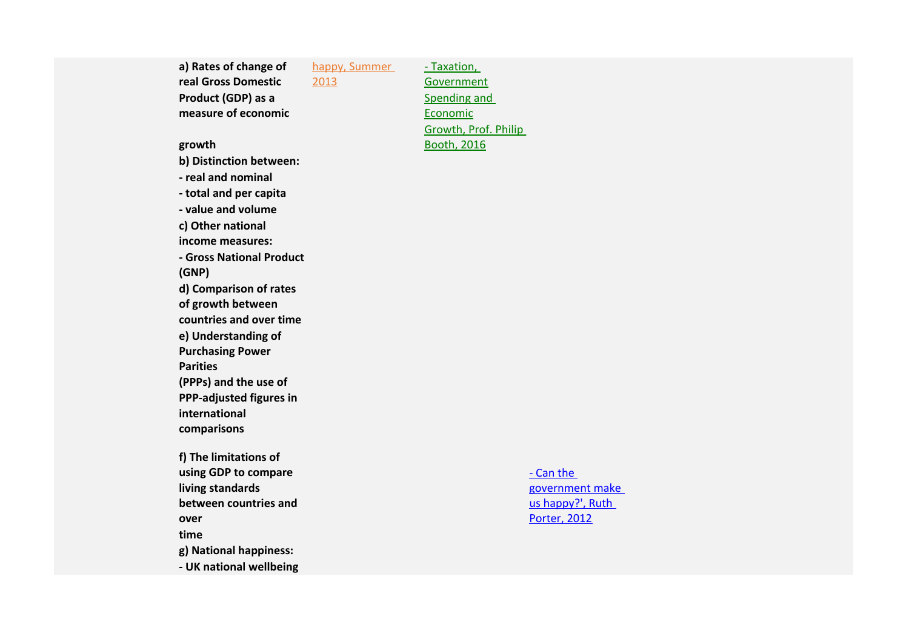**a) Rates of change of real Gross Domestic Product (GDP) as a measure of economic** [happy, Summer](https://iea.org.uk/wp-content/uploads/2016/08/EA-Summer-2013-fads.pdf) 

[2013](https://iea.org.uk/wp-content/uploads/2016/08/EA-Summer-2013-fads.pdf)

#### **growth**

**b) Distinction between:**

**- real and nominal**

**- total and per capita**

**- value and volume**

**c) Other national** 

**income measures:**

**- Gross National Product (GNP)**

**d) Comparison of rates of growth between countries and over time e) Understanding of** 

**Purchasing Power** 

**Parities**

**(PPPs) and the use of** 

**PPP-adjusted figures in international** 

**comparisons**

**f) The limitations of using GDP to compare**  $\sim$  Can the **living standards between countries and over time g) National happiness:**

**- UK national wellbeing**

[- Taxation,](https://iea.org.uk/publications/taxation-government-spending-and-economic-growth/)  [Government](https://iea.org.uk/publications/taxation-government-spending-and-economic-growth/) [Spending and](https://iea.org.uk/publications/taxation-government-spending-and-economic-growth/)  [Economic](https://iea.org.uk/publications/taxation-government-spending-and-economic-growth/) [Growth, Prof. Philip](https://iea.org.uk/publications/taxation-government-spending-and-economic-growth/)  [Booth, 2016](https://iea.org.uk/publications/taxation-government-spending-and-economic-growth/)

> [government make](https://iea.org.uk/blog/can-the-government-make-us-happy)  [us happy?', Ruth](https://iea.org.uk/blog/can-the-government-make-us-happy)  [Porter, 2012](https://iea.org.uk/blog/can-the-government-make-us-happy)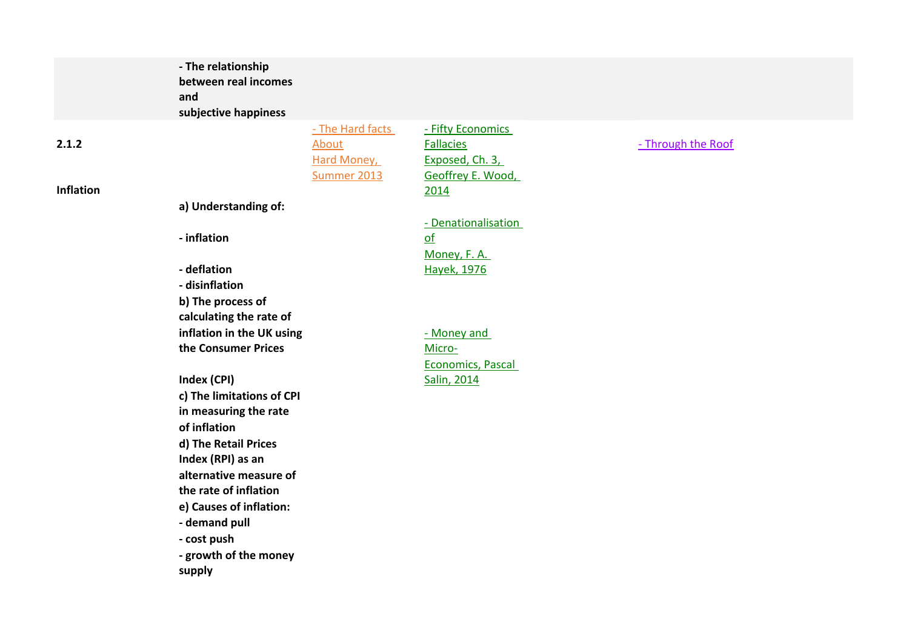|           | - The relationship<br>between real incomes<br>and<br>subjective happiness |                                          |                                                          |                    |
|-----------|---------------------------------------------------------------------------|------------------------------------------|----------------------------------------------------------|--------------------|
| 2.1.2     |                                                                           | - The Hard facts<br>About<br>Hard Money, | - Fifty Economics<br><b>Fallacies</b><br>Exposed, Ch. 3, | - Through the Roof |
| Inflation |                                                                           | Summer 2013                              | Geoffrey E. Wood,<br>2014                                |                    |
|           | a) Understanding of:                                                      |                                          |                                                          |                    |
|           | - inflation                                                               |                                          | - Denationalisation<br>$\Omega$                          |                    |
|           | - deflation                                                               |                                          | Money, F. A.<br><b>Hayek, 1976</b>                       |                    |
|           | - disinflation                                                            |                                          |                                                          |                    |
|           | b) The process of                                                         |                                          |                                                          |                    |
|           | calculating the rate of                                                   |                                          |                                                          |                    |
|           | inflation in the UK using                                                 |                                          | - Money and                                              |                    |
|           | the Consumer Prices                                                       |                                          | Micro-                                                   |                    |
|           |                                                                           |                                          | Economics, Pascal                                        |                    |
|           | Index (CPI)                                                               |                                          | Salin, 2014                                              |                    |
|           | c) The limitations of CPI                                                 |                                          |                                                          |                    |
|           | in measuring the rate                                                     |                                          |                                                          |                    |
|           | of inflation                                                              |                                          |                                                          |                    |
|           | d) The Retail Prices                                                      |                                          |                                                          |                    |
|           | Index (RPI) as an<br>alternative measure of                               |                                          |                                                          |                    |
|           | the rate of inflation                                                     |                                          |                                                          |                    |
|           | e) Causes of inflation:                                                   |                                          |                                                          |                    |
|           | - demand pull                                                             |                                          |                                                          |                    |
|           | - cost push                                                               |                                          |                                                          |                    |
|           | - growth of the money                                                     |                                          |                                                          |                    |
|           | supply                                                                    |                                          |                                                          |                    |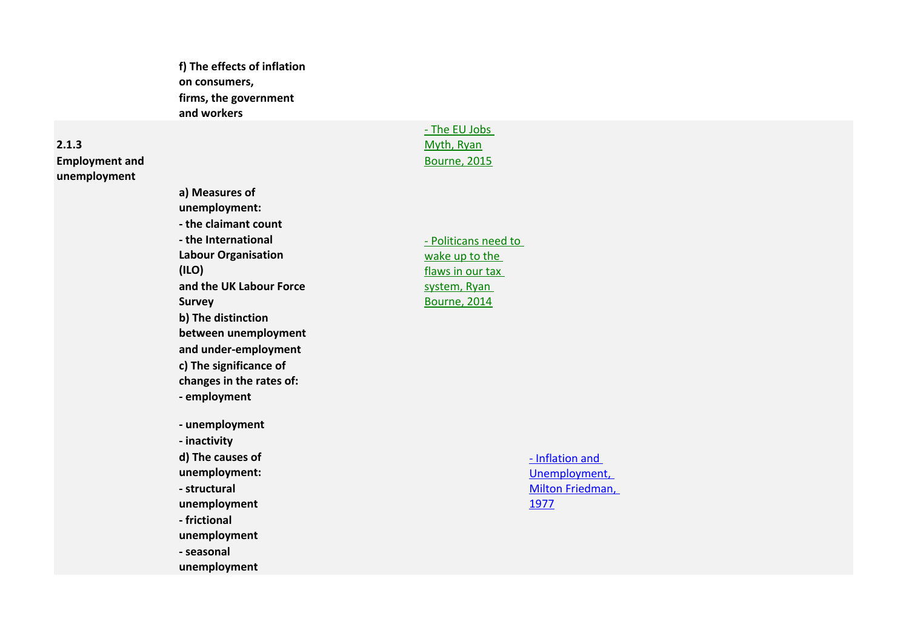**f) The effects of inflation on consumers, firms, the government and workers**

**2.1.3 Employment and unemployment**

**a) Measures of unemployment: - the claimant count - the International Labour Organisation (ILO) and the UK Labour Force Survey b) The distinction between unemployment and under-employment c) The significance of changes in the rates of: - employment - unemployment - inactivity d) The causes of unemployment: - structural** 

**unemployment - frictional** 

**unemployment**

**- seasonal** 

**unemployment**

[- The EU Jobs](http://www.iea.org.uk/publications/research/the-eu-jobs-myth-0)  [Myth, Ryan](http://www.iea.org.uk/publications/research/the-eu-jobs-myth-0) [Bourne, 2015](http://www.iea.org.uk/publications/research/the-eu-jobs-myth-0)

[- Politicans need to](http://www.iea.org.uk/in-the-media/press-release/politicians-need-to-wake-to-the-flaws-in-our-tax-system)  [wake up to the](http://www.iea.org.uk/in-the-media/press-release/politicians-need-to-wake-to-the-flaws-in-our-tax-system)  [flaws in our tax](http://www.iea.org.uk/in-the-media/press-release/politicians-need-to-wake-to-the-flaws-in-our-tax-system)  [system, Ryan](http://www.iea.org.uk/in-the-media/press-release/politicians-need-to-wake-to-the-flaws-in-our-tax-system)  [Bourne, 2014](http://www.iea.org.uk/in-the-media/press-release/politicians-need-to-wake-to-the-flaws-in-our-tax-system)

> [- Inflation and](https://iea.org.uk/publications/research/inflation-and-unemployment)  [Unemployment,](https://iea.org.uk/publications/research/inflation-and-unemployment)  [Milton Friedman,](https://iea.org.uk/publications/research/inflation-and-unemployment)  [1977](https://iea.org.uk/publications/research/inflation-and-unemployment)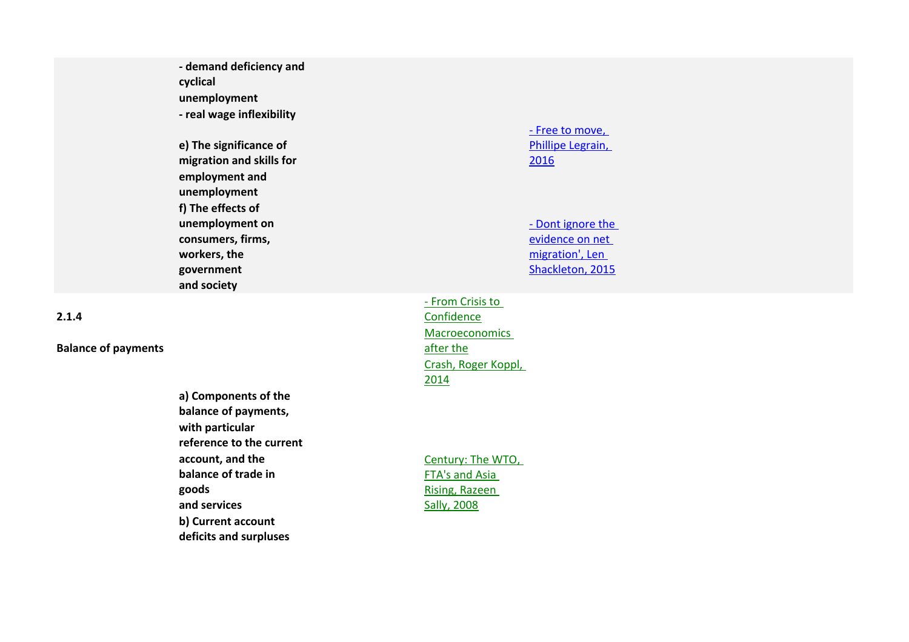**- demand deficiency and cyclical unemployment - real wage inflexibility e) The significance of migration and skills for employment and unemployment f) The effects of unemployment on**  $\blacksquare$ **consumers, firms, workers, the government and society**

**2.1.4**

#### **Balance of payments**

**a) Components of the balance of payments, with particular reference to the current account, and the balance of trade in goods and services** [Sally, 2008](http://www.iea.org.uk/publications/research/trade-policy-new-century-the-wto-ftas-and-asia-rising) **b) Current account deficits and surpluses**

[- Free to move,](https://iea.org.uk/publications/free-to-move/)  [Phillipe Legrain,](https://iea.org.uk/publications/free-to-move/)  [2016](https://iea.org.uk/publications/free-to-move/)

[evidence on net](https://iea.org.uk/in-the-media/media-coverage/dont-ignore-the-evidence-on-net-migration)  [migration', Len](https://iea.org.uk/in-the-media/media-coverage/dont-ignore-the-evidence-on-net-migration)  [Shackleton, 2015](https://iea.org.uk/in-the-media/media-coverage/dont-ignore-the-evidence-on-net-migration)

[- From Crisis to](http://www.iea.org.uk/publications/research/from-crisis-to-confidence-macroeconomics-after-the-crash)  **[Confidence](http://www.iea.org.uk/publications/research/from-crisis-to-confidence-macroeconomics-after-the-crash)** [Macroeconomics](http://www.iea.org.uk/publications/research/from-crisis-to-confidence-macroeconomics-after-the-crash)  [after the](http://www.iea.org.uk/publications/research/from-crisis-to-confidence-macroeconomics-after-the-crash) [Crash, Roger Koppl,](http://www.iea.org.uk/publications/research/from-crisis-to-confidence-macroeconomics-after-the-crash)  [2014](http://www.iea.org.uk/publications/research/from-crisis-to-confidence-macroeconomics-after-the-crash)

- Trade Policy, New [Century: The WTO,](http://www.iea.org.uk/publications/research/trade-policy-new-century-the-wto-ftas-and-asia-rising)  [FTA's and Asia](http://www.iea.org.uk/publications/research/trade-policy-new-century-the-wto-ftas-and-asia-rising)  [Rising, Razeen](http://www.iea.org.uk/publications/research/trade-policy-new-century-the-wto-ftas-and-asia-rising)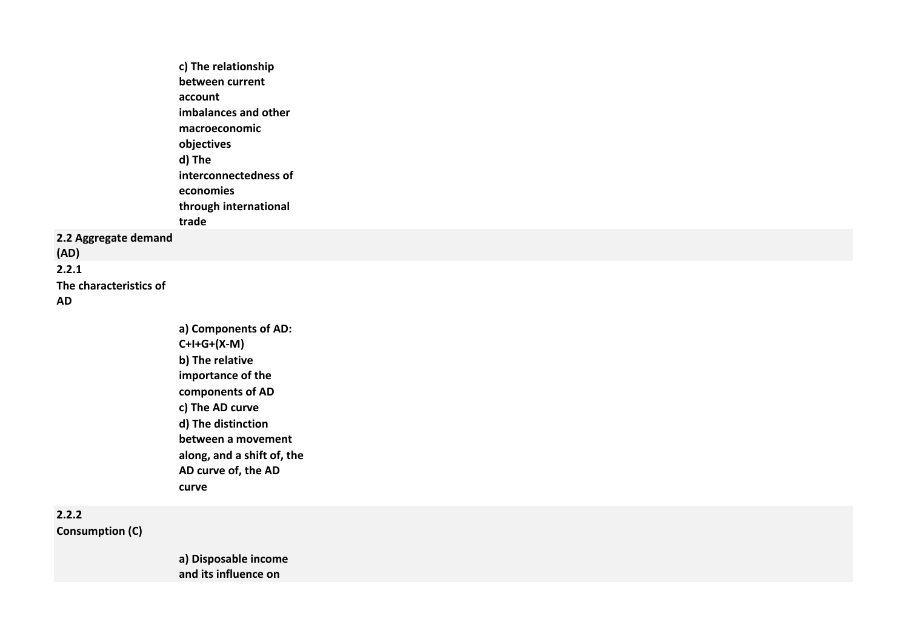**c) The relationship between current account imbalances and other macroeconomic objectives d) The interconnectedness of economies through international trade 2.2 Aggregate demand The characteristics of** 

**AD**

**(AD) 2.2.1**

> **a) Components of AD: C+I+G+(X-M) b) The relative importance of the components of AD c) The AD curve d) The distinction between a movement along, and a shift of, the AD curve of, the AD curve**

**2.2.2 Consumption (C)**

> **a) Disposable income and its influence on**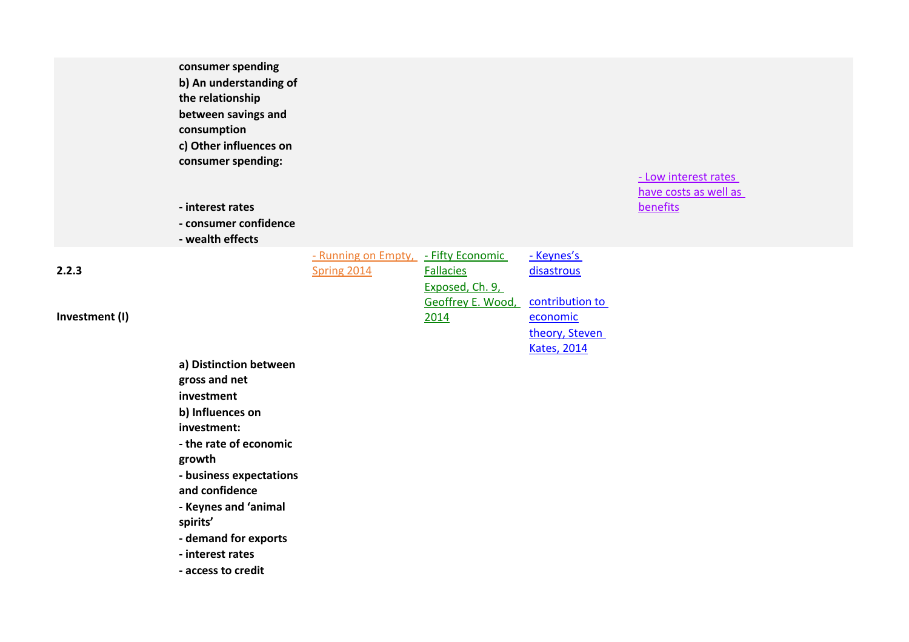**consumer spending b) An understanding of the relationship between savings and consumption c) Other influences on consumer spending:**

- **interest rates**
- **consumer confidence**
- **wealth effects**

[- Low interest rates](https://www.bbc.co.uk/iplayer/episode/b09dgfsd/newsnight-02112017)  [have costs as well as](https://www.bbc.co.uk/iplayer/episode/b09dgfsd/newsnight-02112017)  [benefits](https://www.bbc.co.uk/iplayer/episode/b09dgfsd/newsnight-02112017)

**2.2.3**

**Investment (I)**

[Spring 2014](https://iea.org.uk/wp-content/uploads/2016/08/EA-Spring-2014-fads-SMALL_0.pdf) **[Fallacies](http://www.iea.org.uk/publications/research/fifty-economic-fallacies-exposed-second-edition) [disastrous](http://www.iea.org.uk/blog/keynes%E2%80%99s-disastrous-contribution-to-economic-theory)** [Exposed, Ch. 9,](http://www.iea.org.uk/publications/research/fifty-economic-fallacies-exposed-second-edition)  [Geoffrey E. Wood,](http://www.iea.org.uk/publications/research/fifty-economic-fallacies-exposed-second-edition) contribution to [2014](http://www.iea.org.uk/publications/research/fifty-economic-fallacies-exposed-second-edition) [economic](http://www.iea.org.uk/blog/keynes%E2%80%99s-disastrous-contribution-to-economic-theory) [theory, Steven](http://www.iea.org.uk/blog/keynes%E2%80%99s-disastrous-contribution-to-economic-theory)  [Kates, 2014](http://www.iea.org.uk/blog/keynes%E2%80%99s-disastrous-contribution-to-economic-theory)

[- Running on Empty,](https://iea.org.uk/wp-content/uploads/2016/08/EA-Spring-2014-fads-SMALL_0.pdf) - Fifty Economic

[- Keynes's](http://www.iea.org.uk/blog/keynes%E2%80%99s-disastrous-contribution-to-economic-theory) 

**a) Distinction between** 

**gross and net**

**investment**

**b) Influences on** 

**investment:**

**- the rate of economic** 

**growth**

**- business expectations** 

**and confidence**

**- Keynes and 'animal** 

**spirits'**

**- demand for exports**

**- interest rates**

**- access to credit**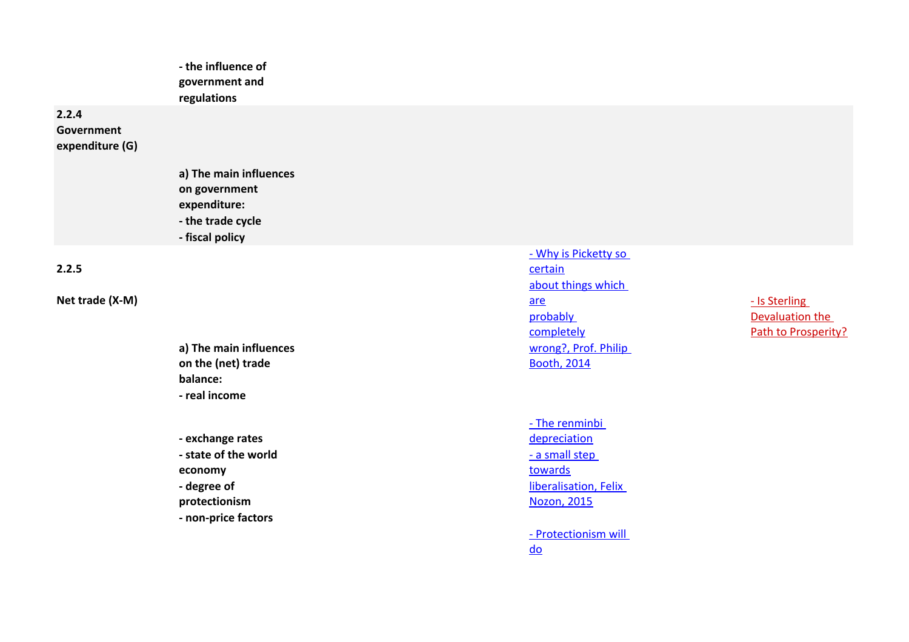|                                        | - the influence of<br>government and                                                            |                                 |                     |
|----------------------------------------|-------------------------------------------------------------------------------------------------|---------------------------------|---------------------|
| 2.2.4<br>Government<br>expenditure (G) | regulations                                                                                     |                                 |                     |
|                                        | a) The main influences<br>on government<br>expenditure:<br>- the trade cycle<br>- fiscal policy |                                 |                     |
| 2.2.5                                  |                                                                                                 | - Why is Picketty so<br>certain |                     |
|                                        |                                                                                                 | about things which              |                     |
| Net trade (X-M)                        |                                                                                                 | are                             | - Is Sterling       |
|                                        |                                                                                                 | probably                        | Devaluation the     |
|                                        |                                                                                                 | completely                      | Path to Prosperity? |
|                                        | a) The main influences                                                                          | wrong?, Prof. Philip            |                     |
|                                        | on the (net) trade                                                                              | <b>Booth, 2014</b>              |                     |
|                                        | balance:                                                                                        |                                 |                     |
|                                        | - real income                                                                                   |                                 |                     |
|                                        |                                                                                                 | - The renminbi                  |                     |
|                                        | - exchange rates                                                                                | depreciation                    |                     |
|                                        | - state of the world                                                                            | - a small step                  |                     |
|                                        | economy                                                                                         | towards                         |                     |
|                                        | - degree of                                                                                     | liberalisation, Felix           |                     |
|                                        | protectionism                                                                                   | Nozon, 2015                     |                     |
|                                        | - non-price factors                                                                             |                                 |                     |
|                                        |                                                                                                 | - Protectionism will            |                     |
|                                        |                                                                                                 | $\overline{d}$                  |                     |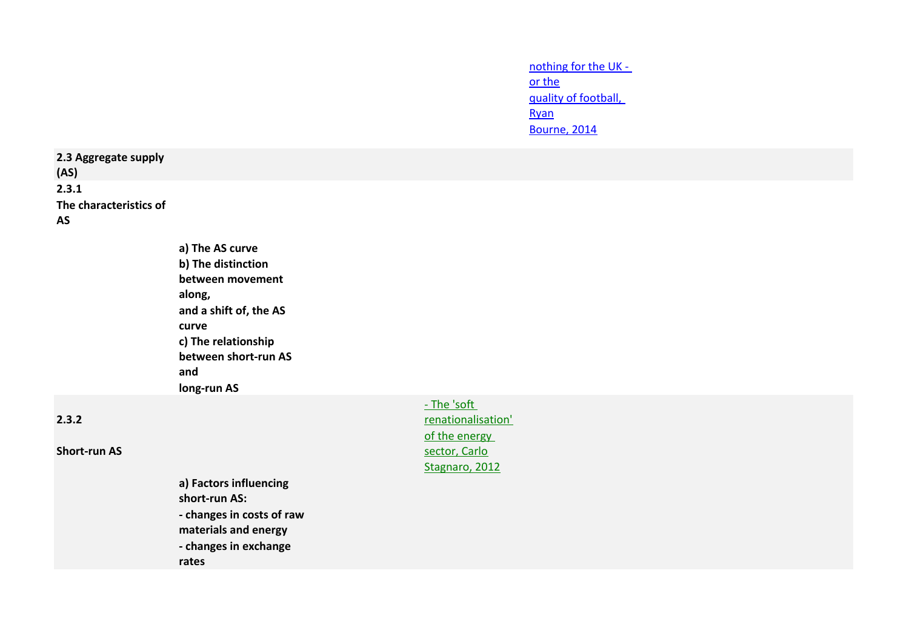[nothing for the UK](http://www.iea.org.uk/blog/protectionism-will-do-nothing-for-the-uk-%E2%80%93-or-the-quality-of-its-football)  [or the](http://www.iea.org.uk/blog/protectionism-will-do-nothing-for-the-uk-%E2%80%93-or-the-quality-of-its-football) [quality of football,](http://www.iea.org.uk/blog/protectionism-will-do-nothing-for-the-uk-%E2%80%93-or-the-quality-of-its-football)  [Ryan](http://www.iea.org.uk/blog/protectionism-will-do-nothing-for-the-uk-%E2%80%93-or-the-quality-of-its-football) [Bourne, 2014](http://www.iea.org.uk/blog/protectionism-will-do-nothing-for-the-uk-%E2%80%93-or-the-quality-of-its-football)

| 2.3 Aggregate supply   |
|------------------------|
| (AS)                   |
| 2.3.1                  |
| The characteristics of |
| AS                     |

| a) The AS curve        |
|------------------------|
| b) The distinction     |
| between movement       |
| along,                 |
| and a shift of, the AS |
| curve                  |
| c) The relationship    |
| between short-run AS   |
| and                    |
| long-run AS            |

**2.3.2**

**Short-run AS**

[- The 'soft](http://www.iea.org.uk/blog/the-%E2%80%98soft-renationalisation%E2%80%99-of-the-energy-sector)  [renationalisation'](http://www.iea.org.uk/blog/the-%E2%80%98soft-renationalisation%E2%80%99-of-the-energy-sector) [of the energy](http://www.iea.org.uk/blog/the-%E2%80%98soft-renationalisation%E2%80%99-of-the-energy-sector)  [sector, Carlo](http://www.iea.org.uk/blog/the-%E2%80%98soft-renationalisation%E2%80%99-of-the-energy-sector) [Stagnaro, 2012](http://www.iea.org.uk/blog/the-%E2%80%98soft-renationalisation%E2%80%99-of-the-energy-sector)

**a) Factors influencing short-run AS: - changes in costs of raw materials and energy - changes in exchange rates**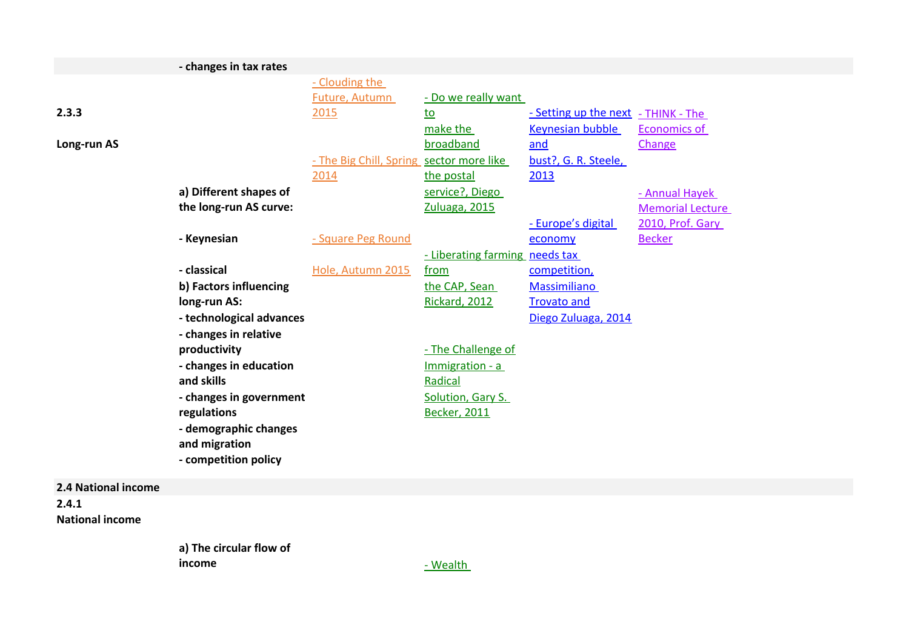|             | - changes in tax rates   |                                          |                                |                                     |                         |
|-------------|--------------------------|------------------------------------------|--------------------------------|-------------------------------------|-------------------------|
|             |                          | - Clouding the                           |                                |                                     |                         |
|             |                          | Future, Autumn                           | - Do we really want            |                                     |                         |
| 2.3.3       |                          | 2015                                     | <u>to</u>                      | - Setting up the next - THINK - The |                         |
|             |                          |                                          | make the                       | Keynesian bubble                    | <b>Economics of</b>     |
| Long-run AS |                          |                                          | broadband                      | and                                 | Change                  |
|             |                          | - The Big Chill, Spring sector more like |                                | bust?, G. R. Steele,                |                         |
|             |                          | 2014                                     | the postal                     | 2013                                |                         |
|             | a) Different shapes of   |                                          | service?, Diego                |                                     | - Annual Hayek          |
|             | the long-run AS curve:   |                                          | Zuluaga, 2015                  |                                     | <b>Memorial Lecture</b> |
|             |                          |                                          |                                | - Europe's digital                  | 2010, Prof. Gary        |
|             | - Keynesian              | - Square Peg Round                       |                                | economy                             | <b>Becker</b>           |
|             |                          |                                          | - Liberating farming needs tax |                                     |                         |
|             | - classical              | Hole, Autumn 2015                        | from                           | competition,                        |                         |
|             | b) Factors influencing   |                                          | the CAP, Sean                  | Massimiliano                        |                         |
|             | long-run AS:             |                                          | <b>Rickard, 2012</b>           | <b>Trovato and</b>                  |                         |
|             | - technological advances |                                          |                                | Diego Zuluaga, 2014                 |                         |
|             | - changes in relative    |                                          |                                |                                     |                         |
|             | productivity             |                                          | - The Challenge of             |                                     |                         |
|             | - changes in education   |                                          | Immigration - a                |                                     |                         |
|             | and skills               |                                          | Radical                        |                                     |                         |
|             | - changes in government  |                                          | Solution, Gary S.              |                                     |                         |
|             | regulations              |                                          | <b>Becker, 2011</b>            |                                     |                         |
|             | - demographic changes    |                                          |                                |                                     |                         |
|             | and migration            |                                          |                                |                                     |                         |
|             | - competition policy     |                                          |                                |                                     |                         |
|             |                          |                                          |                                |                                     |                         |

**2.4 National income**

**2.4.1 National income**

> **a) The circular flow of income**  $-$  Wealth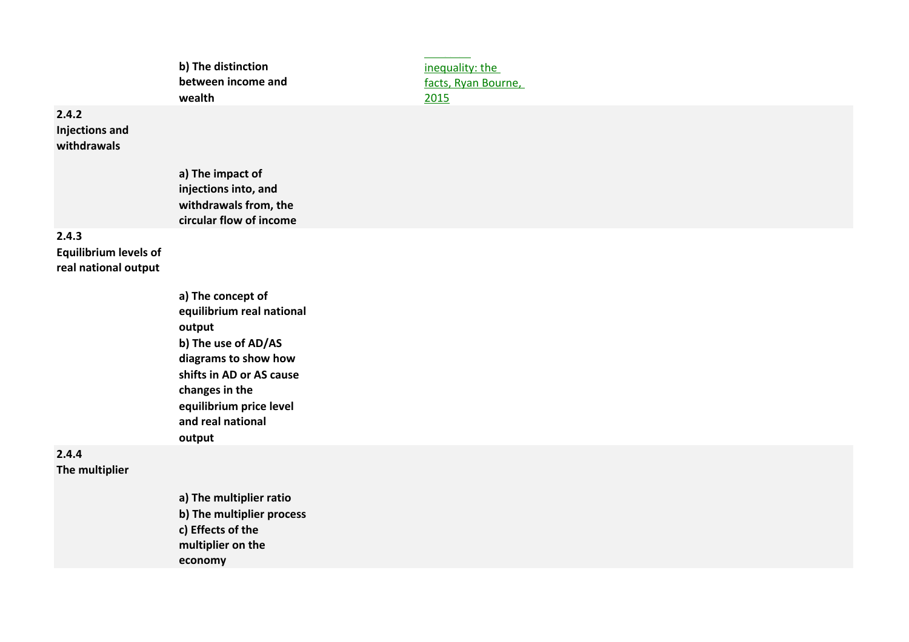|                                                               | b) The distinction<br>between income and<br>wealth                                                                                                                                                              | inequality: the<br>facts, Ryan Bourne,<br>2015 |
|---------------------------------------------------------------|-----------------------------------------------------------------------------------------------------------------------------------------------------------------------------------------------------------------|------------------------------------------------|
| 2.4.2<br><b>Injections and</b><br>withdrawals                 |                                                                                                                                                                                                                 |                                                |
|                                                               | a) The impact of<br>injections into, and<br>withdrawals from, the<br>circular flow of income                                                                                                                    |                                                |
| 2.4.3<br><b>Equilibrium levels of</b><br>real national output |                                                                                                                                                                                                                 |                                                |
|                                                               | a) The concept of<br>equilibrium real national<br>output<br>b) The use of AD/AS<br>diagrams to show how<br>shifts in AD or AS cause<br>changes in the<br>equilibrium price level<br>and real national<br>output |                                                |
| 2.4.4<br>The multiplier                                       |                                                                                                                                                                                                                 |                                                |
|                                                               | a) The multiplier ratio<br>b) The multiplier process<br>c) Effects of the                                                                                                                                       |                                                |

**multiplier on the** 

**economy**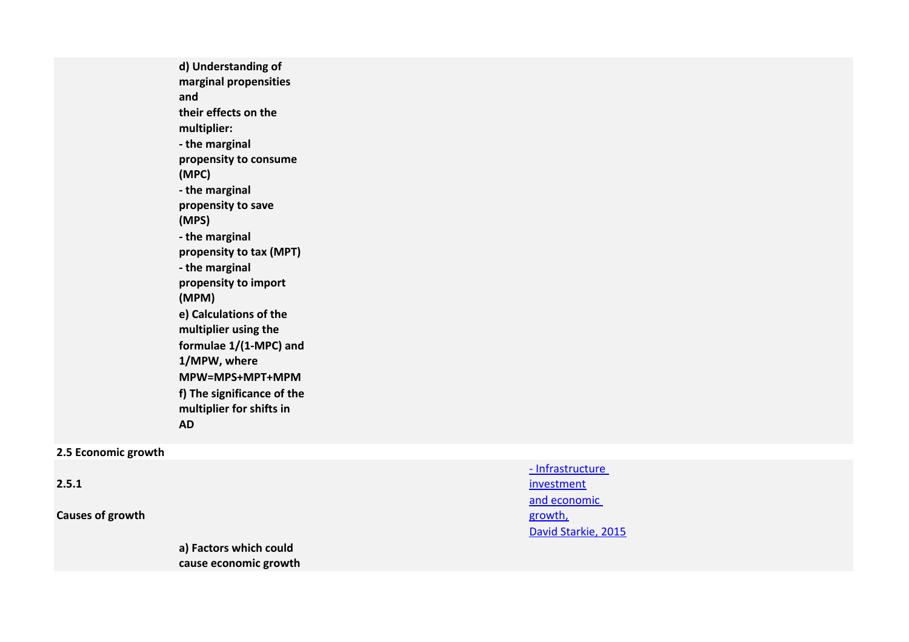**d) Understanding of marginal propensities and their effects on the multiplier: - the marginal propensity to consume (MPC) - the marginal propensity to save (MPS) - the marginal propensity to tax (MPT) - the marginal propensity to import (MPM) e) Calculations of the multiplier using the formulae 1/(1-MPC) and 1/MPW, where MPW=MPS+MPT+MPM f) The significance of the multiplier for shifts in AD**

**2.5 Economic growth**

**2.5.1**

**Causes of growth**

**a) Factors which could cause economic growth**

[- Infrastructure](http://www.iea.org.uk/blog/infrastructure-investment-and-economic-growth)  **[investment](http://www.iea.org.uk/blog/infrastructure-investment-and-economic-growth)** [and economic](http://www.iea.org.uk/blog/infrastructure-investment-and-economic-growth)  [growth,](http://www.iea.org.uk/blog/infrastructure-investment-and-economic-growth) [David Starkie, 2015](http://www.iea.org.uk/blog/infrastructure-investment-and-economic-growth)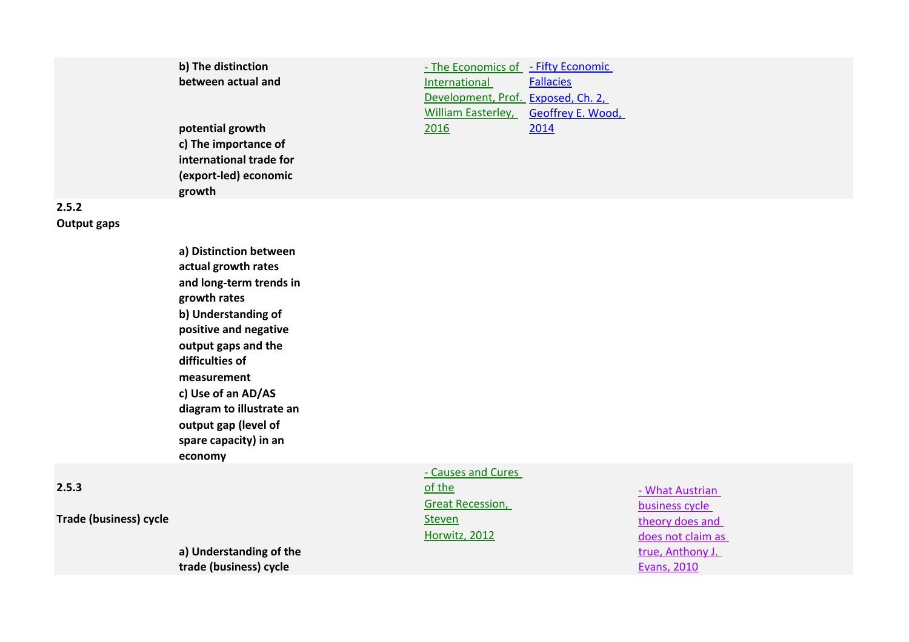| b) The distinction   | - The Economics of - Fifty Economic  |                  |
|----------------------|--------------------------------------|------------------|
| between actual and   | International                        | <b>Fallacies</b> |
|                      | Development, Prof. Exposed, Ch. 2,   |                  |
|                      | William Easterley, Geoffrey E. Wood, |                  |
| potential growth     | 2016                                 | 2014             |
| c) The importance of |                                      |                  |

**2.5.2 Output gaps**

> **a) Distinction between actual growth rates and long-term trends in growth rates b) Understanding of positive and negative output gaps and the difficulties of measurement c) Use of an AD/AS diagram to illustrate an output gap (level of spare capacity) in an economy**

**international trade for (export-led) economic** 

**growth**

#### **2.5.3**

**Trade (business) cycle**

**a) Understanding of the trade (business) cycle**

[- Causes and Cures](http://www.iea.org.uk/publications/research/causes-and-cures-of-the-great-recession)  [of the](http://www.iea.org.uk/publications/research/causes-and-cures-of-the-great-recession)  $\frac{1}{2}$  What Austrian [Great Recession,](http://www.iea.org.uk/publications/research/causes-and-cures-of-the-great-recession)  **[Steven](http://www.iea.org.uk/publications/research/causes-and-cures-of-the-great-recession)** [Horwitz, 2012](http://www.iea.org.uk/publications/research/causes-and-cures-of-the-great-recession)

[business cycle](http://www.iea.org.uk/blog/what-austrian-business-cycle-theory-does-and-does-not-claim-as-true)  [theory does and](http://www.iea.org.uk/blog/what-austrian-business-cycle-theory-does-and-does-not-claim-as-true)  does not claim as true, Anthony J. [Evans, 2010](http://www.iea.org.uk/blog/what-austrian-business-cycle-theory-does-and-does-not-claim-as-true)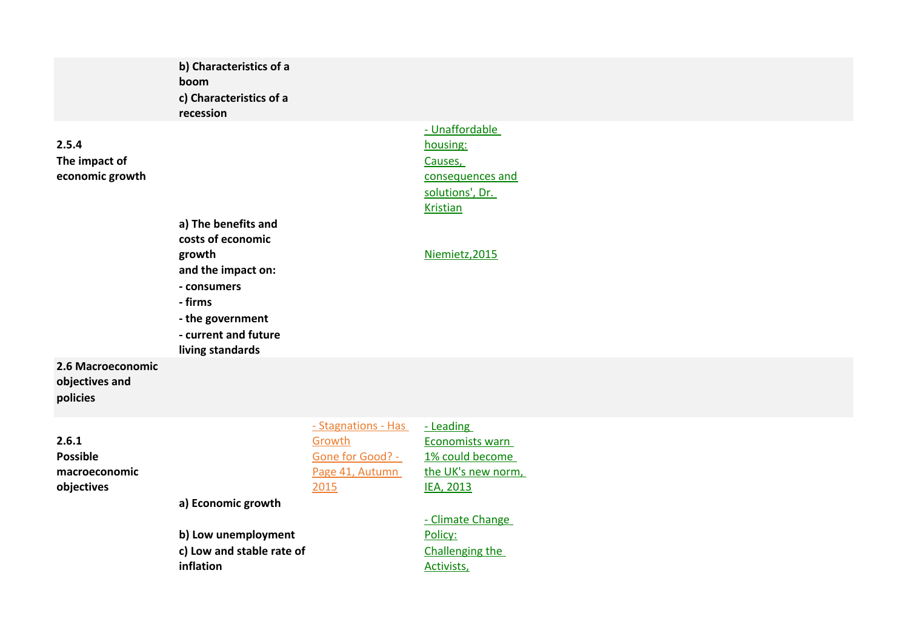|                                                         | b) Characteristics of a<br>boom<br>c) Characteristics of a<br>recession                                                                                            |                                                                              |                                                                                                                                                                   |
|---------------------------------------------------------|--------------------------------------------------------------------------------------------------------------------------------------------------------------------|------------------------------------------------------------------------------|-------------------------------------------------------------------------------------------------------------------------------------------------------------------|
| 2.5.4<br>The impact of<br>economic growth               | a) The benefits and<br>costs of economic<br>growth<br>and the impact on:<br>- consumers<br>- firms<br>- the government<br>- current and future<br>living standards |                                                                              | - Unaffordable<br>housing:<br>Causes,<br>consequences and<br>solutions', Dr.<br><b>Kristian</b><br>Niemietz, 2015                                                 |
| 2.6 Macroeconomic<br>objectives and<br>policies         |                                                                                                                                                                    |                                                                              |                                                                                                                                                                   |
| 2.6.1<br><b>Possible</b><br>macroeconomic<br>objectives | a) Economic growth<br>b) Low unemployment<br>c) Low and stable rate of<br>inflation                                                                                | - Stagnations - Has<br>Growth<br>Gone for Good? -<br>Page 41, Autumn<br>2015 | - Leading<br>Economists warn<br>1% could become<br>the UK's new norm,<br><b>IEA, 2013</b><br>- Climate Change<br>Policy:<br>Challenging the<br><b>Activists</b> , |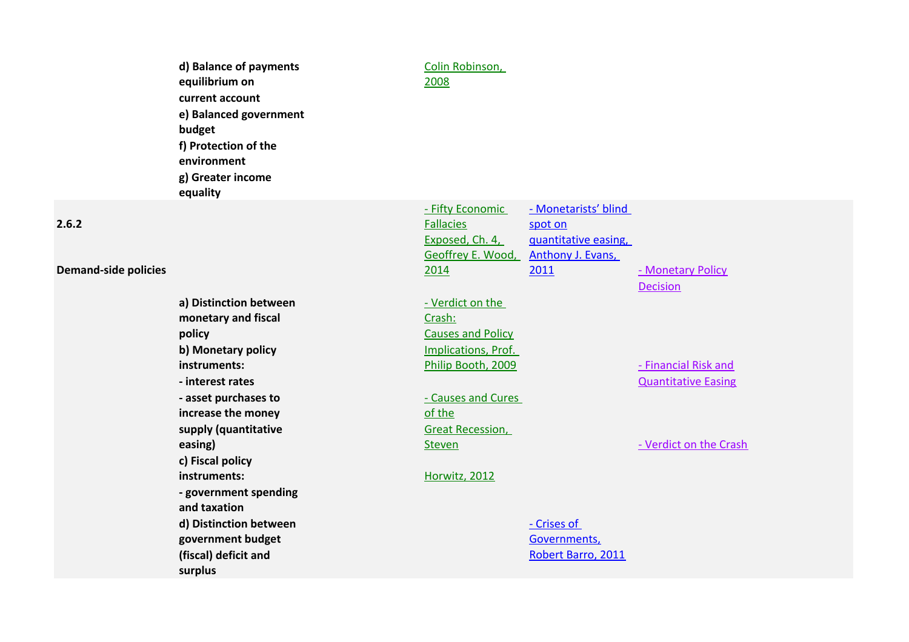|                             | d) Balance of payments<br>equilibrium on<br>current account<br>e) Balanced government<br>budget<br>f) Protection of the<br>environment<br>g) Greater income<br>equality | Colin Robinson,<br>2008                                                      |                                                                                     |                                      |
|-----------------------------|-------------------------------------------------------------------------------------------------------------------------------------------------------------------------|------------------------------------------------------------------------------|-------------------------------------------------------------------------------------|--------------------------------------|
| 2.6.2                       |                                                                                                                                                                         | - Fifty Economic<br><b>Fallacies</b><br>Exposed, Ch. 4,<br>Geoffrey E. Wood, | - Monetarists' blind<br>spot on<br>quantitative easing,<br><b>Anthony J. Evans,</b> |                                      |
| <b>Demand-side policies</b> |                                                                                                                                                                         | 2014                                                                         | 2011                                                                                | - Monetary Policy<br><b>Decision</b> |
|                             | a) Distinction between<br>monetary and fiscal                                                                                                                           | - Verdict on the<br>Crash:                                                   |                                                                                     |                                      |
|                             | policy                                                                                                                                                                  | <b>Causes and Policy</b>                                                     |                                                                                     |                                      |
|                             | b) Monetary policy                                                                                                                                                      | Implications, Prof.                                                          |                                                                                     |                                      |
|                             | instruments:                                                                                                                                                            | Philip Booth, 2009                                                           |                                                                                     | - Financial Risk and                 |
|                             | - interest rates                                                                                                                                                        |                                                                              |                                                                                     | <b>Quantitative Easing</b>           |
|                             | - asset purchases to                                                                                                                                                    | - Causes and Cures                                                           |                                                                                     |                                      |
|                             | increase the money                                                                                                                                                      | of the                                                                       |                                                                                     |                                      |
|                             | supply (quantitative                                                                                                                                                    | <b>Great Recession,</b>                                                      |                                                                                     |                                      |
|                             | easing)                                                                                                                                                                 | <b>Steven</b>                                                                |                                                                                     | - Verdict on the Crash               |
|                             | c) Fiscal policy                                                                                                                                                        |                                                                              |                                                                                     |                                      |
|                             | instruments:                                                                                                                                                            | Horwitz, 2012                                                                |                                                                                     |                                      |
|                             | - government spending<br>and taxation                                                                                                                                   |                                                                              |                                                                                     |                                      |
|                             |                                                                                                                                                                         |                                                                              |                                                                                     |                                      |
|                             | d) Distinction between<br>government budget                                                                                                                             |                                                                              | - Crises of<br>Governments,                                                         |                                      |
|                             | (fiscal) deficit and                                                                                                                                                    |                                                                              | Robert Barro, 2011                                                                  |                                      |
|                             | surplus                                                                                                                                                                 |                                                                              |                                                                                     |                                      |
|                             |                                                                                                                                                                         |                                                                              |                                                                                     |                                      |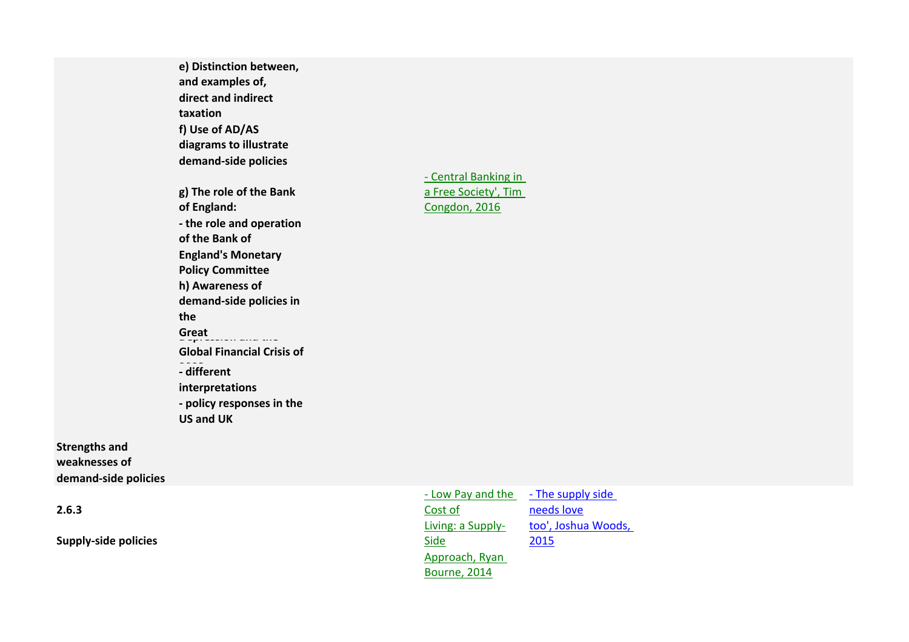**e) Distinction between, and examples of, direct and indirect taxation f) Use of AD/AS diagrams to illustrate demand-side policies**

**g) The role of the Bank of England: - the role and operation of the Bank of England's Monetary Policy Committee h) Awareness of demand-side policies in the** Great **Global Financial Crisis of 2008 - different interpretations - policy responses in the** 

**US and UK**

**Strengths and weaknesses of demand-side policies**

**2.6.3 Supply-side policies**

[- Low Pay and the](http://www.iea.org.uk/publications/research/low-pay-and-the-cost-of-living-a-supply-side-approach) - The supply side [Cost of](http://www.iea.org.uk/publications/research/low-pay-and-the-cost-of-living-a-supply-side-approach) [needs love](http://www.iea.org.uk/blog/the-supply-side-needs-love-too) [Living: a Supply-](http://www.iea.org.uk/publications/research/low-pay-and-the-cost-of-living-a-supply-side-approach)[Side](http://www.iea.org.uk/publications/research/low-pay-and-the-cost-of-living-a-supply-side-approach) [too', Joshua Woods,](http://www.iea.org.uk/blog/the-supply-side-needs-love-too)  [2015](http://www.iea.org.uk/blog/the-supply-side-needs-love-too) [Approach, Ryan](http://www.iea.org.uk/publications/research/low-pay-and-the-cost-of-living-a-supply-side-approach)  [Bourne, 2014](http://www.iea.org.uk/publications/research/low-pay-and-the-cost-of-living-a-supply-side-approach)

[- Central Banking in](https://iea.org.uk/wp-content/uploads/2016/07/upldrelease157pdfSummary.pdf)  [a Free Society', Tim](https://iea.org.uk/wp-content/uploads/2016/07/upldrelease157pdfSummary.pdf)  [Congdon, 2016](https://iea.org.uk/wp-content/uploads/2016/07/upldrelease157pdfSummary.pdf)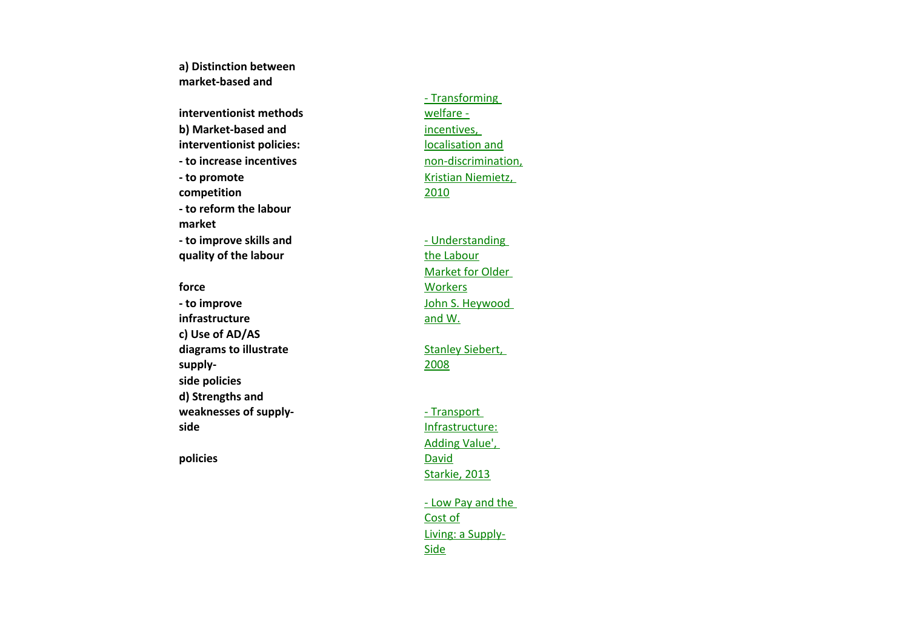**a) Distinction between market-based and**

**interventionist methods b) Market-based and interventionist policies: - to increase incentives** [non-discrimination,](http://www.iea.org.uk/publications/research/transforming-welfare-incentives-localisation-and-non-discrimination-web-public) **- to promote competition - to reform the labour market - to improve skills and quality of the labour**

**force - to improve infrastructure c) Use of AD/AS diagrams to illustrate supplyside policies d) Strengths and weaknesses of supplyside**

**policies**

[- Transforming](http://www.iea.org.uk/publications/research/transforming-welfare-incentives-localisation-and-non-discrimination-web-public)  [welfare](http://www.iea.org.uk/publications/research/transforming-welfare-incentives-localisation-and-non-discrimination-web-public)  [incentives,](http://www.iea.org.uk/publications/research/transforming-welfare-incentives-localisation-and-non-discrimination-web-public)  [localisation and](http://www.iea.org.uk/publications/research/transforming-welfare-incentives-localisation-and-non-discrimination-web-public) [Kristian Niemietz,](http://www.iea.org.uk/publications/research/transforming-welfare-incentives-localisation-and-non-discrimination-web-public)  [2010](http://www.iea.org.uk/publications/research/transforming-welfare-incentives-localisation-and-non-discrimination-web-public)

[- Understanding](http://www.iea.org.uk/publications/research/understanding-the-labour-market-for-older-workers-web-publication)  [the Labour](http://www.iea.org.uk/publications/research/understanding-the-labour-market-for-older-workers-web-publication) [Market for Older](http://www.iea.org.uk/publications/research/understanding-the-labour-market-for-older-workers-web-publication)  **[Workers](http://www.iea.org.uk/publications/research/understanding-the-labour-market-for-older-workers-web-publication)** [John S. Heywood](http://www.iea.org.uk/publications/research/understanding-the-labour-market-for-older-workers-web-publication)  [and W.](http://www.iea.org.uk/publications/research/understanding-the-labour-market-for-older-workers-web-publication)

Stanley Siebert, [2008](http://www.iea.org.uk/publications/research/understanding-the-labour-market-for-older-workers-web-publication)

[- Transport](http://www.iea.org.uk/publications/research/transport-infrastructure-adding-value)  [Infrastructure:](http://www.iea.org.uk/publications/research/transport-infrastructure-adding-value) [Adding Value',](http://www.iea.org.uk/publications/research/transport-infrastructure-adding-value)  [David](http://www.iea.org.uk/publications/research/transport-infrastructure-adding-value) [Starkie, 2013](http://www.iea.org.uk/publications/research/transport-infrastructure-adding-value)

[- Low Pay and the](http://www.iea.org.uk/publications/research/low-pay-and-the-cost-of-living-a-supply-side-approach)  [Cost of](http://www.iea.org.uk/publications/research/low-pay-and-the-cost-of-living-a-supply-side-approach) [Living: a Supply-](http://www.iea.org.uk/publications/research/low-pay-and-the-cost-of-living-a-supply-side-approach)[Side](http://www.iea.org.uk/publications/research/low-pay-and-the-cost-of-living-a-supply-side-approach)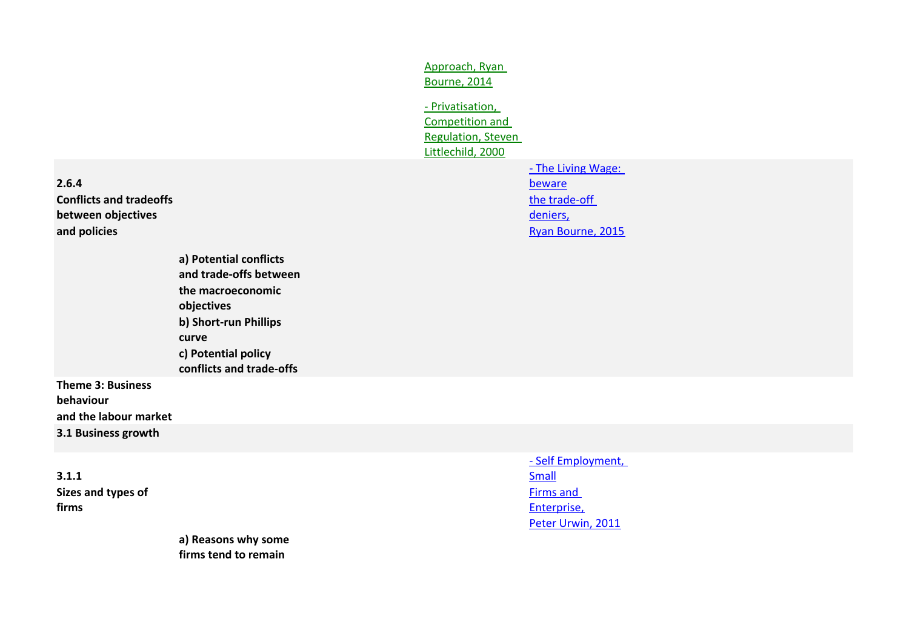|                                                                                       |                                                                                                                                                                          | Approach, Ryan<br><b>Bourne, 2014</b>                                          |                                                                                |
|---------------------------------------------------------------------------------------|--------------------------------------------------------------------------------------------------------------------------------------------------------------------------|--------------------------------------------------------------------------------|--------------------------------------------------------------------------------|
|                                                                                       |                                                                                                                                                                          | - Privatisation,<br>Competition and<br>Regulation, Steven<br>Littlechild, 2000 |                                                                                |
| 2.6.4<br><b>Conflicts and tradeoffs</b><br>between objectives<br>and policies         |                                                                                                                                                                          |                                                                                | - The Living Wage:<br>beware<br>the trade-off<br>deniers,<br>Ryan Bourne, 2015 |
|                                                                                       | a) Potential conflicts<br>and trade-offs between<br>the macroeconomic<br>objectives<br>b) Short-run Phillips<br>curve<br>c) Potential policy<br>conflicts and trade-offs |                                                                                |                                                                                |
| <b>Theme 3: Business</b><br>behaviour<br>and the labour market<br>3.1 Business growth |                                                                                                                                                                          |                                                                                |                                                                                |
| 3.1.1<br>Sizes and types of                                                           |                                                                                                                                                                          |                                                                                | - Self Employment,<br>Small<br><b>Firms and</b>                                |

[Enterprise,](http://www.iea.org.uk/publications/research/self-employment-small-firms-and-enterprise)

[Peter Urwin, 2011](http://www.iea.org.uk/publications/research/self-employment-small-firms-and-enterprise)

**firms**

**a) Reasons why some firms tend to remain**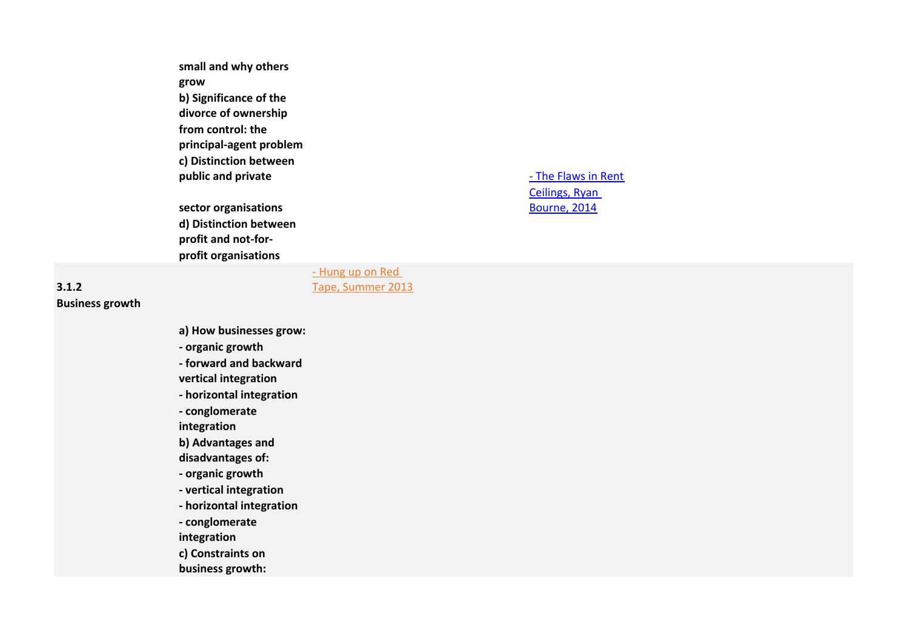**small and why others grow b) Significance of the divorce of ownership from control: the principal-agent problem c) Distinction between public and private**  $\overline{\phantom{a}}$  [- The Flaws in Rent](https://iea.org.uk/publications/research/the-flaws-in-rent-ceilings)

**sector organisations d) Distinction between profit and not-forprofit organisations**

# [Ceilings, Ryan](https://iea.org.uk/publications/research/the-flaws-in-rent-ceilings)  [Bourne, 2014](https://iea.org.uk/publications/research/the-flaws-in-rent-ceilings)

### **3.1.2 Business growth**

[- Hung up on Red](https://iea.org.uk/wp-content/uploads/2016/08/EA-Summer-2013-Analysis.pdf)  [Tape, Summer 2013](https://iea.org.uk/wp-content/uploads/2016/08/EA-Summer-2013-Analysis.pdf)

**a) How businesses grow:**

**- organic growth**

**- forward and backward** 

**vertical integration**

**- horizontal integration**

**- conglomerate** 

**integration**

**b) Advantages and** 

**disadvantages of:**

**- organic growth**

**- vertical integration**

**- horizontal integration**

**- conglomerate** 

**integration**

**c) Constraints on** 

**business growth:**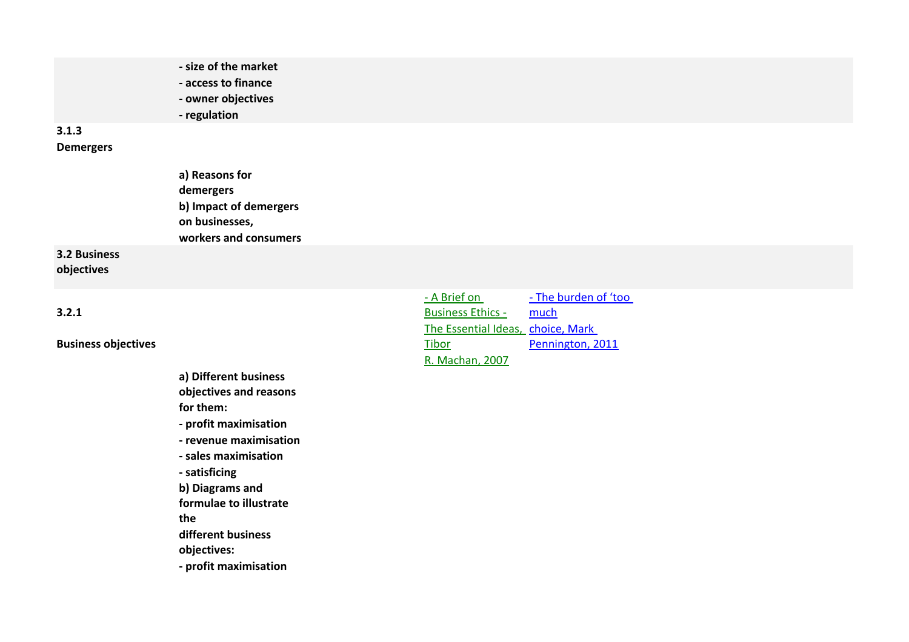- **size of the market**
- **access to finance**
- **owner objectives**
- **regulation**

## **3.1.3**

**Demergers**

**a) Reasons for demergers b) Impact of demergers on businesses, workers and consumers**

#### **3.2 Business**

**objectives**

#### **3.2.1**

**Business objectives**

- **a) Different business objectives and reasons for them:**
- **profit maximisation**
- **revenue maximisation**
- **sales maximisation**
- **satisficing**
- **b) Diagrams and**
- **formulae to illustrate**

**the**

- **different business**
- **objectives:**
- **profit maximisation**

| - A Brief on                      | - The burden of 'too |
|-----------------------------------|----------------------|
| <b>Business Ethics -</b>          | much                 |
| The Essential Ideas, choice, Mark |                      |
| Tibor                             | Pennington, 2011     |
| R. Machan, 2007                   |                      |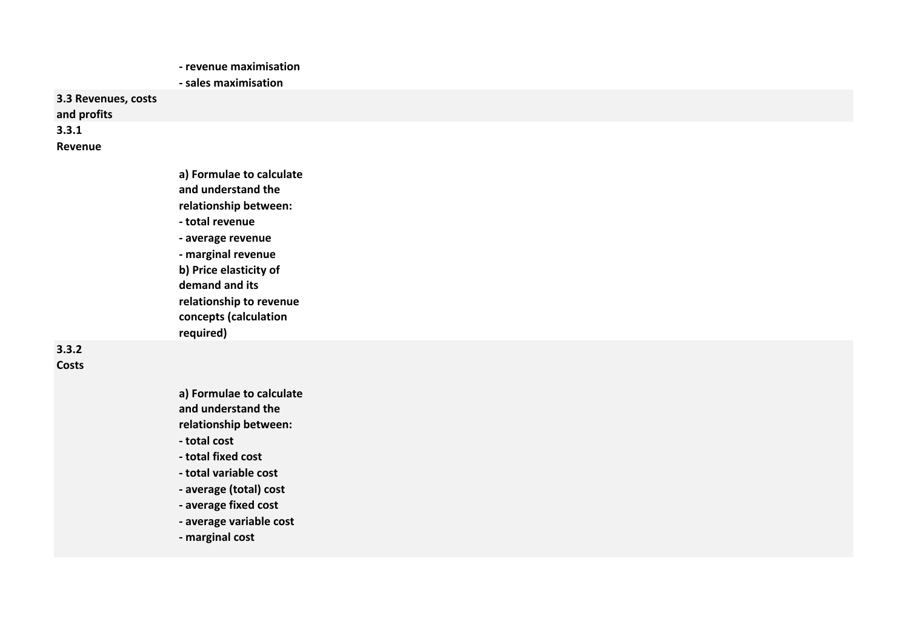- **revenue maximisation**
- **sales maximisation**

**3.3 Revenues, costs and profits**

**3.3.1**

**Revenue**

**a) Formulae to calculate and understand the relationship between: - total revenue - average revenue - marginal revenue b) Price elasticity of demand and its relationship to revenue concepts (calculation required)**

**3.3.2 Costs**

**a) Formulae to calculate** 

**and understand the**

**relationship between:**

**- total cost**

**- total fixed cost**

**- total variable cost**

**- average (total) cost**

**- average fixed cost**

**- average variable cost**

**- marginal cost**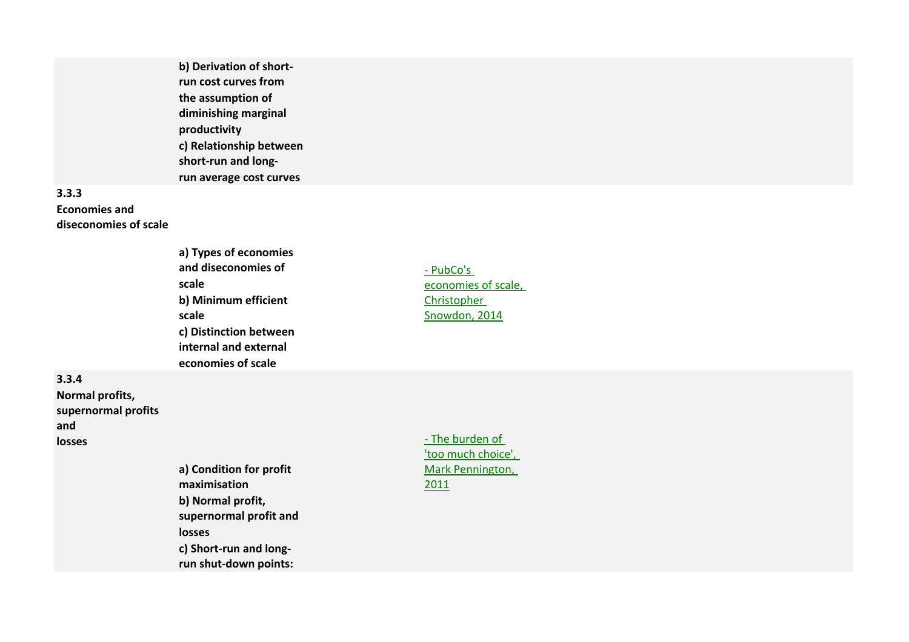**b) Derivation of shortrun cost curves from the assumption of diminishing marginal productivity c) Relationship between short-run and longrun average cost curves**

**3.3.3 Economies and** 

**diseconomies of scale**

**a) Types of economies and diseconomies of scale b) Minimum efficient scale c) Distinction between internal and external economies of scale**

[- PubCo's](https://iea.org.uk/in-the-media/media-coverage/pubcos-economies-of-scale)  [economies of scale,](https://iea.org.uk/in-the-media/media-coverage/pubcos-economies-of-scale)  [Christopher](https://iea.org.uk/in-the-media/media-coverage/pubcos-economies-of-scale)  [Snowdon, 2014](https://iea.org.uk/in-the-media/media-coverage/pubcos-economies-of-scale)

**3.3.4**

**Normal profits, supernormal profits and losses** description of the burden of the burden of the burden of the burden of the burden of

> **a) Condition for profit maximisation b) Normal profit, supernormal profit and losses c) Short-run and longrun shut-down points:**

['too much choice',](https://iea.org.uk/blog/the-burden-of-%E2%80%98too-much-choice%E2%80%99)  [Mark Pennington,](https://iea.org.uk/blog/the-burden-of-%E2%80%98too-much-choice%E2%80%99)  [2011](https://iea.org.uk/blog/the-burden-of-%E2%80%98too-much-choice%E2%80%99)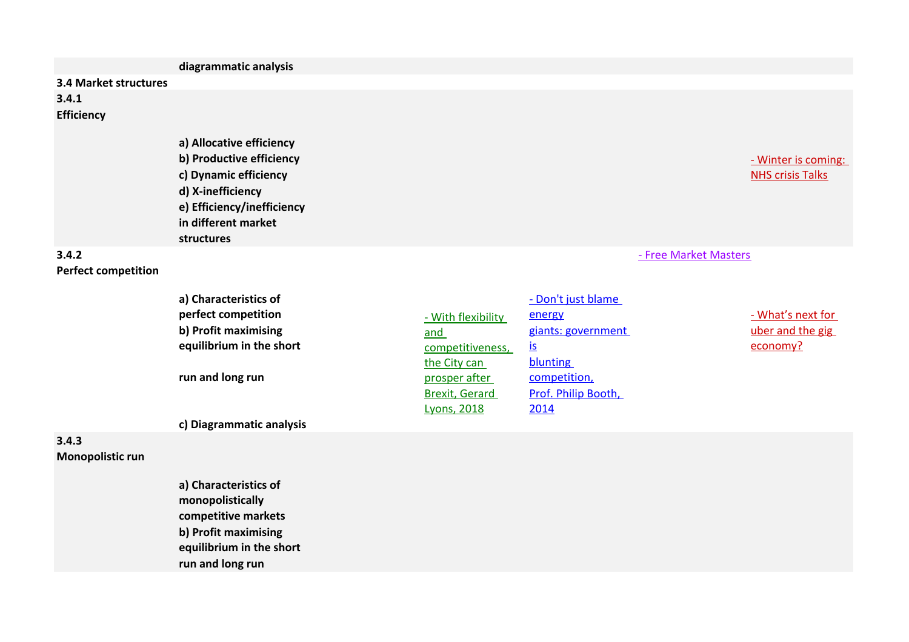|                                     | diagrammatic analysis                                                                                                                                                 |                                                                                                                               |                                                                                                                                                  |                       |                                                   |
|-------------------------------------|-----------------------------------------------------------------------------------------------------------------------------------------------------------------------|-------------------------------------------------------------------------------------------------------------------------------|--------------------------------------------------------------------------------------------------------------------------------------------------|-----------------------|---------------------------------------------------|
| <b>3.4 Market structures</b>        |                                                                                                                                                                       |                                                                                                                               |                                                                                                                                                  |                       |                                                   |
| 3.4.1<br><b>Efficiency</b>          |                                                                                                                                                                       |                                                                                                                               |                                                                                                                                                  |                       |                                                   |
|                                     | a) Allocative efficiency<br>b) Productive efficiency<br>c) Dynamic efficiency<br>d) X-inefficiency<br>e) Efficiency/inefficiency<br>in different market<br>structures |                                                                                                                               |                                                                                                                                                  |                       | - Winter is coming:<br><b>NHS crisis Talks</b>    |
| 3.4.2<br><b>Perfect competition</b> |                                                                                                                                                                       |                                                                                                                               |                                                                                                                                                  | - Free Market Masters |                                                   |
|                                     | a) Characteristics of<br>perfect competition<br>b) Profit maximising<br>equilibrium in the short<br>run and long run<br>c) Diagrammatic analysis                      | - With flexibility<br>and<br>competitiveness,<br>the City can<br>prosper after<br><b>Brexit, Gerard</b><br><b>Lyons, 2018</b> | - Don't just blame<br>energy<br>giants: government<br>$\underline{\mathbf{i}}$<br><b>blunting</b><br>competition,<br>Prof. Philip Booth,<br>2014 |                       | - What's next for<br>uber and the gig<br>economy? |
| 3.4.3<br>Monopolistic run           |                                                                                                                                                                       |                                                                                                                               |                                                                                                                                                  |                       |                                                   |
|                                     | a) Characteristics of<br>monopolistically<br>competitive markets<br>b) Profit maximising<br>equilibrium in the short<br>run and long run                              |                                                                                                                               |                                                                                                                                                  |                       |                                                   |
|                                     |                                                                                                                                                                       |                                                                                                                               |                                                                                                                                                  |                       |                                                   |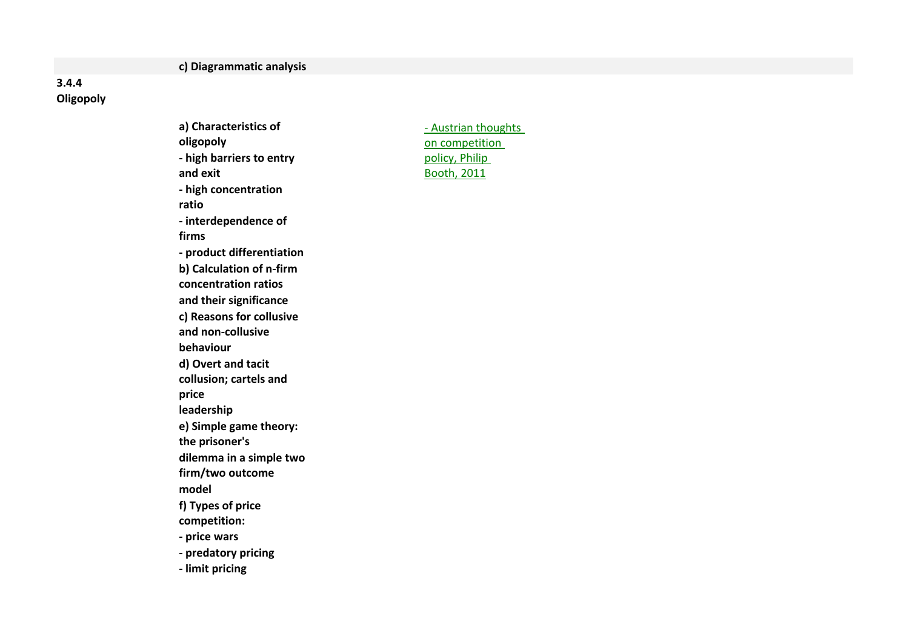# **3.4.4 Oligopoly**

**a) Characteristics of oligopoly - high barriers to entry and exit - high concentration ratio - interdependence of firms - product differentiation b) Calculation of n-firm concentration ratios and their significance c) Reasons for collusive and non-collusive behaviour d) Overt and tacit collusion; cartels and price leadership e) Simple game theory: the prisoner's dilemma in a simple two firm/two outcome model f) Types of price competition: - price wars - predatory pricing - limit pricing**

[- Austrian thoughts](https://iea.org.uk/blog/austrian-thoughts-on-competition-policy)  [on competition](https://iea.org.uk/blog/austrian-thoughts-on-competition-policy)  [policy, Philip](https://iea.org.uk/blog/austrian-thoughts-on-competition-policy)  [Booth, 2011](https://iea.org.uk/blog/austrian-thoughts-on-competition-policy)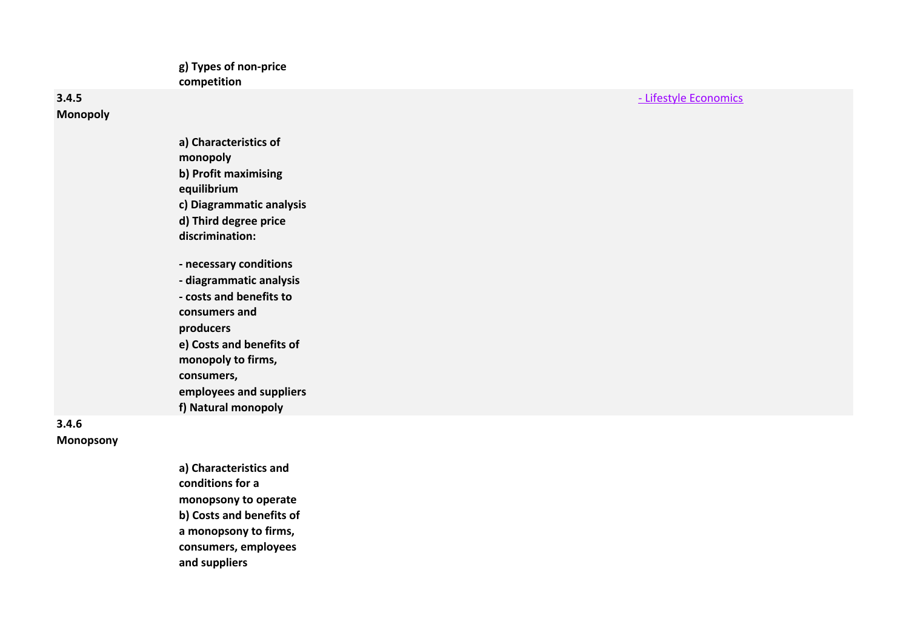**g) Types of non-price competition**

**Monopoly**

**3.4.5** [- Lifestyle Economics](http://www.iea.org.uk/multimedia/video/lifestyle-economics)

**a) Characteristics of monopoly b) Profit maximising equilibrium c) Diagrammatic analysis d) Third degree price discrimination: - necessary conditions - diagrammatic analysis - costs and benefits to consumers and producers e) Costs and benefits of monopoly to firms, consumers, employees and suppliers f) Natural monopoly**

**3.4.6 Monopsony**

> **a) Characteristics and conditions for a monopsony to operate b) Costs and benefits of a monopsony to firms, consumers, employees and suppliers**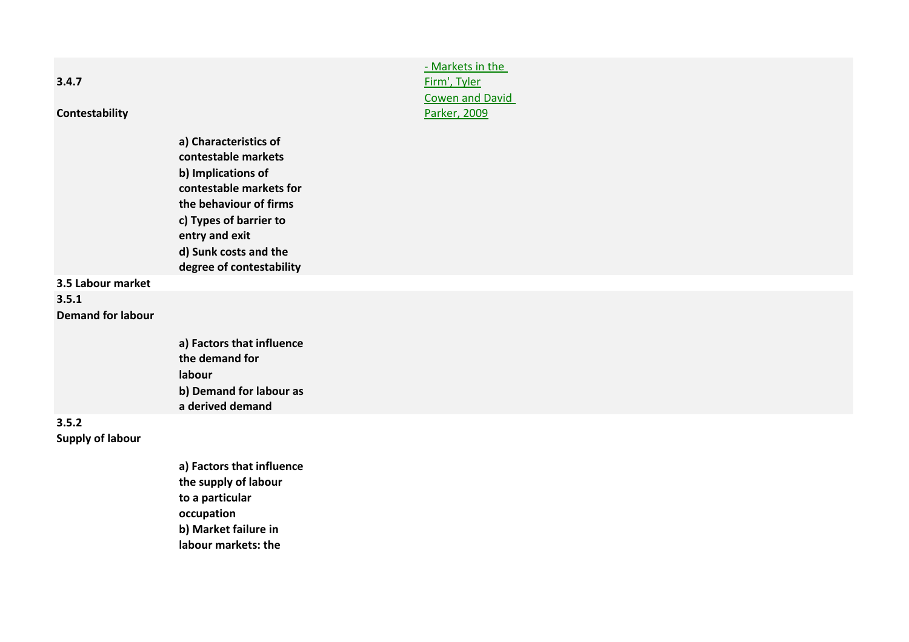| 3.4.7                    |                                                                                                                                                                                                                          | - Markets in the<br>Firm', Tyler<br><b>Cowen and David</b> |
|--------------------------|--------------------------------------------------------------------------------------------------------------------------------------------------------------------------------------------------------------------------|------------------------------------------------------------|
| Contestability           |                                                                                                                                                                                                                          | Parker, 2009                                               |
|                          | a) Characteristics of<br>contestable markets<br>b) Implications of<br>contestable markets for<br>the behaviour of firms<br>c) Types of barrier to<br>entry and exit<br>d) Sunk costs and the<br>degree of contestability |                                                            |
| 3.5 Labour market        |                                                                                                                                                                                                                          |                                                            |
| 3.5.1                    |                                                                                                                                                                                                                          |                                                            |
| <b>Demand for labour</b> |                                                                                                                                                                                                                          |                                                            |
|                          | a) Factors that influence<br>the demand for<br>labour<br>b) Demand for labour as<br>a derived demand                                                                                                                     |                                                            |
| 3.5.2                    |                                                                                                                                                                                                                          |                                                            |

**Supply of labour**

**a) Factors that influence the supply of labour to a particular occupation b) Market failure in labour markets: the**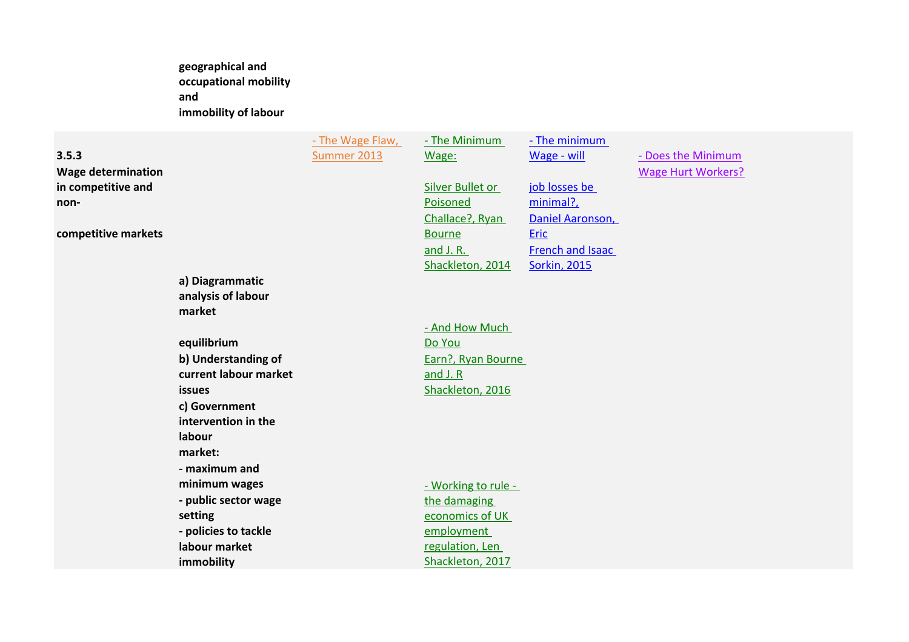# **geographical and occupational mobility and immobility of labour**

| Summer 2013           | Wage:               | Wage - will             | - Does the Minimum                  |
|-----------------------|---------------------|-------------------------|-------------------------------------|
|                       |                     |                         | <b>Wage Hurt Workers?</b>           |
|                       | Silver Bullet or    | job losses be           |                                     |
|                       | Poisoned            | minimal?,               |                                     |
|                       | Challace?, Ryan     | Daniel Aaronson,        |                                     |
|                       | <b>Bourne</b>       | <b>Eric</b>             |                                     |
|                       | and J.R.            | <b>French and Isaac</b> |                                     |
|                       | Shackleton, 2014    | <b>Sorkin, 2015</b>     |                                     |
| a) Diagrammatic       |                     |                         |                                     |
| analysis of labour    |                     |                         |                                     |
|                       |                     |                         |                                     |
|                       | - And How Much      |                         |                                     |
| equilibrium           | Do You              |                         |                                     |
| b) Understanding of   |                     |                         |                                     |
| current labour market | and J. R            |                         |                                     |
|                       | Shackleton, 2016    |                         |                                     |
| c) Government         |                     |                         |                                     |
| intervention in the   |                     |                         |                                     |
|                       |                     |                         |                                     |
|                       |                     |                         |                                     |
| - maximum and         |                     |                         |                                     |
| minimum wages         | - Working to rule - |                         |                                     |
| - public sector wage  | the damaging        |                         |                                     |
|                       | economics of UK     |                         |                                     |
| - policies to tackle  | employment          |                         |                                     |
| labour market         | regulation, Len     |                         |                                     |
|                       | Shackleton, 2017    |                         |                                     |
|                       | - The Wage Flaw,    | - The Minimum           | - The minimum<br>Earn?, Ryan Bourne |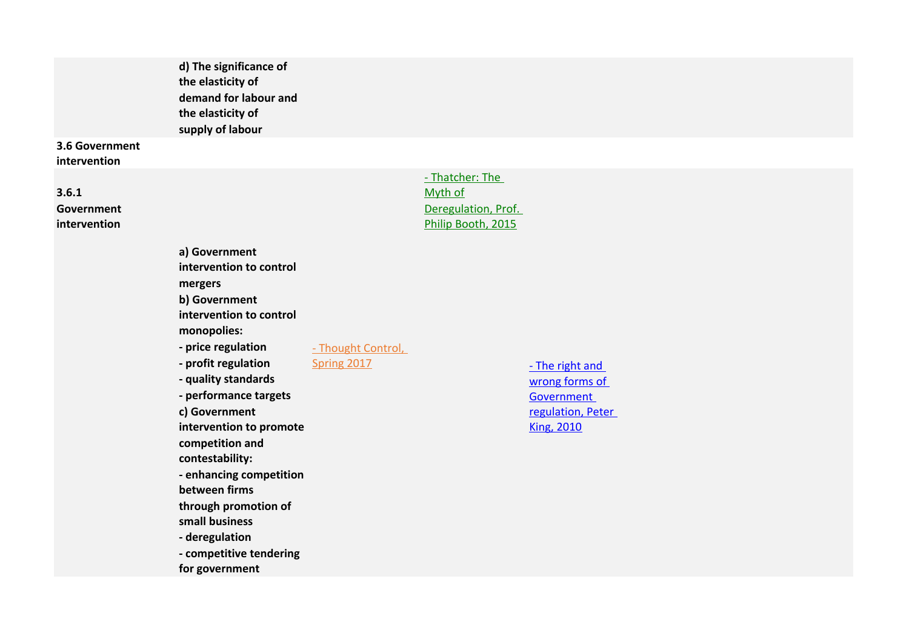**d) The significance of the elasticity of demand for labour and the elasticity of supply of labour**

#### **3.6 Government intervention**

**3.6.1 Government intervention**

[- Thatcher: The](http://www.iea.org.uk/publications/research/thatcher-the-myth-of-deregulation)  [Myth of](http://www.iea.org.uk/publications/research/thatcher-the-myth-of-deregulation) [Deregulation, Prof.](http://www.iea.org.uk/publications/research/thatcher-the-myth-of-deregulation)  [Philip Booth, 2015](http://www.iea.org.uk/publications/research/thatcher-the-myth-of-deregulation)

# **intervention to control mergers b) Government intervention to control monopolies: - price regulation** [- Thought Control,](https://iea.org.uk/wp-content/uploads/2017/03/EA-SPRING-2017_FADS.pdf)  **- profit regulation - quality standards - performance targets c) Government intervention to promote competition and**

**a) Government** 

**contestability:**

**- enhancing competition between firms**

**through promotion of** 

**small business**

**- deregulation**

**- competitive tendering** 

**for government**

[Spring 2017](https://iea.org.uk/wp-content/uploads/2017/03/EA-SPRING-2017_FADS.pdf) **- The right and** [wrong forms of](https://iea.org.uk/blog/the-right-and-wrong-form-of-government-intervention)  **Government** [regulation, Peter](https://iea.org.uk/blog/the-right-and-wrong-form-of-government-intervention)  [King, 2010](https://iea.org.uk/blog/the-right-and-wrong-form-of-government-intervention)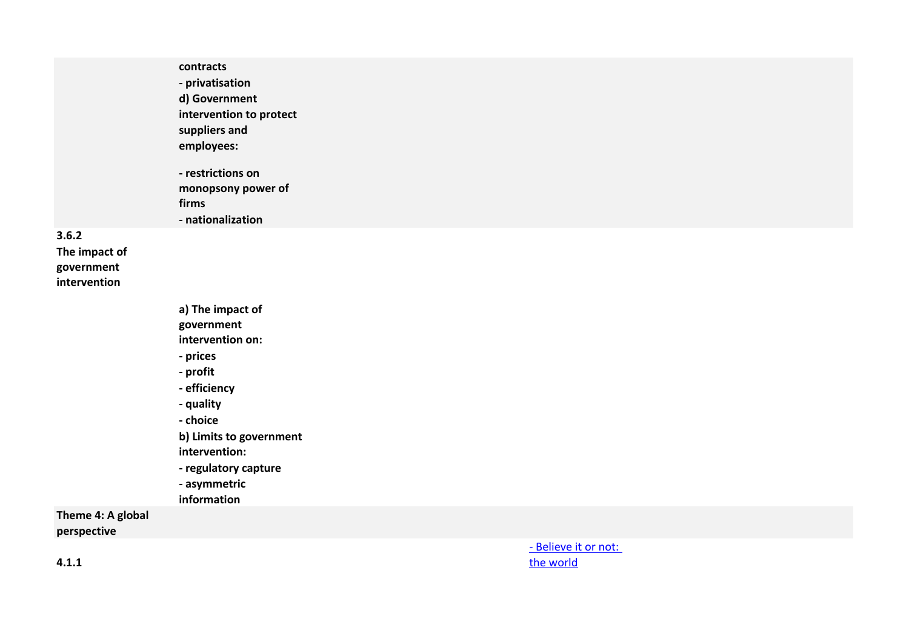**contracts**

**- privatisation**

**d) Government** 

**intervention to protect**

**suppliers and** 

**employees:**

- **restrictions on monopsony power of firms**
- **nationalization**

#### **3.6.2**

**The impact of government intervention**

> **a) The impact of government intervention on: - prices - profit - efficiency - quality - choice**

**b) Limits to government** 

**intervention:**

- **regulatory capture**
- **asymmetric**

**information**

**Theme 4: A global perspective**

**4.1.1**

- Believe it or not: [the world](http://www.iea.org.uk/blog/believe-it-or-not-the-world-is-becoming-more-equal)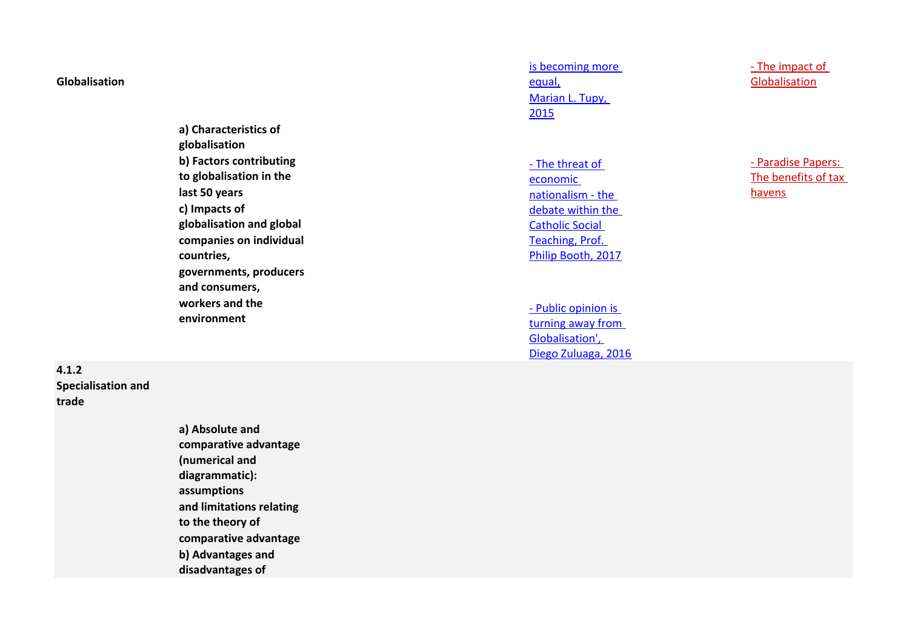**Globalisation**

**a) Characteristics of globalisation b) Factors contributing to globalisation in the last 50 years [havens](https://www.youtube.com/watch?v=UtK78nU6BxA) havens havens havens havens havens c) Impacts of globalisation and global companies on individual countries, governments, producers and consumers, workers and the environment**

[is becoming more](http://www.iea.org.uk/blog/believe-it-or-not-the-world-is-becoming-more-equal)  [equal,](http://www.iea.org.uk/blog/believe-it-or-not-the-world-is-becoming-more-equal) [Marian L. Tupy,](http://www.iea.org.uk/blog/believe-it-or-not-the-world-is-becoming-more-equal)  [2015](http://www.iea.org.uk/blog/believe-it-or-not-the-world-is-becoming-more-equal)

[- The threat of](https://iea.org.uk/the-threat-of-economic-nationalism-the-debate-within-catholic-social-teaching/)  [economic](https://iea.org.uk/the-threat-of-economic-nationalism-the-debate-within-catholic-social-teaching/)  [debate within the](https://iea.org.uk/the-threat-of-economic-nationalism-the-debate-within-catholic-social-teaching/)  [Catholic Social](https://iea.org.uk/the-threat-of-economic-nationalism-the-debate-within-catholic-social-teaching/)  [Teaching, Prof.](https://iea.org.uk/the-threat-of-economic-nationalism-the-debate-within-catholic-social-teaching/)  [Philip Booth, 2017](https://iea.org.uk/the-threat-of-economic-nationalism-the-debate-within-catholic-social-teaching/)

[- Public opinion is](https://iea.org.uk/blog/public-opinion-is-turning-against-free-trade-and-globalisation)  turning away from [Globalisation',](https://iea.org.uk/blog/public-opinion-is-turning-against-free-trade-and-globalisation)  [Diego Zuluaga, 2016](https://iea.org.uk/blog/public-opinion-is-turning-against-free-trade-and-globalisation) [- The impact of](http://www.bbc.co.uk/programmes/b045xvw0)  [Globalisation](http://www.bbc.co.uk/programmes/b045xvw0)

[- Paradise Papers:](https://www.youtube.com/watch?v=UtK78nU6BxA)  [The benefits of tax](https://www.youtube.com/watch?v=UtK78nU6BxA) 

**4.1.2 Specialisation and trade**

> **a) Absolute and comparative advantage (numerical and diagrammatic): assumptions and limitations relating to the theory of comparative advantage b) Advantages and disadvantages of**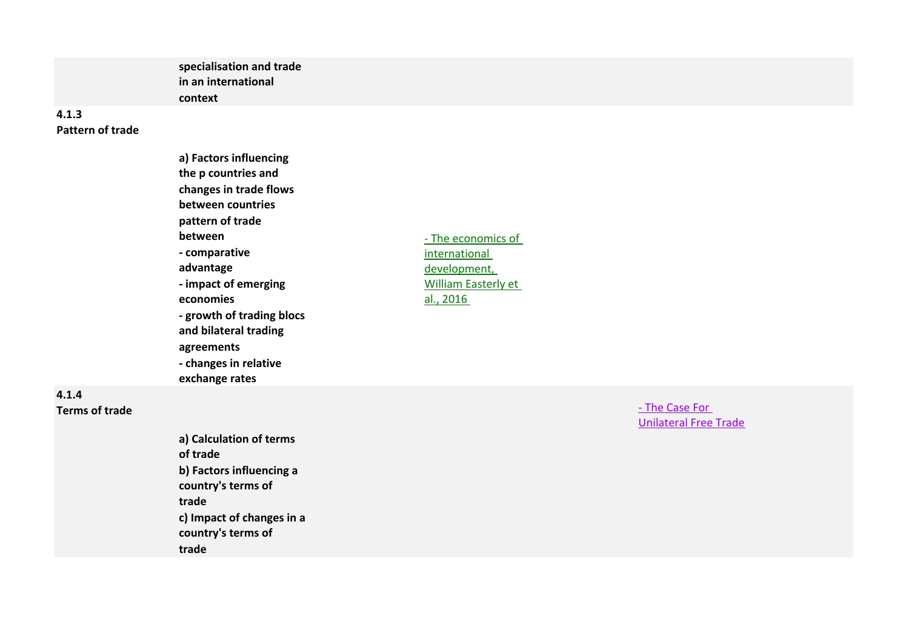**specialisation and trade in an international context**

### **4.1.3 Pattern of trade**

**a) Factors influencing the p countries and changes in trade flows between countries pattern of trade between between between a - comparative advantage - impact of emerging economies - growth of trading blocs and bilateral trading agreements - changes in relative exchange rates**

[international](https://iea.org.uk/publications/the-economics-of-international-development/)  [development,](https://iea.org.uk/publications/the-economics-of-international-development/)  [William Easterly et](https://iea.org.uk/publications/the-economics-of-international-development/)  [al., 2016](https://iea.org.uk/publications/the-economics-of-international-development/) 

# **4.1.4**

**a) Calculation of terms of trade b) Factors influencing a country's terms of trade c) Impact of changes in a country's terms of trade**

**Terms of trade** [- The Case For](https://www.youtube.com/watch?v=JtYJlVzXpIU) the Case Terms of trade - The Case For the Case Terms of trade - The Case For [Unilateral Free Trade](https://www.youtube.com/watch?v=JtYJlVzXpIU)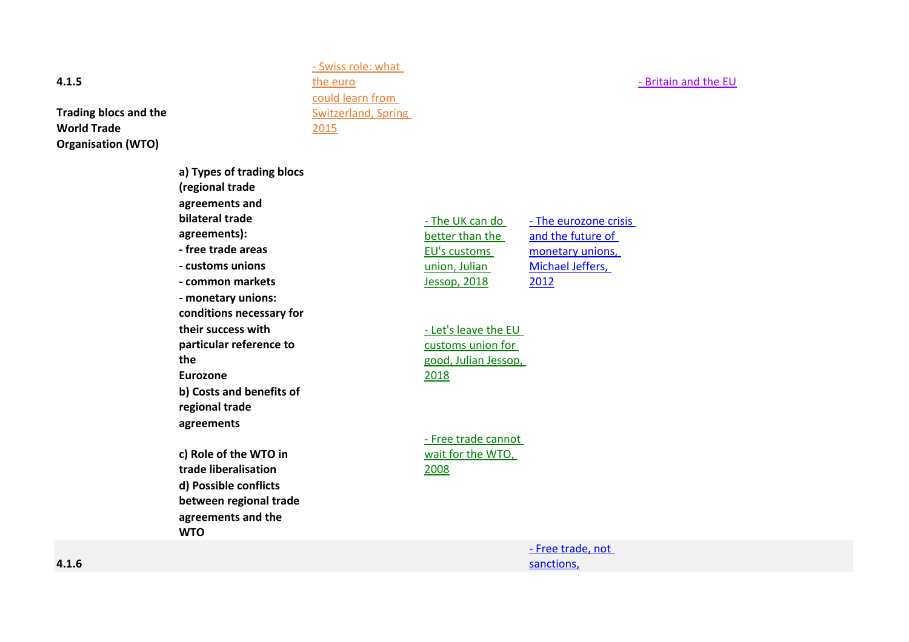**4.1.5**

**Trading blocs and the World Trade Organisation (WTO)**

[- Swiss role: what](https://iea.org.uk/wp-content/uploads/2016/08/EA-Spring-2015_EUROZONE.pdf)  [the euro](https://iea.org.uk/wp-content/uploads/2016/08/EA-Spring-2015_EUROZONE.pdf) and the EU state of the euro of the EU state of the EU state of the EU state of the EU state of the EU [could learn from](https://iea.org.uk/wp-content/uploads/2016/08/EA-Spring-2015_EUROZONE.pdf)  [Switzerland, Spring](https://iea.org.uk/wp-content/uploads/2016/08/EA-Spring-2015_EUROZONE.pdf)  [2015](https://iea.org.uk/wp-content/uploads/2016/08/EA-Spring-2015_EUROZONE.pdf)

**(regional trade agreements and bilateral trade agreements): - free trade areas - customs unions - common markets - monetary unions: conditions necessary for their success with particular reference to Eurozone** [2018](https://iea.org.uk/media/lets-leave-the-eus-customs-union-for-good/) **b) Costs and benefits of regional trade**

**c) Role of the WTO in trade liberalisation d) Possible conflicts between regional trade agreements and the WTO**

**the**

**agreements**

**a) Types of trading blocs** 

[- The UK can do](https://iea.org.uk/publications/the-uk-can-do-better-than-the-eus-customs-union/)  [better than the](https://iea.org.uk/publications/the-uk-can-do-better-than-the-eus-customs-union/)  [EU's customs](https://iea.org.uk/publications/the-uk-can-do-better-than-the-eus-customs-union/)  [union, Julian](https://iea.org.uk/publications/the-uk-can-do-better-than-the-eus-customs-union/)  [Jessop, 2018](https://iea.org.uk/publications/the-uk-can-do-better-than-the-eus-customs-union/) [- The eurozone crisis](https://iea.org.uk/blog/the-eurozone-crisis-and-the-future-of-monetary-unions)  [and the future of](https://iea.org.uk/blog/the-eurozone-crisis-and-the-future-of-monetary-unions)  [monetary unions,](https://iea.org.uk/blog/the-eurozone-crisis-and-the-future-of-monetary-unions)  [Michael Jeffers,](https://iea.org.uk/blog/the-eurozone-crisis-and-the-future-of-monetary-unions)  [2012](https://iea.org.uk/blog/the-eurozone-crisis-and-the-future-of-monetary-unions)

[- Let's leave the EU](https://iea.org.uk/media/lets-leave-the-eus-customs-union-for-good/)  [customs union for](https://iea.org.uk/media/lets-leave-the-eus-customs-union-for-good/)  [good, Julian Jessop,](https://iea.org.uk/media/lets-leave-the-eus-customs-union-for-good/) 

[- Free trade cannot](https://iea.org.uk/in-the-media/press-release/free-trade-cannot-wait-for-the-wto)  wait for the WTO, [2008](https://iea.org.uk/in-the-media/press-release/free-trade-cannot-wait-for-the-wto)

> [- Free trade, not](http://www.iea.org.uk/blog/free-trade-not-sanctions-is-the-key-to-helping-the-world%E2%80%99s-poor)  [sanctions,](http://www.iea.org.uk/blog/free-trade-not-sanctions-is-the-key-to-helping-the-world%E2%80%99s-poor)

**4.1.6**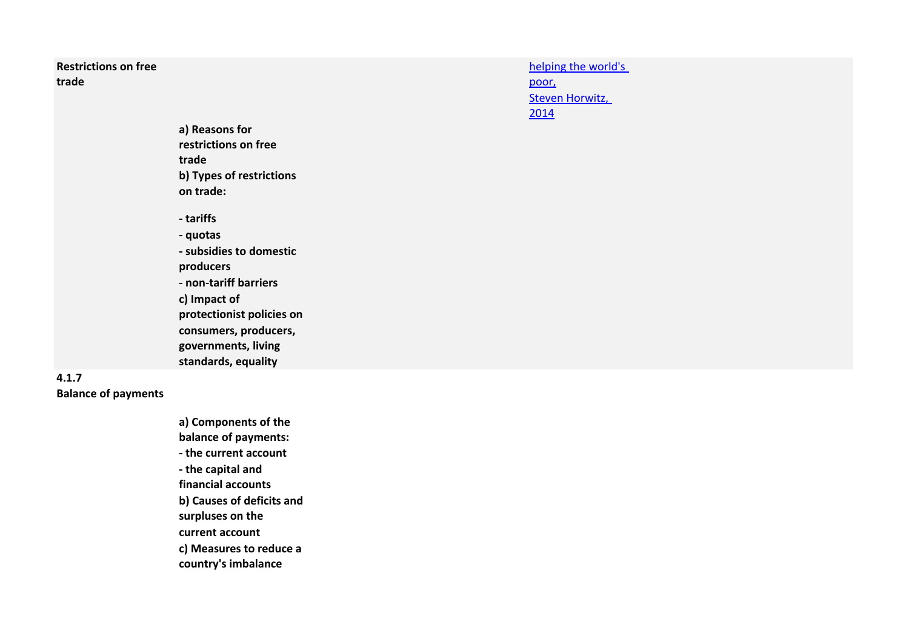**Restrictions on free trade**

> **a) Reasons for restrictions on free trade b) Types of restrictions on trade:**

**- tariffs**

**- quotas**

**- subsidies to domestic producers - non-tariff barriers c) Impact of protectionist policies on**

**consumers, producers,** 

**governments, living standards, equality**

**4.1.7 Balance of payments**

> **a) Components of the balance of payments: - the current account - the capital and financial accounts b) Causes of deficits and surpluses on the current account c) Measures to reduce a country's imbalance**

[helping the world's](http://www.iea.org.uk/blog/free-trade-not-sanctions-is-the-key-to-helping-the-world%E2%80%99s-poor)  [poor,](http://www.iea.org.uk/blog/free-trade-not-sanctions-is-the-key-to-helping-the-world%E2%80%99s-poor) [Steven Horwitz,](http://www.iea.org.uk/blog/free-trade-not-sanctions-is-the-key-to-helping-the-world%E2%80%99s-poor)  [2014](http://www.iea.org.uk/blog/free-trade-not-sanctions-is-the-key-to-helping-the-world%E2%80%99s-poor)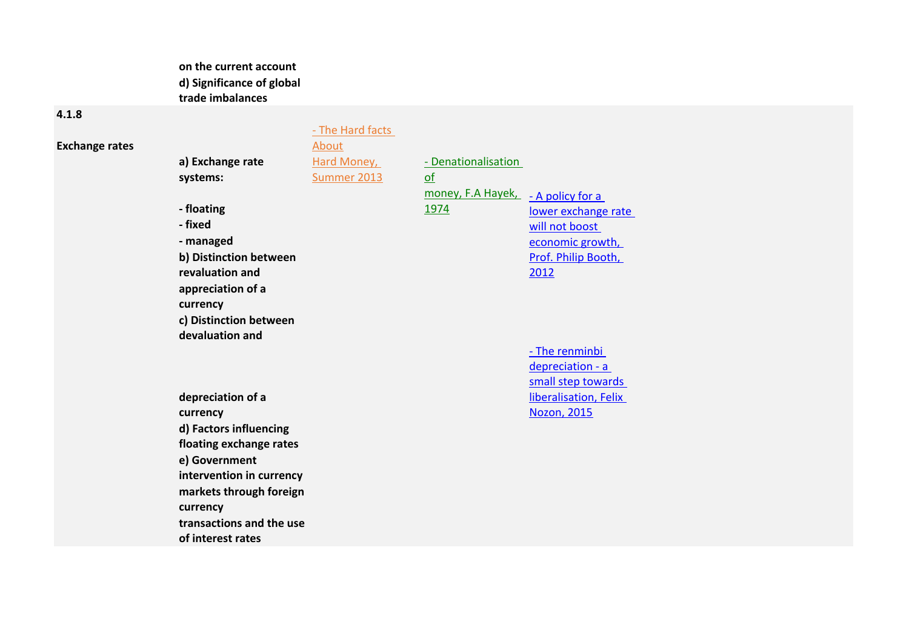**on the current account d) Significance of global trade imbalances**

#### **4.1.8**

#### **Exchange rates**

**a) Exchange rate systems:**

**- floating**

**- fixed - managed** [Hard Money,](https://iea.org.uk/wp-content/uploads/2016/08/EA-Summer-2013-city-view.pdf)  [Summer 2013](https://iea.org.uk/wp-content/uploads/2016/08/EA-Summer-2013-city-view.pdf)

[- The Hard facts](https://iea.org.uk/wp-content/uploads/2016/08/EA-Summer-2013-city-view.pdf) 

[About](https://iea.org.uk/wp-content/uploads/2016/08/EA-Summer-2013-city-view.pdf)

[- Denationalisation](https://iea.org.uk/wp-content/uploads/2016/07/Denationalisation%20of%20Money.pdf)  [of](https://iea.org.uk/wp-content/uploads/2016/07/Denationalisation%20of%20Money.pdf) [money, F.A Hayek,](https://iea.org.uk/wp-content/uploads/2016/07/Denationalisation%20of%20Money.pdf) - A policy for a [1974](https://iea.org.uk/wp-content/uploads/2016/07/Denationalisation%20of%20Money.pdf) lower exchange rate [will not boost](https://iea.org.uk/blog/a-policy-for-a-lower-exchange-rate-will-not-boost-economic-growth)  [economic growth,](https://iea.org.uk/blog/a-policy-for-a-lower-exchange-rate-will-not-boost-economic-growth)  Prof. Philip Booth, [2012](https://iea.org.uk/blog/a-policy-for-a-lower-exchange-rate-will-not-boost-economic-growth)

**appreciation of a currency**

**b) Distinction between** 

**revaluation and**

**c) Distinction between devaluation and**

**depreciation of a currency d) Factors influencing floating exchange rates e) Government intervention in currency markets through foreign currency transactions and the use of interest rates**

[- The renminbi](https://iea.org.uk/blog/the-renminbi-depreciation-%E2%80%93-a-small-step-towards-liberalisation)  [depreciation - a](https://iea.org.uk/blog/the-renminbi-depreciation-%E2%80%93-a-small-step-towards-liberalisation)  small step towards [liberalisation, Felix](https://iea.org.uk/blog/the-renminbi-depreciation-%E2%80%93-a-small-step-towards-liberalisation)  [Nozon, 2015](https://iea.org.uk/blog/the-renminbi-depreciation-%E2%80%93-a-small-step-towards-liberalisation)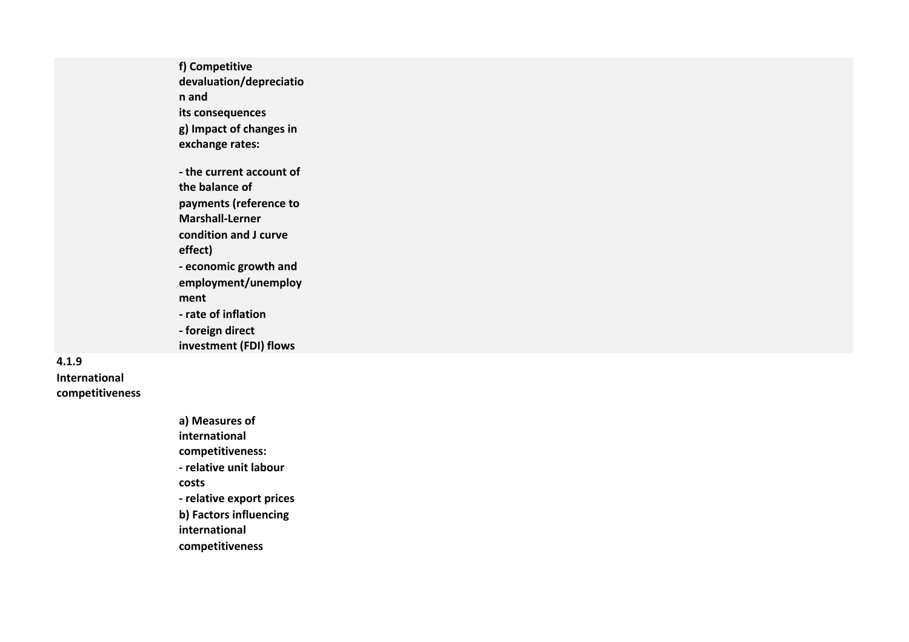**f) Competitive devaluation/depreciatio n and its consequences g) Impact of changes in exchange rates: - the current account of the balance of payments (reference to Marshall-Lerner condition and J curve effect) - economic growth and employment/unemploy ment - rate of inflation - foreign direct investment (FDI) flows**

#### **4.1.9**

**International competitiveness**

> **a) Measures of international competitiveness: - relative unit labour costs - relative export prices b) Factors influencing international competitiveness**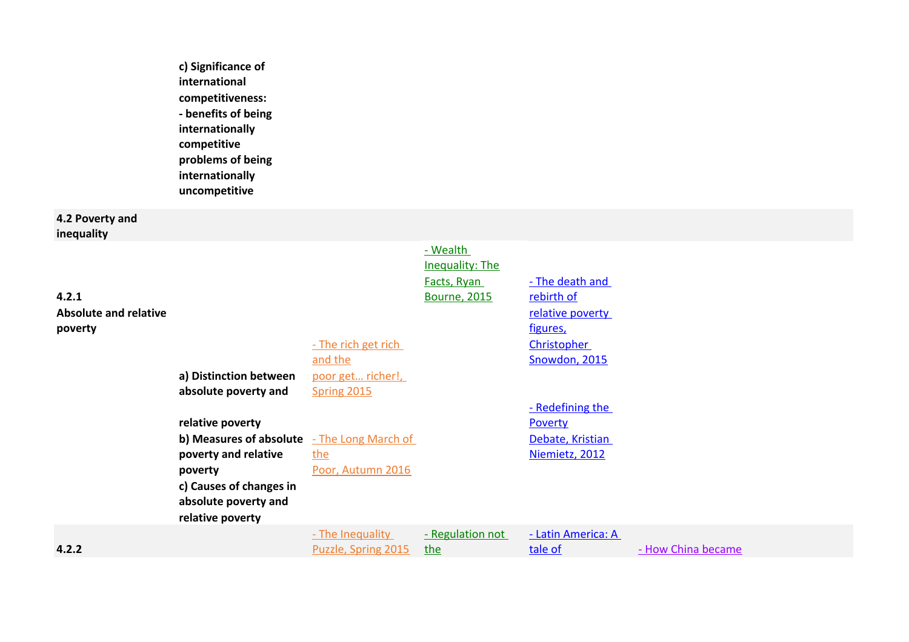**c) Significance of international competitiveness: - benefits of being internationally competitive problems of being internationally uncompetitive**

# **4.2 Poverty and**

# **inequality**

|                              |                                                    |                     | - Wealth               |                    |                    |
|------------------------------|----------------------------------------------------|---------------------|------------------------|--------------------|--------------------|
|                              |                                                    |                     | <b>Inequality: The</b> |                    |                    |
|                              |                                                    |                     | Facts, Ryan            | - The death and    |                    |
| 4.2.1                        |                                                    |                     | <b>Bourne, 2015</b>    | rebirth of         |                    |
| <b>Absolute and relative</b> |                                                    |                     |                        | relative poverty   |                    |
| poverty                      |                                                    |                     |                        | figures,           |                    |
|                              |                                                    | - The rich get rich |                        | <b>Christopher</b> |                    |
|                              |                                                    | and the             |                        | Snowdon, 2015      |                    |
|                              | a) Distinction between                             | poor get richer!,   |                        |                    |                    |
|                              | absolute poverty and                               | <b>Spring 2015</b>  |                        |                    |                    |
|                              |                                                    |                     |                        | - Redefining the   |                    |
|                              | relative poverty                                   |                     |                        | <b>Poverty</b>     |                    |
|                              | <b>b) Measures of absolute</b> - The Long March of |                     |                        | Debate, Kristian   |                    |
|                              | poverty and relative                               | <u>the</u>          |                        | Niemietz, 2012     |                    |
|                              | poverty                                            | Poor, Autumn 2016   |                        |                    |                    |
|                              | c) Causes of changes in                            |                     |                        |                    |                    |
|                              | absolute poverty and                               |                     |                        |                    |                    |
|                              | relative poverty                                   |                     |                        |                    |                    |
|                              |                                                    | - The Inequality    | - Regulation not       | - Latin America: A |                    |
| 4.2.2                        |                                                    | Puzzle, Spring 2015 | the                    | tale of            | - How China became |
|                              |                                                    |                     |                        |                    |                    |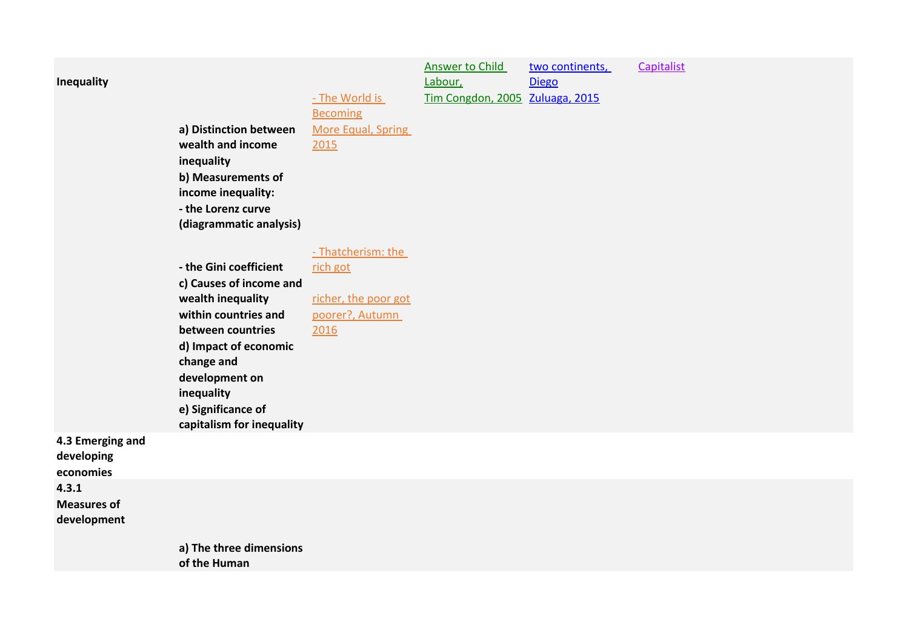| <b>Inequality</b>                           | a) Distinction between<br>wealth and income<br>inequality<br>b) Measurements of<br>income inequality:<br>- the Lorenz curve<br>(diagrammatic analysis)                                                                                        | - The World is<br><b>Becoming</b><br>More Equal, Spring<br>2015                   | <b>Answer to Child</b><br>Labour,<br>Tim Congdon, 2005 Zuluaga, 2015 | two continents,<br><b>Diego</b> | Capitalist |
|---------------------------------------------|-----------------------------------------------------------------------------------------------------------------------------------------------------------------------------------------------------------------------------------------------|-----------------------------------------------------------------------------------|----------------------------------------------------------------------|---------------------------------|------------|
|                                             | - the Gini coefficient<br>c) Causes of income and<br>wealth inequality<br>within countries and<br>between countries<br>d) Impact of economic<br>change and<br>development on<br>inequality<br>e) Significance of<br>capitalism for inequality | - Thatcherism: the<br>rich got<br>richer, the poor got<br>poorer?, Autumn<br>2016 |                                                                      |                                 |            |
| 4.3 Emerging and<br>developing<br>economies |                                                                                                                                                                                                                                               |                                                                                   |                                                                      |                                 |            |
| 4.3.1<br><b>Measures of</b><br>development  |                                                                                                                                                                                                                                               |                                                                                   |                                                                      |                                 |            |
|                                             | a) The three dimensions<br>of the Human                                                                                                                                                                                                       |                                                                                   |                                                                      |                                 |            |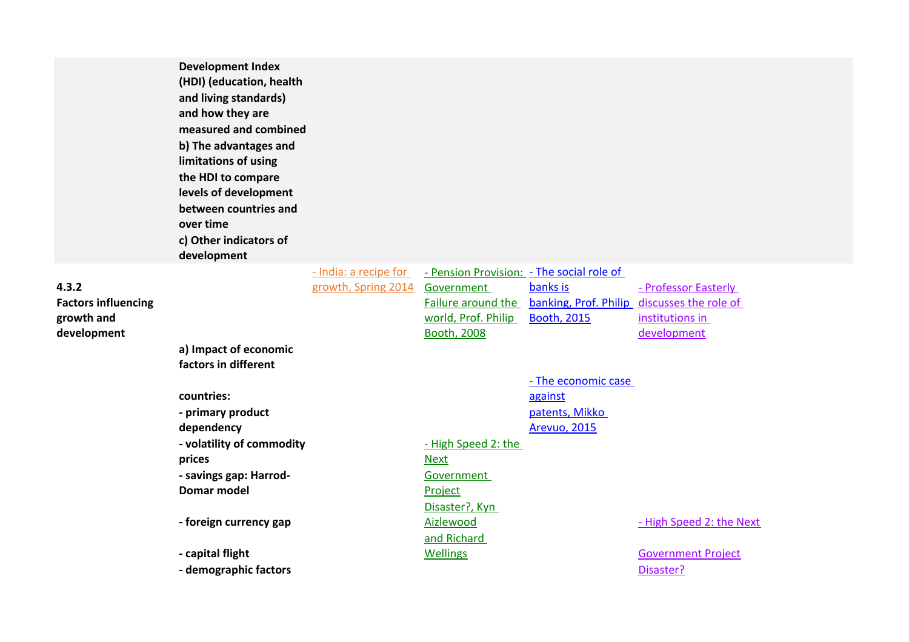**Development Index (HDI) (education, health and living standards) and how they are measured and combined b) The advantages and limitations of using the HDI to compare levels of development between countries and over time c) Other indicators of development 4.3.2** [- India: a recipe for](https://iea.org.uk/wp-content/uploads/2016/08/EA-Spring-2014-Interview-SMALL_0.pdf)  [growth, Spring 2014](https://iea.org.uk/wp-content/uploads/2016/08/EA-Spring-2014-Interview-SMALL_0.pdf) [- Pension Provision:](http://www.iea.org.uk/publications/research/pension-provision-government-failure-around-the-world) - The social role of [Government](http://www.iea.org.uk/publications/research/pension-provision-government-failure-around-the-world)  [Failure around the](http://www.iea.org.uk/publications/research/pension-provision-government-failure-around-the-world)  [world, Prof. Philip](http://www.iea.org.uk/publications/research/pension-provision-government-failure-around-the-world)  [Booth, 2008](http://www.iea.org.uk/publications/research/pension-provision-government-failure-around-the-world) [banks is](http://www.iea.org.uk/blog/the-social-role-of-banks-is-banking) The Section 1 - Professor Easterly **Factors influencing growth and development** [banking, Prof. Philip](http://www.iea.org.uk/blog/the-social-role-of-banks-is-banking)  [Booth, 2015](http://www.iea.org.uk/blog/the-social-role-of-banks-is-banking) **a) Impact of economic factors in different**

[discusses the role of](http://www.iea.org.uk/multimedia/video/interview-with-professor-easterly-on-institutions-and-development)  [institutions in](http://www.iea.org.uk/multimedia/video/interview-with-professor-easterly-on-institutions-and-development)  [development](http://www.iea.org.uk/multimedia/video/interview-with-professor-easterly-on-institutions-and-development) **countries:** [- The economic case](http://www.iea.org.uk/blog/the-economic-case-against-patents)  [against](http://www.iea.org.uk/blog/the-economic-case-against-patents) **- primary product dependency** [patents, Mikko](http://www.iea.org.uk/blog/the-economic-case-against-patents)  [Arevuo, 2015](http://www.iea.org.uk/blog/the-economic-case-against-patents) **- volatility of commodity prices** [- High Speed 2: the](http://www.iea.org.uk/publications/research/high-speed-2-the-next-government-project-disaster)  [Next](http://www.iea.org.uk/publications/research/high-speed-2-the-next-government-project-disaster) **- savings gap: Harrod-Domar model** [Government](http://www.iea.org.uk/publications/research/high-speed-2-the-next-government-project-disaster)  **[Project](http://www.iea.org.uk/publications/research/high-speed-2-the-next-government-project-disaster) - foreign currency gap** [Disaster?, Kyn](http://www.iea.org.uk/publications/research/high-speed-2-the-next-government-project-disaster)  [Aizlewood](http://www.iea.org.uk/publications/research/high-speed-2-the-next-government-project-disaster) **Aizlewood [- High Speed 2: the Next](https://www.youtube.com/watch?v=nZ1ekevQ7SM) - capital flight** [and Richard](http://www.iea.org.uk/publications/research/high-speed-2-the-next-government-project-disaster)  [Wellings](http://www.iea.org.uk/publications/research/high-speed-2-the-next-government-project-disaster) **[Government Project](https://www.youtube.com/watch?v=nZ1ekevQ7SM) - demographic factors** [Disaster?](https://www.youtube.com/watch?v=nZ1ekevQ7SM)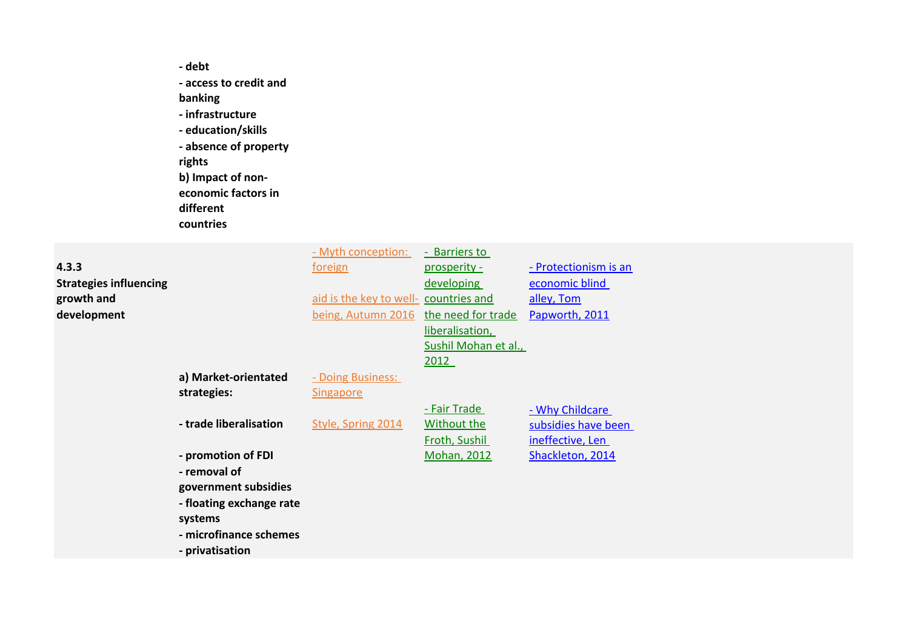# **- debt - access to credit and banking - infrastructure - education/skills - absence of property rights b) Impact of noneconomic factors in different countries**

|                               |                          | - Myth conception:      | - Barriers to        |                       |
|-------------------------------|--------------------------|-------------------------|----------------------|-----------------------|
| 4.3.3                         |                          | foreign                 | prosperity -         | - Protectionism is an |
| <b>Strategies influencing</b> |                          |                         | developing           | economic blind        |
| growth and                    |                          | aid is the key to well- | countries and        | alley, Tom            |
| development                   |                          | being, Autumn 2016      | the need for trade   | Papworth, 2011        |
|                               |                          |                         | liberalisation,      |                       |
|                               |                          |                         | Sushil Mohan et al., |                       |
|                               |                          |                         | 2012                 |                       |
|                               | a) Market-orientated     | - Doing Business:       |                      |                       |
|                               | strategies:              | <b>Singapore</b>        |                      |                       |
|                               |                          |                         | - Fair Trade         | - Why Childcare       |
|                               | - trade liberalisation   | Style, Spring 2014      | <b>Without the</b>   | subsidies have been   |
|                               |                          |                         | Froth, Sushil        | ineffective, Len      |
|                               | - promotion of FDI       |                         | <b>Mohan, 2012</b>   | Shackleton, 2014      |
|                               | - removal of             |                         |                      |                       |
|                               | government subsidies     |                         |                      |                       |
|                               | - floating exchange rate |                         |                      |                       |
|                               | systems                  |                         |                      |                       |
|                               | - microfinance schemes   |                         |                      |                       |
|                               | - privatisation          |                         |                      |                       |
|                               |                          |                         |                      |                       |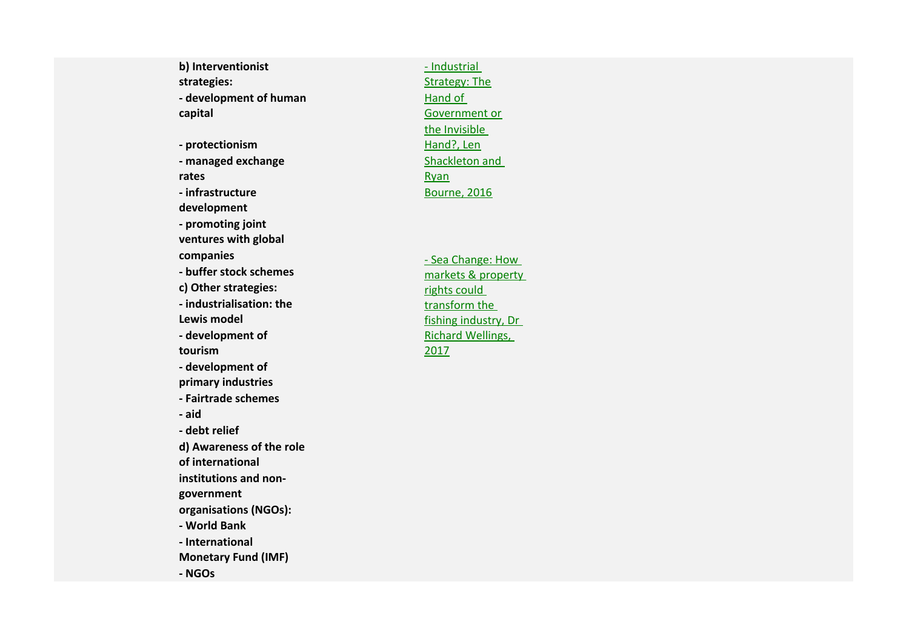**b) Interventionist strategies: - development of human capital**

**- protectionism - managed exchange rates - infrastructure development - promoting joint ventures with global companies**  $\overline{\phantom{0}}$  - Sea Change: How **- buffer stock schemes c) Other strategies: - industrialisation: the Lewis model - development of tourism - development of primary industries - Fairtrade schemes - aid - debt relief d) Awareness of the role of international institutions and non-**

**government**

**organisations (NGOs):**

**- World Bank**

**- International** 

**Monetary Fund (IMF)**

**- NGOs**

[- Industrial](https://iea.org.uk/publications/balancing-the-economy-the-hand-of-government-or-the-invisible-hand/)  [Strategy: The](https://iea.org.uk/publications/balancing-the-economy-the-hand-of-government-or-the-invisible-hand/) [Hand of](https://iea.org.uk/publications/balancing-the-economy-the-hand-of-government-or-the-invisible-hand/)  [Government or](https://iea.org.uk/publications/balancing-the-economy-the-hand-of-government-or-the-invisible-hand/) [the Invisible](https://iea.org.uk/publications/balancing-the-economy-the-hand-of-government-or-the-invisible-hand/)  [Hand?, Len](https://iea.org.uk/publications/balancing-the-economy-the-hand-of-government-or-the-invisible-hand/) [Shackleton and](https://iea.org.uk/publications/balancing-the-economy-the-hand-of-government-or-the-invisible-hand/)  [Ryan](https://iea.org.uk/publications/balancing-the-economy-the-hand-of-government-or-the-invisible-hand/) [Bourne, 2016](https://iea.org.uk/publications/balancing-the-economy-the-hand-of-government-or-the-invisible-hand/)

[markets & property](https://iea.org.uk/publications/sea-change-how-markets-property-rights-could-transform-the-fishing-industry/)  [rights could](https://iea.org.uk/publications/sea-change-how-markets-property-rights-could-transform-the-fishing-industry/)  [transform the](https://iea.org.uk/publications/sea-change-how-markets-property-rights-could-transform-the-fishing-industry/)  [fishing industry, Dr](https://iea.org.uk/publications/sea-change-how-markets-property-rights-could-transform-the-fishing-industry/)  [Richard Wellings,](https://iea.org.uk/publications/sea-change-how-markets-property-rights-could-transform-the-fishing-industry/)  [2017](https://iea.org.uk/publications/sea-change-how-markets-property-rights-could-transform-the-fishing-industry/)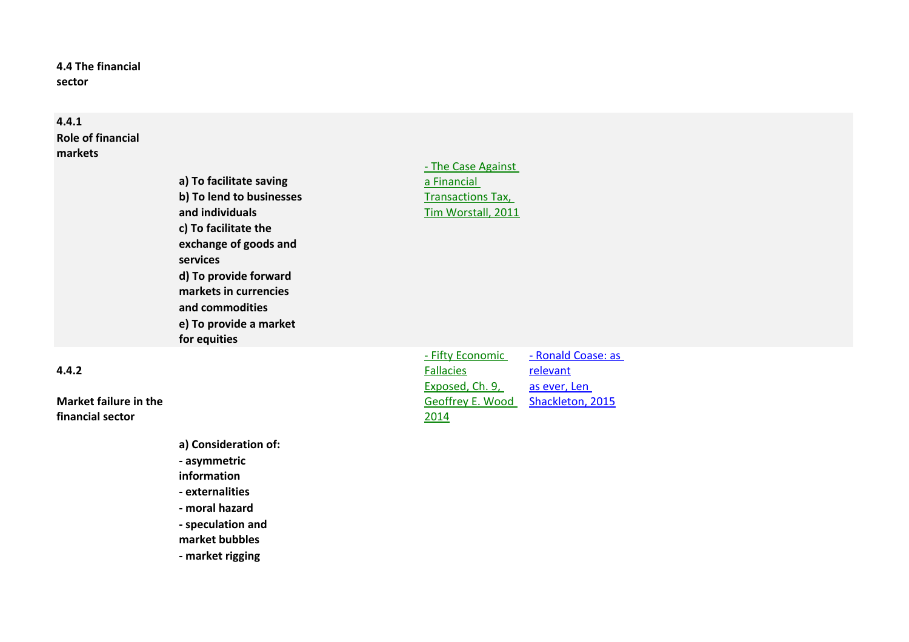**4.4 The financial sector**

## **4.4.1 Role of financial markets**

**a) To facilitate saving b) To lend to businesses and individuals c) To facilitate the exchange of goods and services d) To provide forward markets in currencies and commodities e) To provide a market for equities**

[- The Case Against](http://www.iea.org.uk/publications/research/the-case-against-a-financial-transactions-tax-web-publication)  [a Financial](http://www.iea.org.uk/publications/research/the-case-against-a-financial-transactions-tax-web-publication)  [Transactions Tax,](http://www.iea.org.uk/publications/research/the-case-against-a-financial-transactions-tax-web-publication)  [Tim Worstall, 2011](http://www.iea.org.uk/publications/research/the-case-against-a-financial-transactions-tax-web-publication)

**4.4.2**

**Market failure in the financial sector**

- **a) Consideration of:**
- **asymmetric**
- **information**
- **externalities**
- **moral hazard**
- **speculation and**
- **market bubbles**
- **market rigging**

[- Fifty Economic](http://www.iea.org.uk/publications/research/fifty-economic-fallacies-exposed-second-edition)  [Fallacies](http://www.iea.org.uk/publications/research/fifty-economic-fallacies-exposed-second-edition) [- Ronald Coase: as](http://www.iea.org.uk/blog/ronald-coase-as-relevant-as-ever)  [relevant](http://www.iea.org.uk/blog/ronald-coase-as-relevant-as-ever) [Exposed, Ch. 9,](http://www.iea.org.uk/publications/research/fifty-economic-fallacies-exposed-second-edition)  [Geoffrey E. Wood](http://www.iea.org.uk/publications/research/fifty-economic-fallacies-exposed-second-edition) [Shackleton, 2015](http://www.iea.org.uk/blog/ronald-coase-as-relevant-as-ever) [2014](http://www.iea.org.uk/publications/research/fifty-economic-fallacies-exposed-second-edition) [as ever, Len](http://www.iea.org.uk/blog/ronald-coase-as-relevant-as-ever)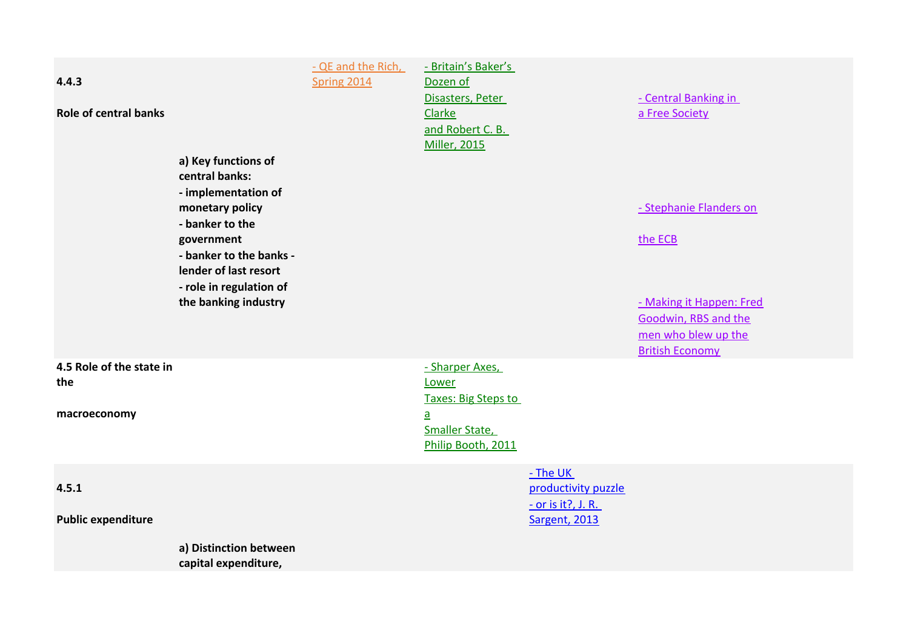| 4.4.3<br><b>Role of central banks</b><br>a) Key functions of                                                                                                                                     | - QE and the Rich,<br>Spring 2014 | - Britain's Baker's<br>Dozen of<br>Disasters, Peter<br><b>Clarke</b><br>and Robert C. B.<br><b>Miller, 2015</b>    |                                                                            | - Central Banking in<br>a Free Society                                                                                                  |
|--------------------------------------------------------------------------------------------------------------------------------------------------------------------------------------------------|-----------------------------------|--------------------------------------------------------------------------------------------------------------------|----------------------------------------------------------------------------|-----------------------------------------------------------------------------------------------------------------------------------------|
| central banks:<br>- implementation of<br>monetary policy<br>- banker to the<br>government<br>- banker to the banks -<br>lender of last resort<br>- role in regulation of<br>the banking industry |                                   |                                                                                                                    |                                                                            | - Stephanie Flanders on<br>the ECB<br>- Making it Happen: Fred<br>Goodwin, RBS and the<br>men who blew up the<br><b>British Economy</b> |
| 4.5 Role of the state in<br>the<br>macroeconomy                                                                                                                                                  |                                   | - Sharper Axes,<br>Lower<br>Taxes: Big Steps to<br>$\underline{a}$<br><b>Smaller State</b> ,<br>Philip Booth, 2011 |                                                                            |                                                                                                                                         |
| 4.5.1<br><b>Public expenditure</b><br>a) Distinction between<br>capital expenditure,                                                                                                             |                                   |                                                                                                                    | $-$ The UK<br>productivity puzzle<br>$-$ or is it?, J. R.<br>Sargent, 2013 |                                                                                                                                         |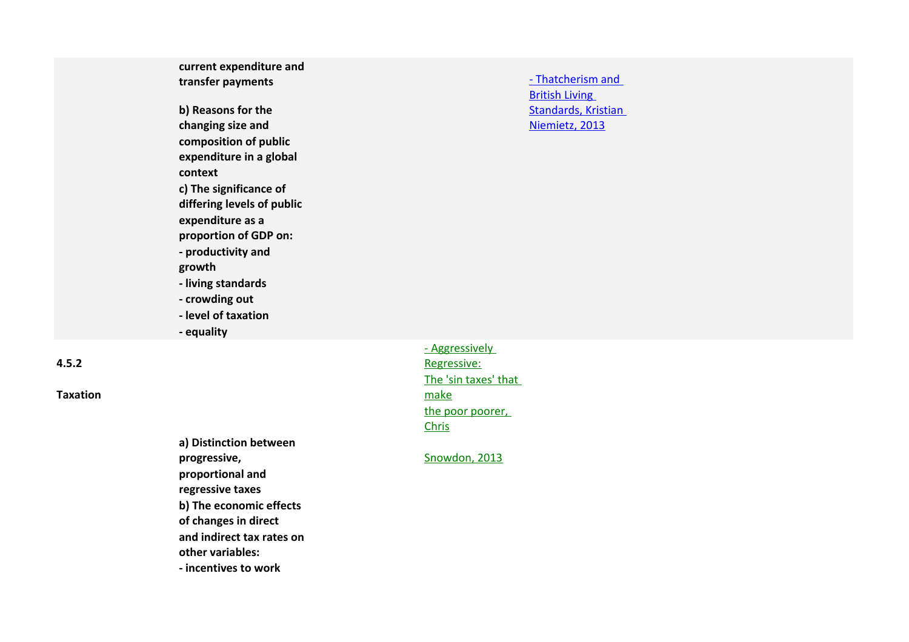**current expenditure and transfer payments**  $\frac{1}{2}$  **transfer payments** 

**b) Reasons for the changing size and composition of public expenditure in a global context c) The significance of differing levels of public expenditure as a proportion of GDP on: - productivity and growth - living standards - crowding out - level of taxation**

**- equality**

[British Living](https://iea.org.uk/blog/thatcherism-and-british-living-standards)  [Standards, Kristian](https://iea.org.uk/blog/thatcherism-and-british-living-standards)  [Niemietz, 2013](https://iea.org.uk/blog/thatcherism-and-british-living-standards)

**4.5.2**

**Taxation**

**a) Distinction between progressive,** [Snowdon, 2013](http://www.iea.org.uk/publications/research/aggressively-regressive-the-sin-taxes-that-make-the-poor-poorer) **proportional and regressive taxes b) The economic effects of changes in direct and indirect tax rates on other variables: - incentives to work**

[- Aggressively](http://www.iea.org.uk/publications/research/aggressively-regressive-the-sin-taxes-that-make-the-poor-poorer)  [Regressive:](http://www.iea.org.uk/publications/research/aggressively-regressive-the-sin-taxes-that-make-the-poor-poorer) [The 'sin taxes' that](http://www.iea.org.uk/publications/research/aggressively-regressive-the-sin-taxes-that-make-the-poor-poorer)  [make](http://www.iea.org.uk/publications/research/aggressively-regressive-the-sin-taxes-that-make-the-poor-poorer) the poor poorer, [Chris](http://www.iea.org.uk/publications/research/aggressively-regressive-the-sin-taxes-that-make-the-poor-poorer)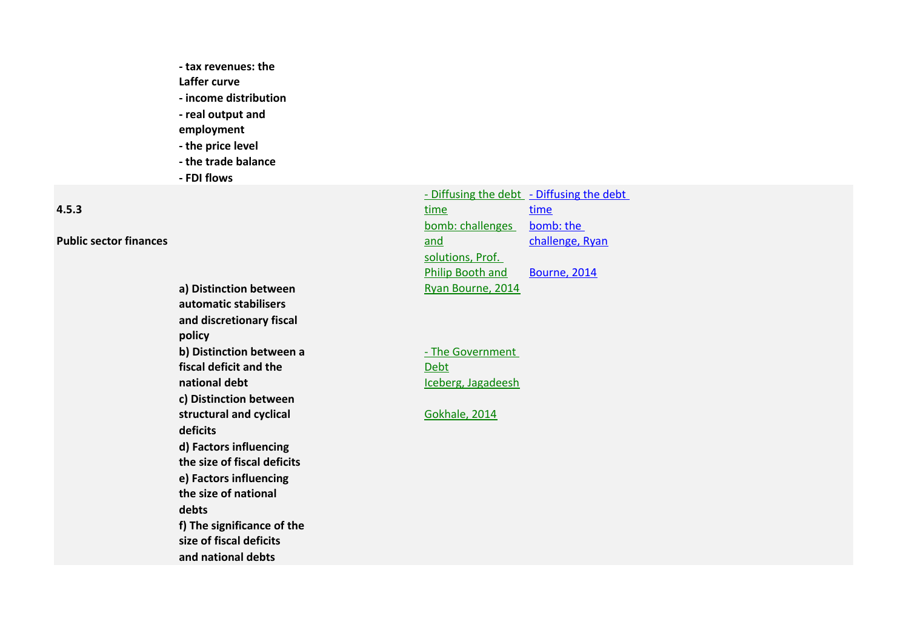- **tax revenues: the**
- **Laffer curve**
- **income distribution**
- **real output and**
- **employment**
- **the price level**
- **the trade balance**
- **FDI flows**

#### **4.5.3**

#### **Public sector finances**

**a) Distinction between automatic stabilisers and discretionary fiscal policy b) Distinction between a fiscal deficit and the national debt Iceberg**, Jagadeesh **c) Distinction between structural and cyclical** [Gokhale, 2014](http://www.iea.org.uk/publications/research/the-government-debt-iceberg) **deficits d) Factors influencing the size of fiscal deficits e) Factors influencing the size of national debts f) The significance of the size of fiscal deficits and national debts**

[- Diffusing the debt](http://www.iea.org.uk/blog/defusing-the-debt-time-bomb-the-challenge) - Diffusing the debt [time](http://www.iea.org.uk/publications/research/defusing-the-debt-timebomb-challenges-and-solutions) [time](http://www.iea.org.uk/blog/defusing-the-debt-time-bomb-the-challenge) [bomb: challenges](http://www.iea.org.uk/publications/research/defusing-the-debt-timebomb-challenges-and-solutions)  [and](http://www.iea.org.uk/publications/research/defusing-the-debt-timebomb-challenges-and-solutions) [bomb: the](http://www.iea.org.uk/blog/defusing-the-debt-time-bomb-the-challenge)  [challenge, Ryan](http://www.iea.org.uk/blog/defusing-the-debt-time-bomb-the-challenge) [solutions, Prof.](http://www.iea.org.uk/publications/research/defusing-the-debt-timebomb-challenges-and-solutions)  [Philip Booth and](http://www.iea.org.uk/publications/research/defusing-the-debt-timebomb-challenges-and-solutions) [Bourne, 2014](http://www.iea.org.uk/blog/defusing-the-debt-time-bomb-the-challenge) [Ryan Bourne, 2014](http://www.iea.org.uk/publications/research/defusing-the-debt-timebomb-challenges-and-solutions)

[- The Government](http://www.iea.org.uk/publications/research/the-government-debt-iceberg)  [Debt](http://www.iea.org.uk/publications/research/the-government-debt-iceberg)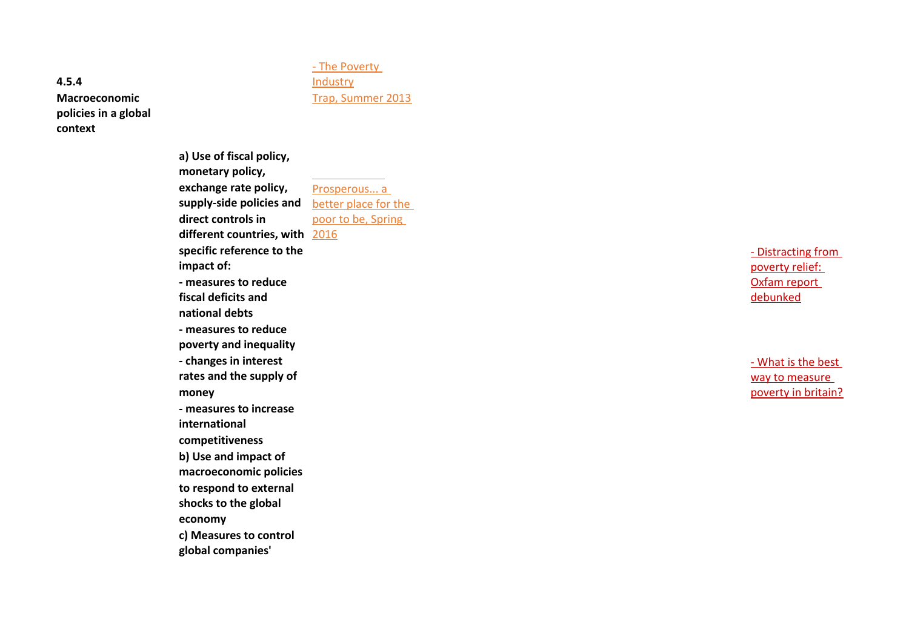**4.5.4 Macroeconomic policies in a global context**

> **a) Use of fiscal policy, monetary policy, exchange rate policy, supply-side policies and** <u>[- Unequal but](https://iealondon.wpengine.com/wp-content/uploads/2016/08/EA-SPRING-2016_Interview_REVISED-1.pdf) also but a</u> [Prosperous... a](https://iealondon.wpengine.com/wp-content/uploads/2016/08/EA-SPRING-2016_Interview_REVISED-1.pdf)  [better place for the](https://iealondon.wpengine.com/wp-content/uploads/2016/08/EA-SPRING-2016_Interview_REVISED-1.pdf)  [poor to be, Spring](https://iealondon.wpengine.com/wp-content/uploads/2016/08/EA-SPRING-2016_Interview_REVISED-1.pdf)  different countries, with [2016](https://iealondon.wpengine.com/wp-content/uploads/2016/08/EA-SPRING-2016_Interview_REVISED-1.pdf) **direct controls in specific reference to the impact of: - measures to reduce fiscal deficits and national debts - measures to reduce poverty and inequality - changes in interest rates and the supply of money - measures to increase international competitiveness b) Use and impact of macroeconomic policies to respond to external shocks to the global economy c) Measures to control**

**global companies'**

[- The Poverty](https://iea.org.uk/wp-content/uploads/2016/08/EA-Summer-2013-Rebuttal.pdf)  [Industry](https://iea.org.uk/wp-content/uploads/2016/08/EA-Summer-2013-Rebuttal.pdf) [Trap, Summer 2013](https://iea.org.uk/wp-content/uploads/2016/08/EA-Summer-2013-Rebuttal.pdf)

> [- Distracting from](https://www.youtube.com/watch?v=2AXCjM7f8nM)  [poverty relief:](https://www.youtube.com/watch?v=2AXCjM7f8nM)  [Oxfam report](https://www.youtube.com/watch?v=2AXCjM7f8nM)

> > [debunked](https://www.youtube.com/watch?v=2AXCjM7f8nM)

[- What is the best](https://www.youtube.com/watch?v=aR7ljBxEK24)  way to measure [poverty in britain?](https://www.youtube.com/watch?v=aR7ljBxEK24)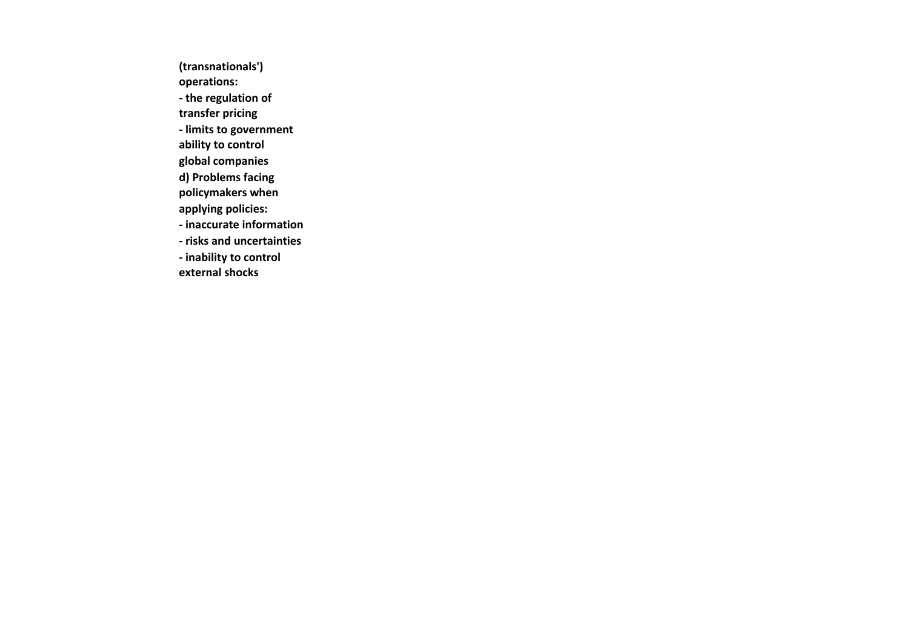**(transnationals') operations: - the regulation of transfer pricing - limits to government ability to control global companies d) Problems facing policymakers when applying policies: - inaccurate information - risks and uncertainties - inability to control external shocks**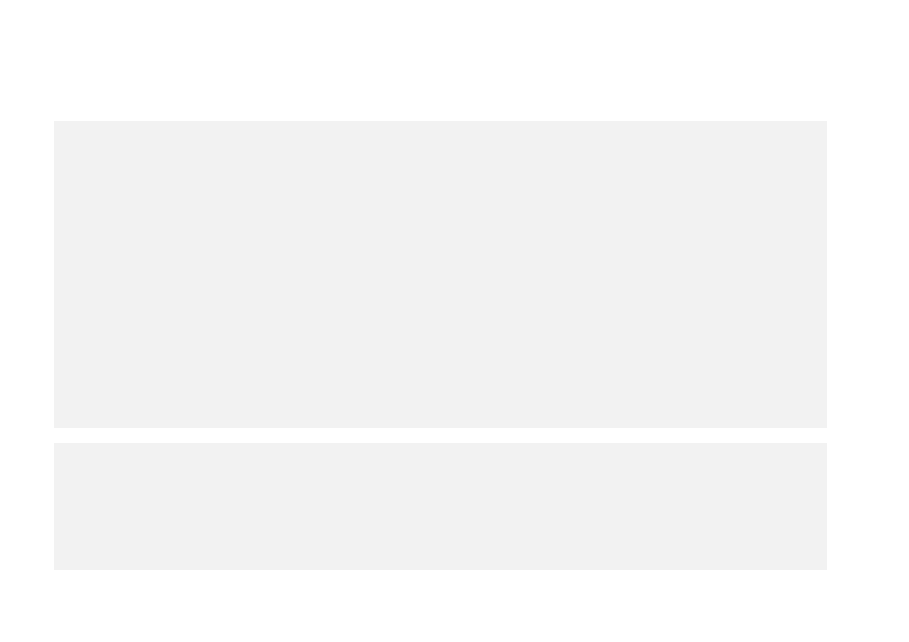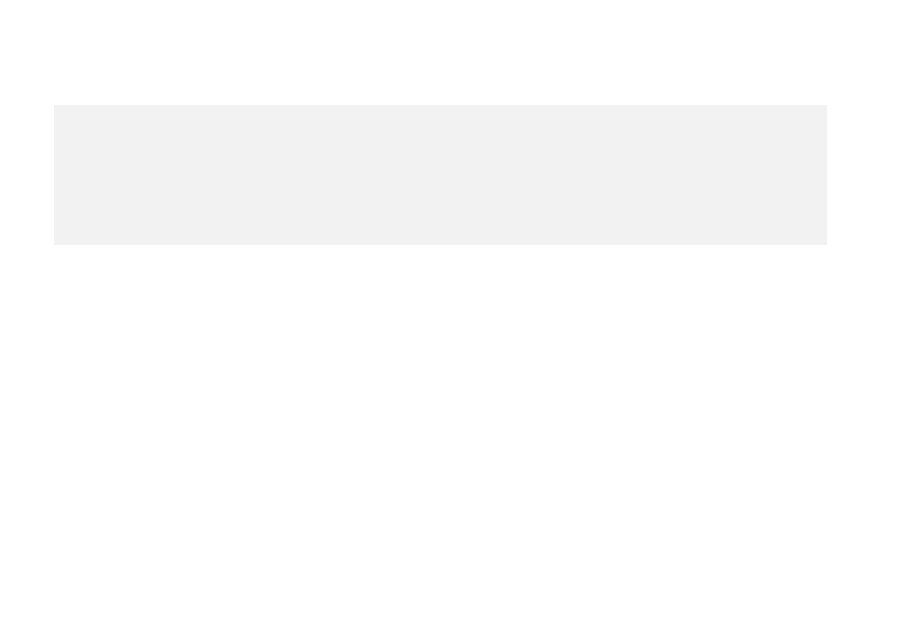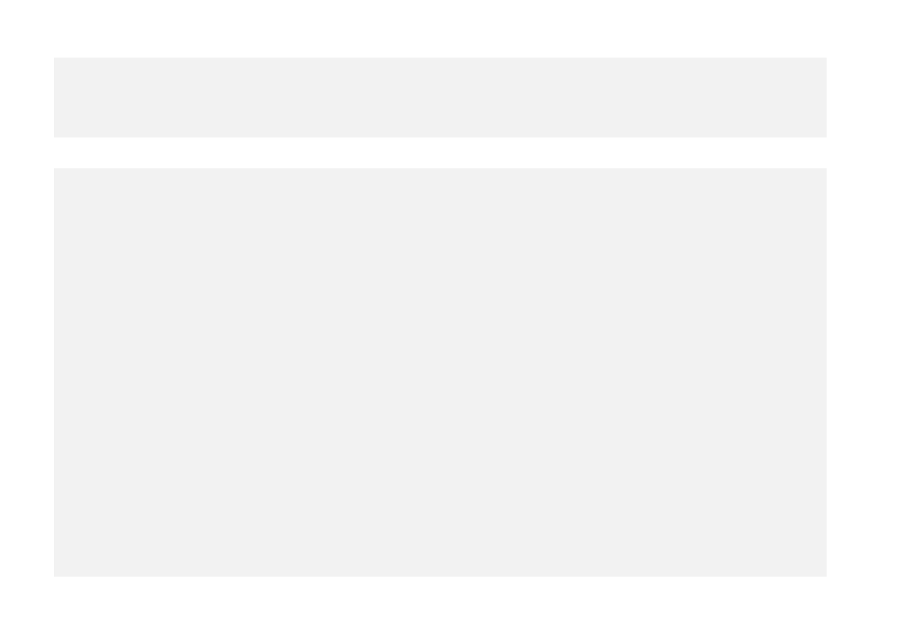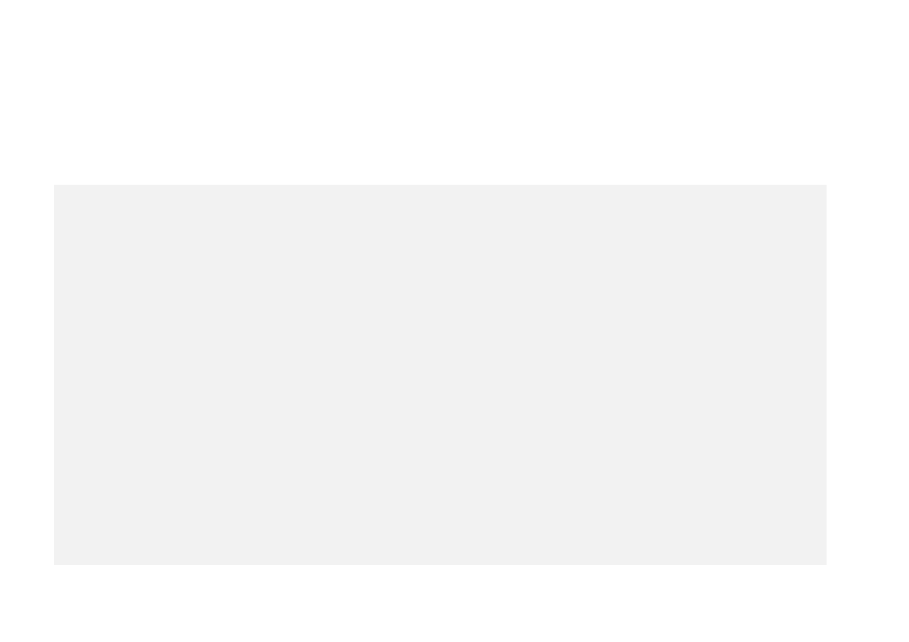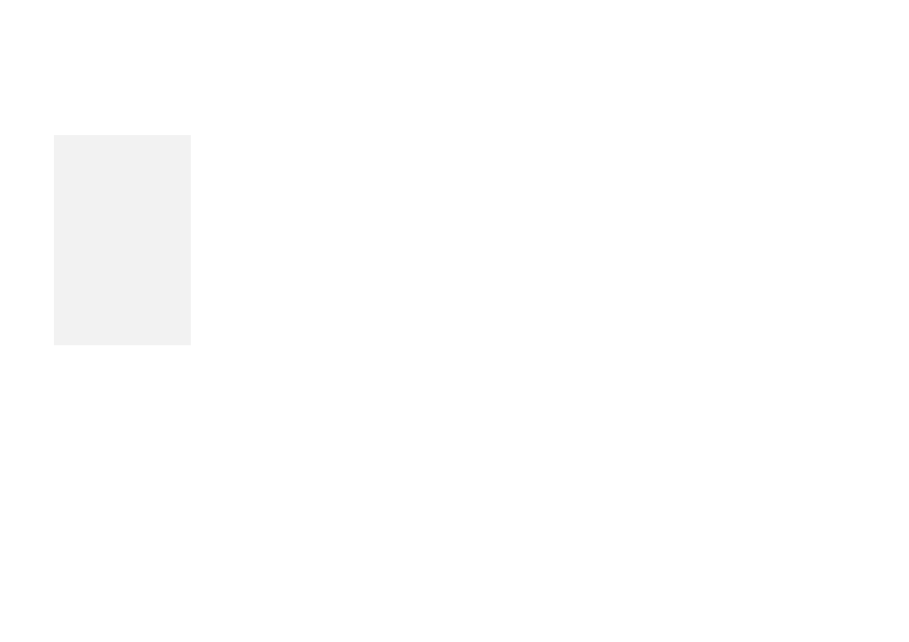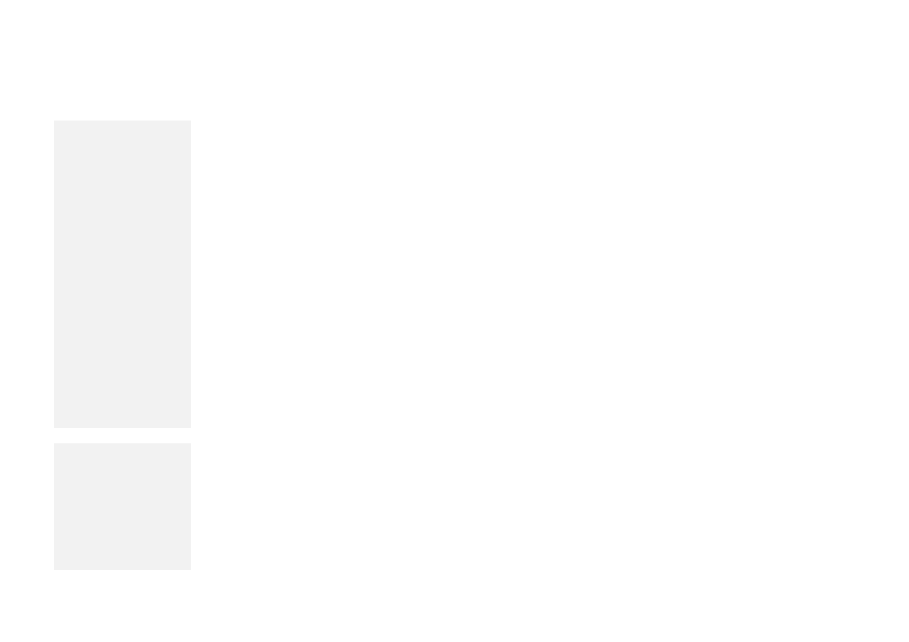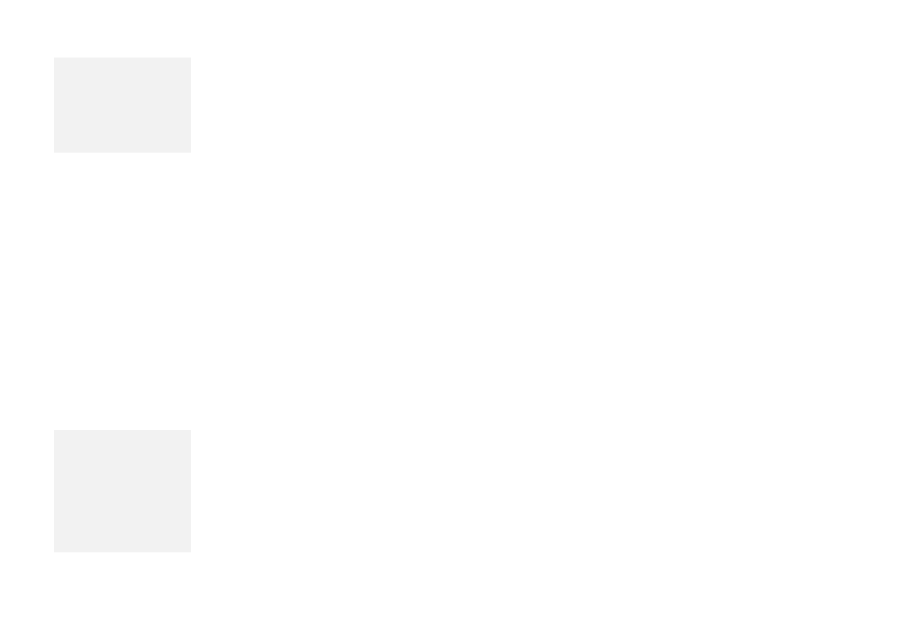

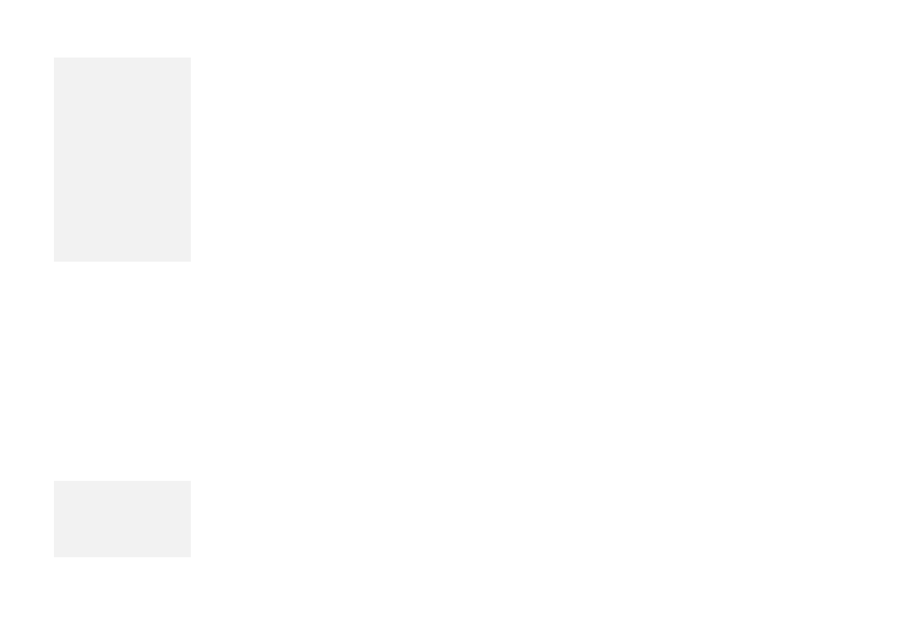

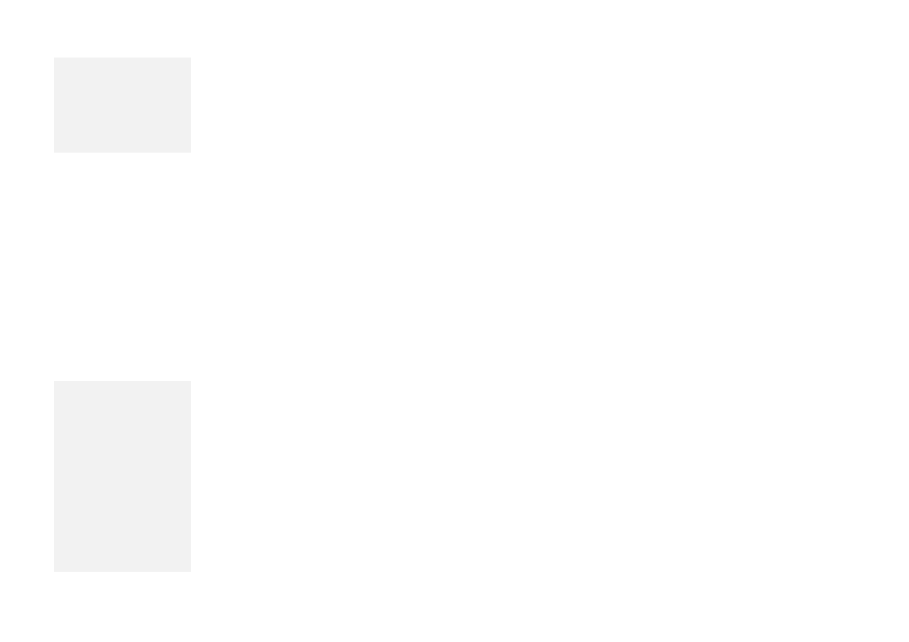













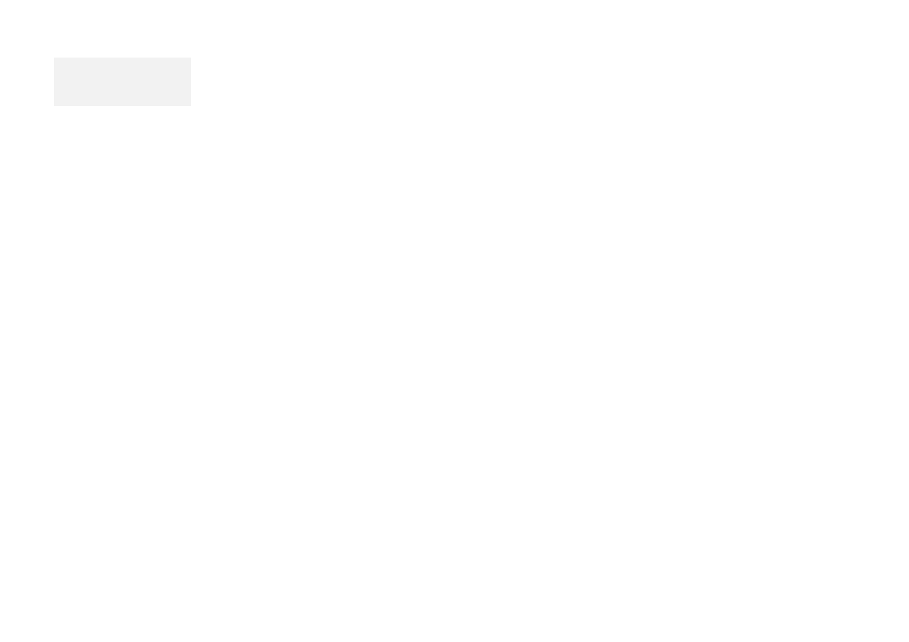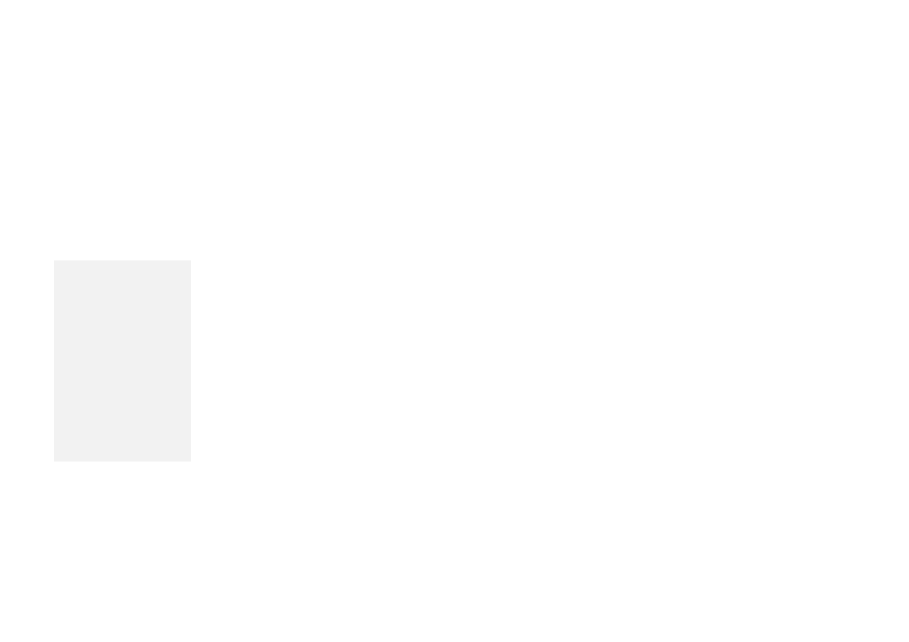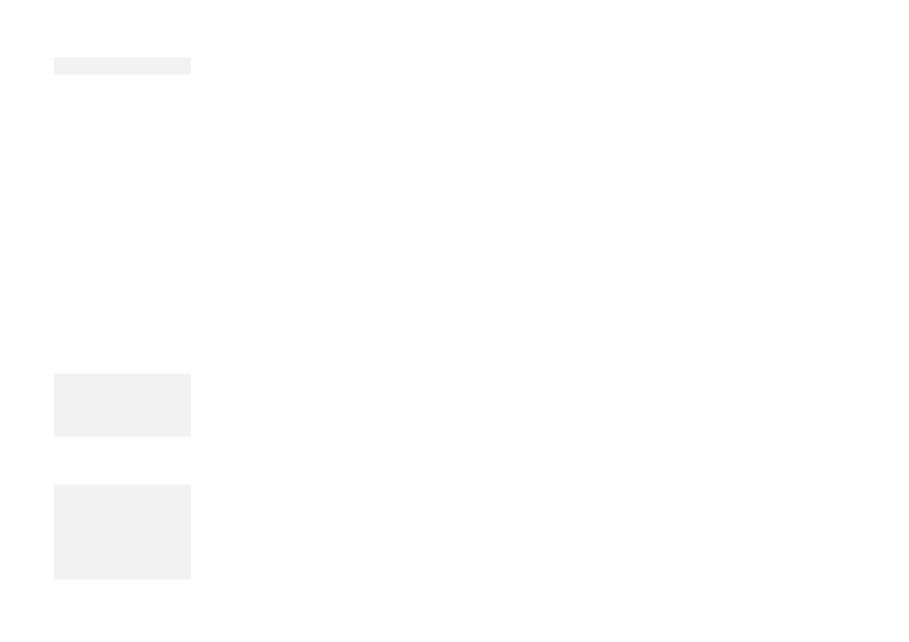

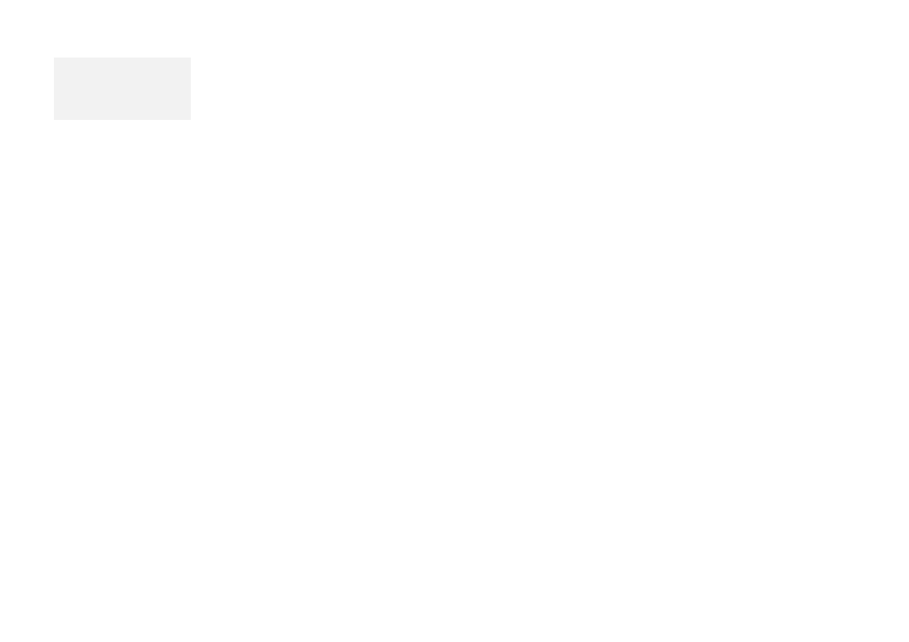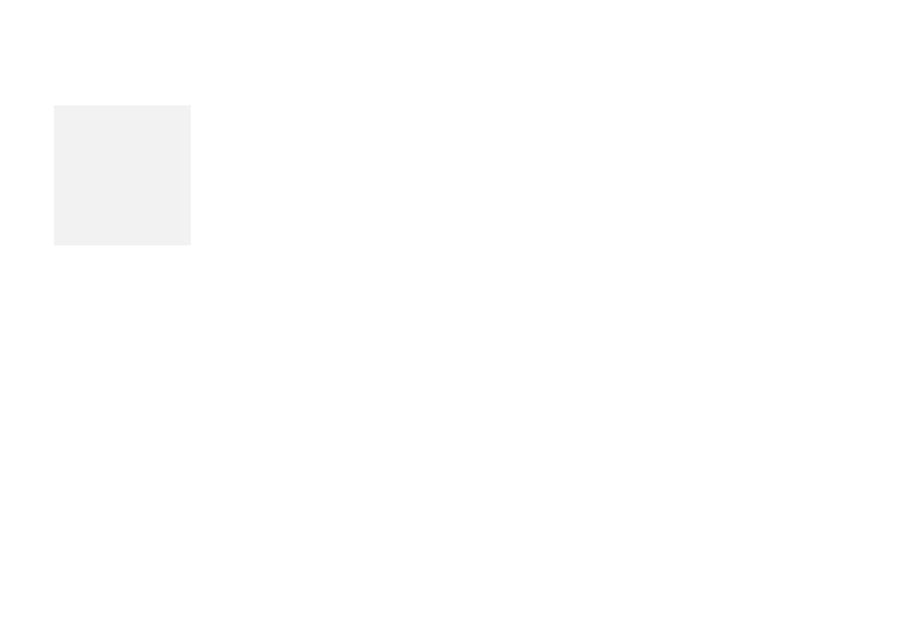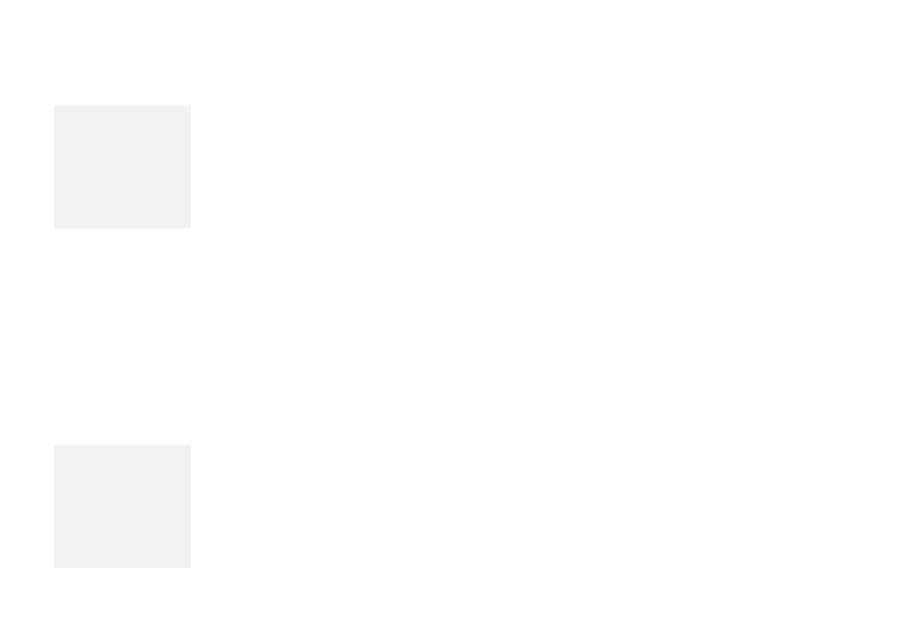

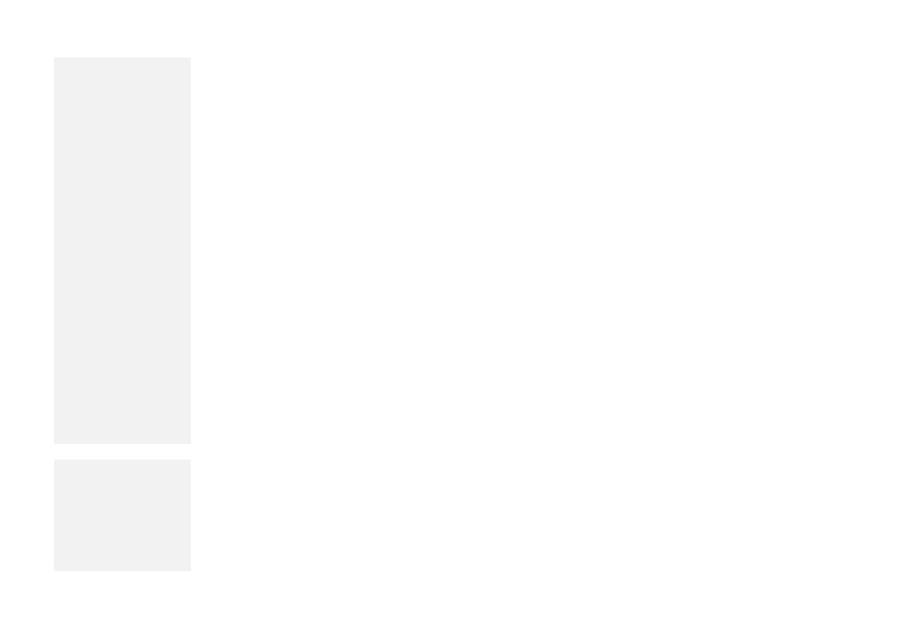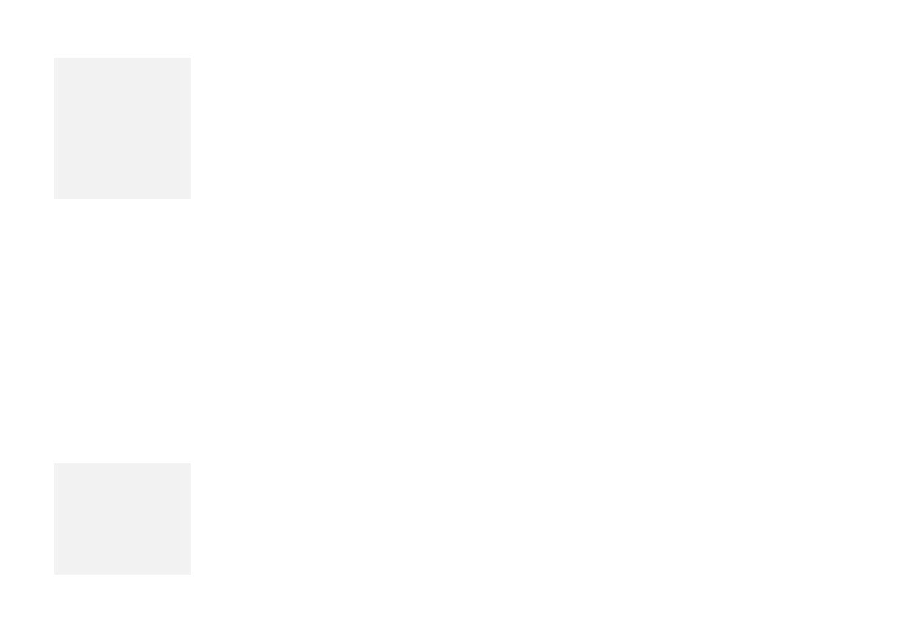

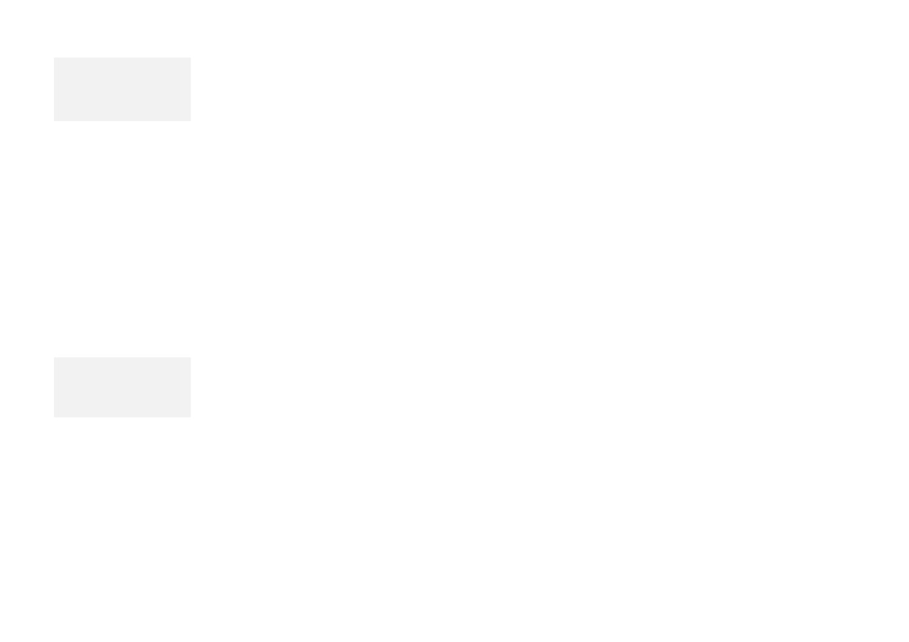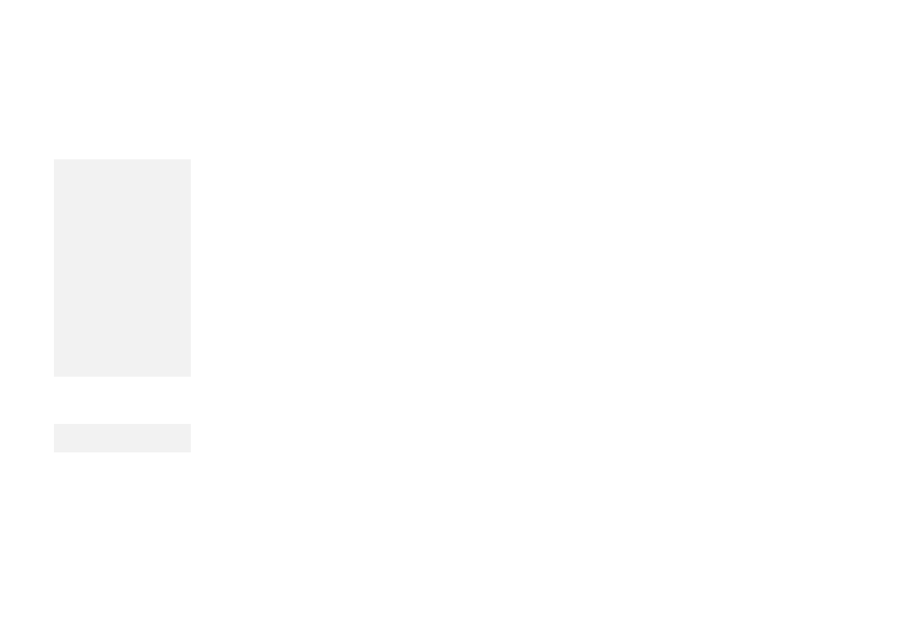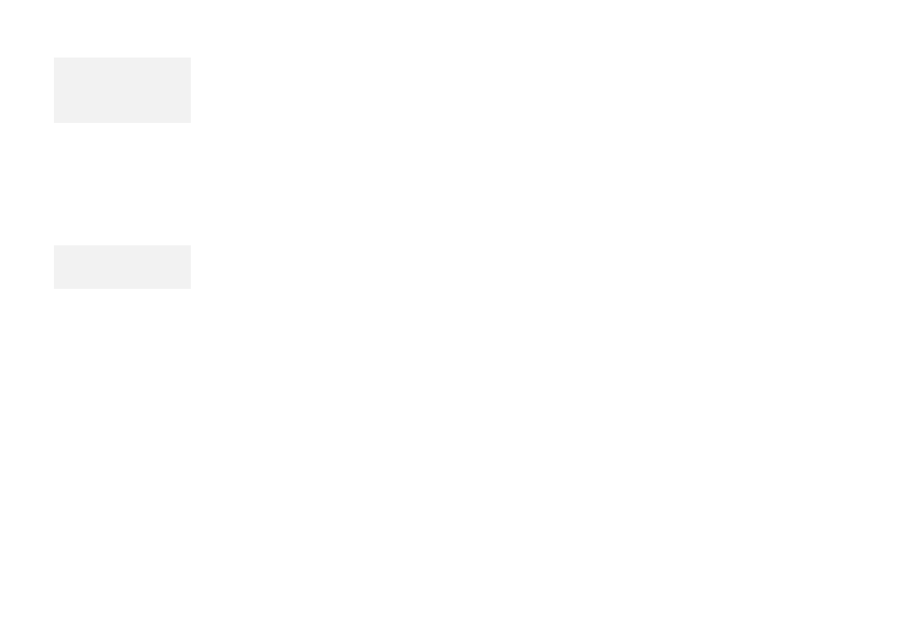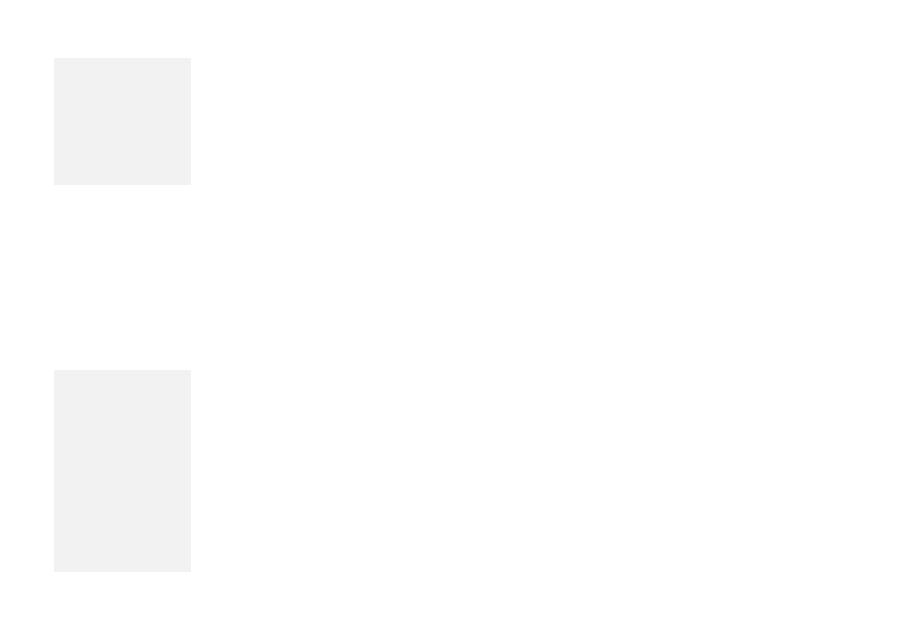

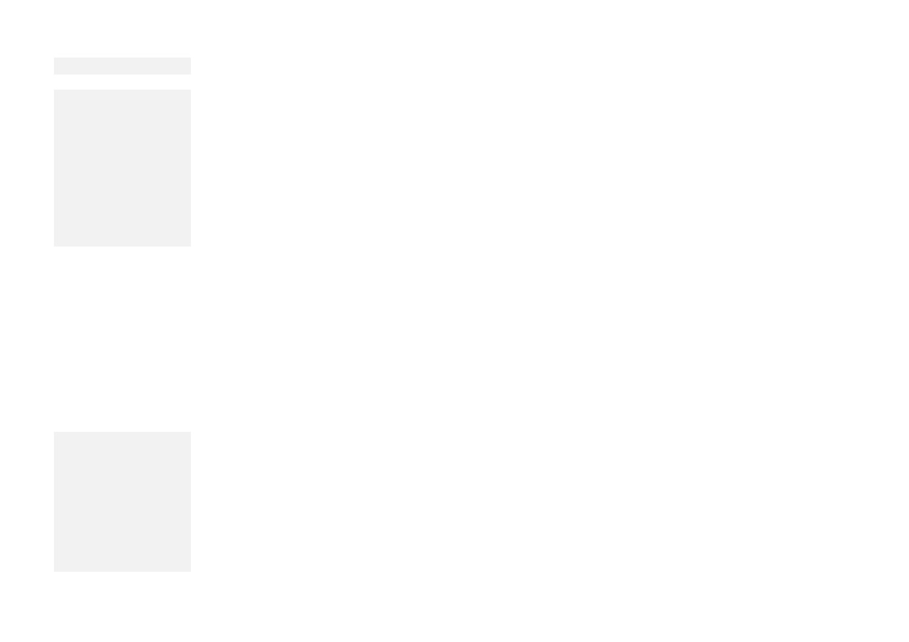

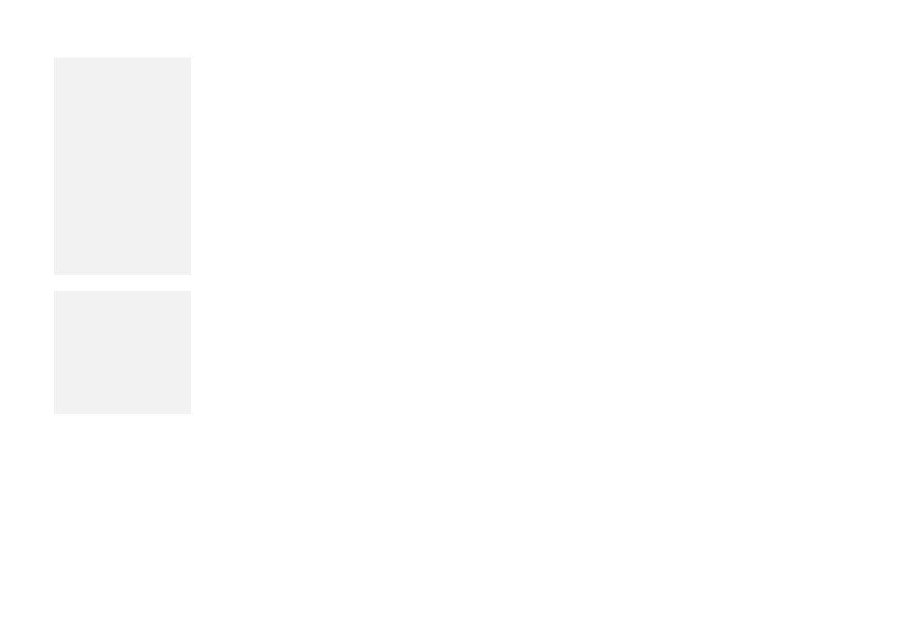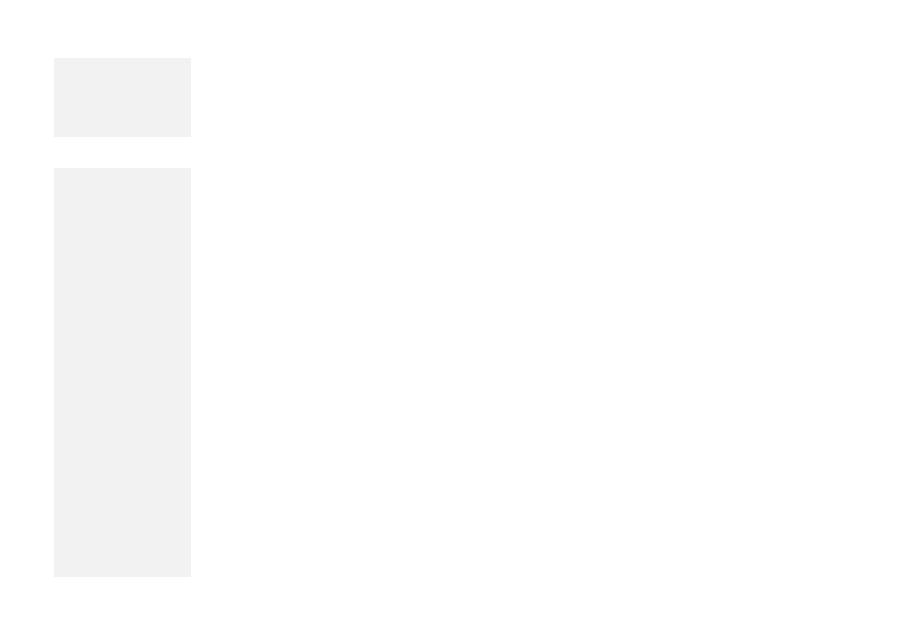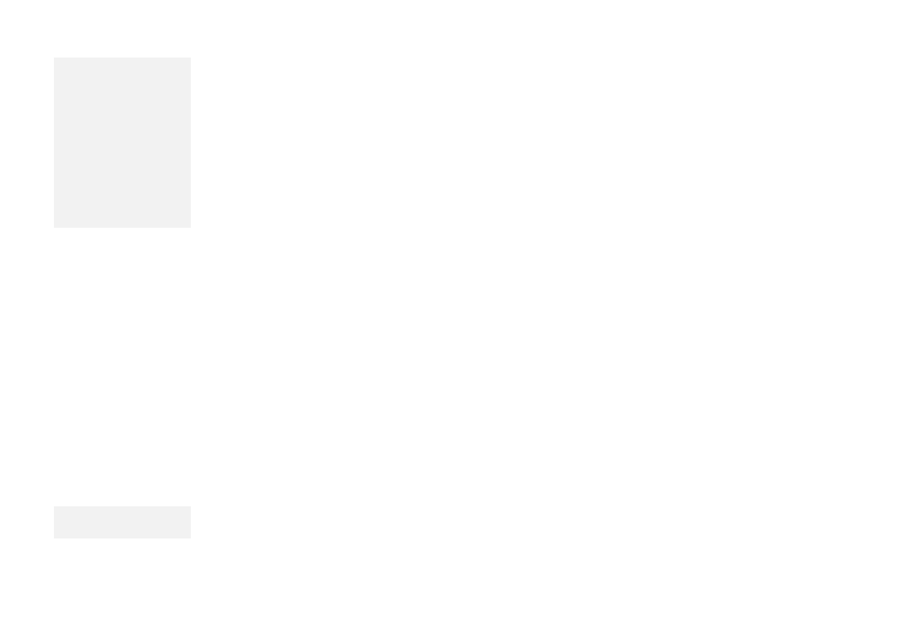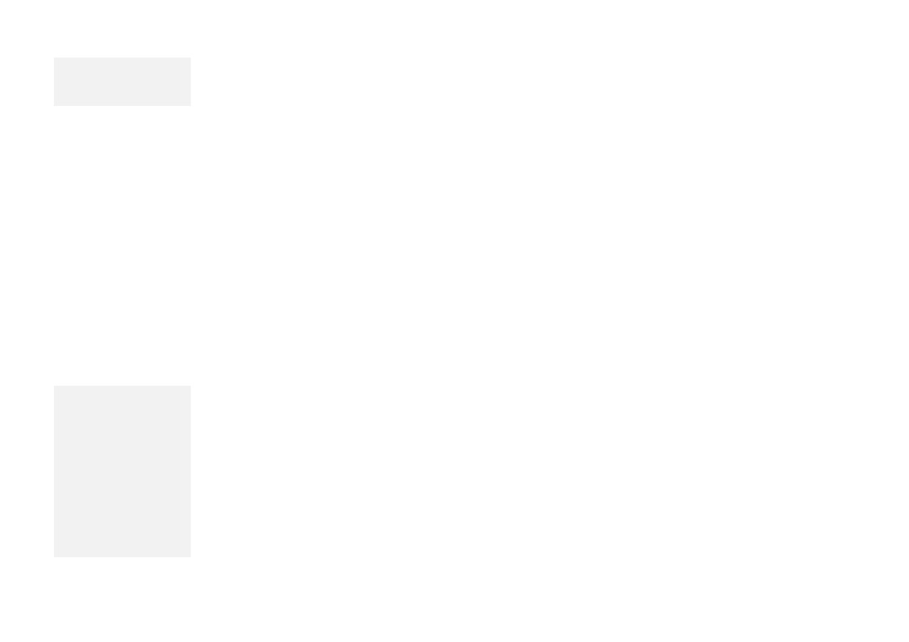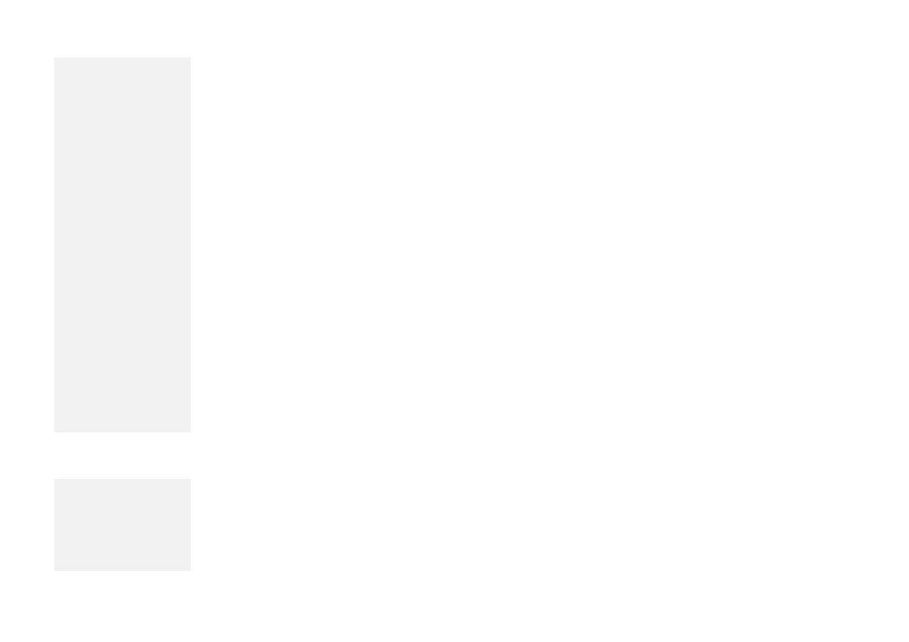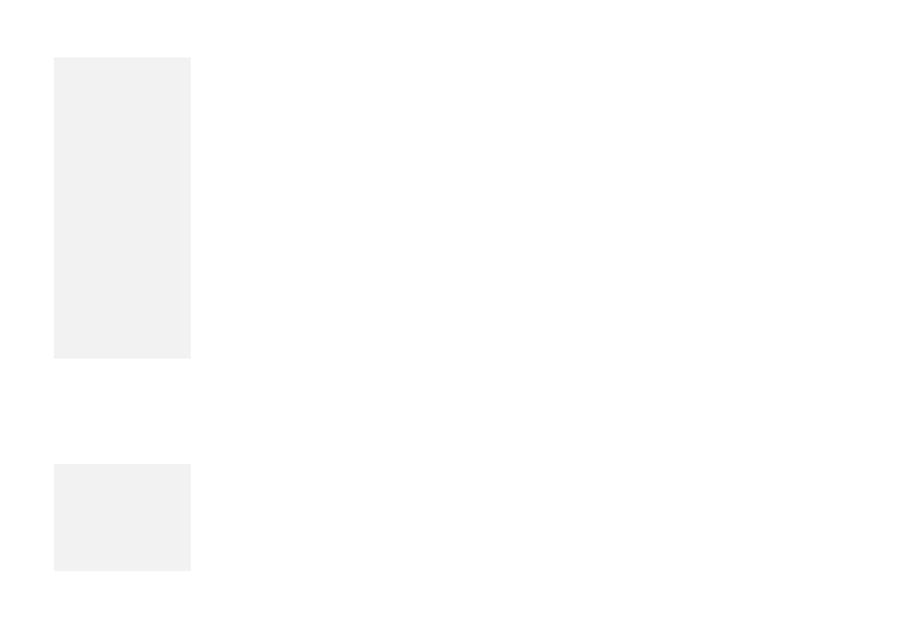